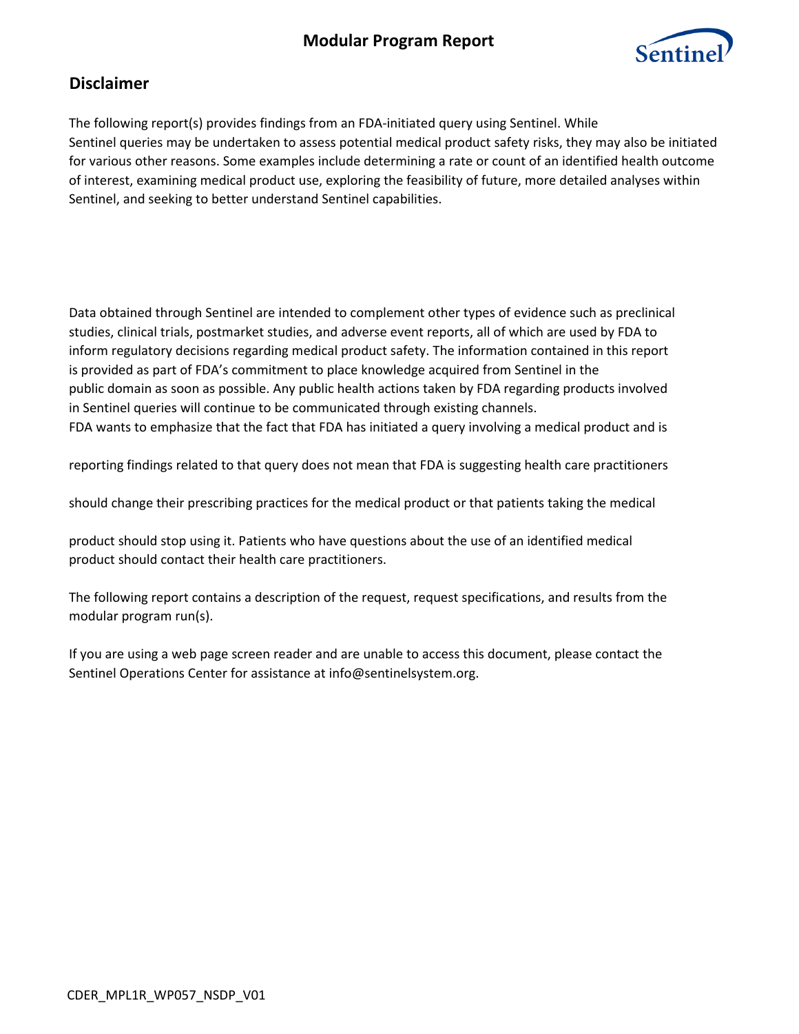# **Modular Program Report**



## **Disclaimer**

The following report(s) provides findings from an FDA-initiated query using Sentinel. While Sentinel queries may be undertaken to assess potential medical product safety risks, they may also be initiated for various other reasons. Some examples include determining a rate or count of an identified health outcome of interest, examining medical product use, exploring the feasibility of future, more detailed analyses within Sentinel, and seeking to better understand Sentinel capabilities.

Data obtained through Sentinel are intended to complement other types of evidence such as preclinical studies, clinical trials, postmarket studies, and adverse event reports, all of which are used by FDA to inform regulatory decisions regarding medical product safety. The information contained in this report is provided as part of FDA's commitment to place knowledge acquired from Sentinel in the public domain as soon as possible. Any public health actions taken by FDA regarding products involved in Sentinel queries will continue to be communicated through existing channels. FDA wants to emphasize that the fact that FDA has initiated a query involving a medical product and is

reporting findings related to that query does not mean that FDA is suggesting health care practitioners

should change their prescribing practices for the medical product or that patients taking the medical

product should stop using it. Patients who have questions about the use of an identified medical product should contact their health care practitioners.

The following report contains a description of the request, request specifications, and results from the modular program run(s).

If you are using a web page screen reader and are unable to access this document, please contact the Sentinel Operations Center for assistance at info@sentinelsystem.org.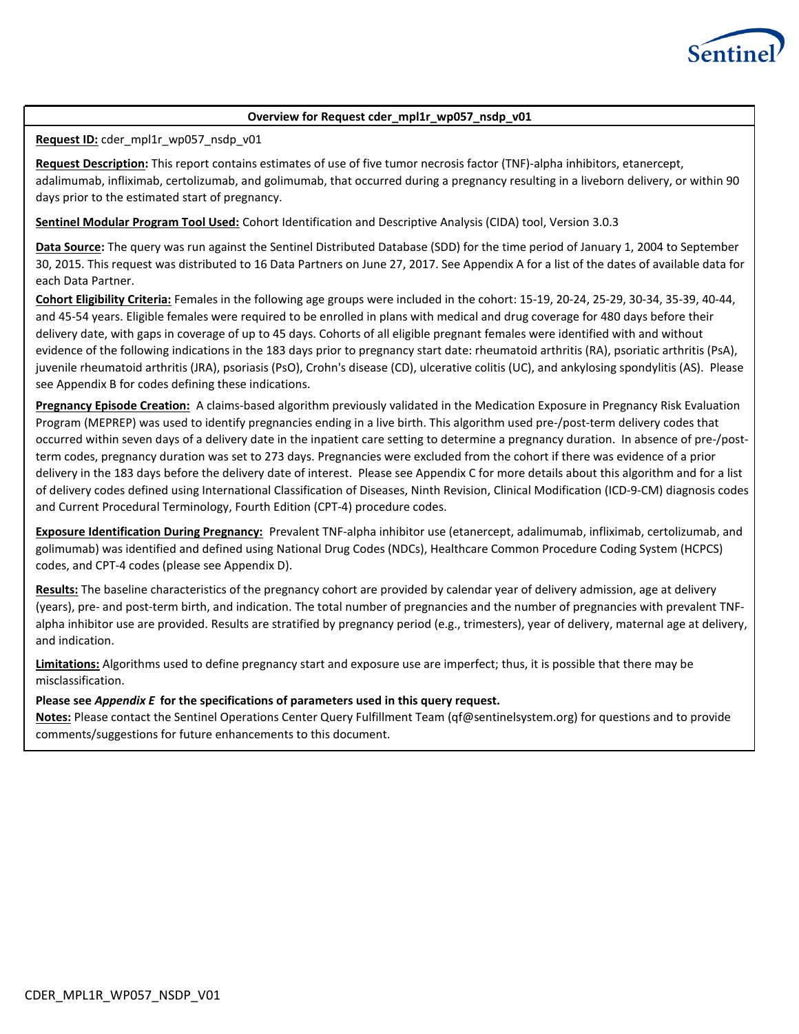

### **Overview for Request cder\_mpl1r\_wp057\_nsdp\_v01**

**Request ID:** cder\_mpl1r\_wp057\_nsdp\_v01

**Request Description:** This report contains estimates of use of five tumor necrosis factor (TNF)-alpha inhibitors, etanercept, adalimumab, infliximab, certolizumab, and golimumab, that occurred during a pregnancy resulting in a liveborn delivery, or within 90 days prior to the estimated start of pregnancy.

**Sentinel Modular Program Tool Used:** Cohort Identification and Descriptive Analysis (CIDA) tool, Version 3.0.3

**Data Source:** The query was run against the Sentinel Distributed Database (SDD) for the time period of January 1, 2004 to September 30, 2015. This request was distributed to 16 Data Partners on June 27, 2017. See Appendix A for a list of the dates of available data for each Data Partner.

**Cohort Eligibility Criteria:** Females in the following age groups were included in the cohort: 15-19, 20-24, 25-29, 30-34, 35-39, 40-44, and 45-54 years. Eligible females were required to be enrolled in plans with medical and drug coverage for 480 days before their delivery date, with gaps in coverage of up to 45 days. Cohorts of all eligible pregnant females were identified with and without evidence of the following indications in the 183 days prior to pregnancy start date: rheumatoid arthritis (RA), psoriatic arthritis (PsA), juvenile rheumatoid arthritis (JRA), psoriasis (PsO), Crohn's disease (CD), ulcerative colitis (UC), and ankylosing spondylitis (AS). Please see Appendix B for codes defining these indications.

**Pregnancy Episode Creation:** A claims-based algorithm previously validated in the Medication Exposure in Pregnancy Risk Evaluation Program (MEPREP) was used to identify pregnancies ending in a live birth. This algorithm used pre-/post-term delivery codes that occurred within seven days of a delivery date in the inpatient care setting to determine a pregnancy duration. In absence of pre-/postterm codes, pregnancy duration was set to 273 days. Pregnancies were excluded from the cohort if there was evidence of a prior delivery in the 183 days before the delivery date of interest. Please see Appendix C for more details about this algorithm and for a list of delivery codes defined using International Classification of Diseases, Ninth Revision, Clinical Modification (ICD-9-CM) diagnosis codes and Current Procedural Terminology, Fourth Edition (CPT-4) procedure codes.

**Exposure Identification During Pregnancy:** Prevalent TNF-alpha inhibitor use (etanercept, adalimumab, infliximab, certolizumab, and golimumab) was identified and defined using National Drug Codes (NDCs), Healthcare Common Procedure Coding System (HCPCS) codes, and CPT-4 codes (please see Appendix D).

**Results:** The baseline characteristics of the pregnancy cohort are provided by calendar year of delivery admission, age at delivery (years), pre- and post-term birth, and indication. The total number of pregnancies and the number of pregnancies with prevalent TNFalpha inhibitor use are provided. Results are stratified by pregnancy period (e.g., trimesters), year of delivery, maternal age at delivery, and indication.

**Limitations:** Algorithms used to define pregnancy start and exposure use are imperfect; thus, it is possible that there may be misclassification.

### **Please see** *Appendix E* **for the specifications of parameters used in this query request.**

**Notes:** Please contact the Sentinel Operations Center Query Fulfillment Team (qf@sentinelsystem.org) for questions and to provide comments/suggestions for future enhancements to this document.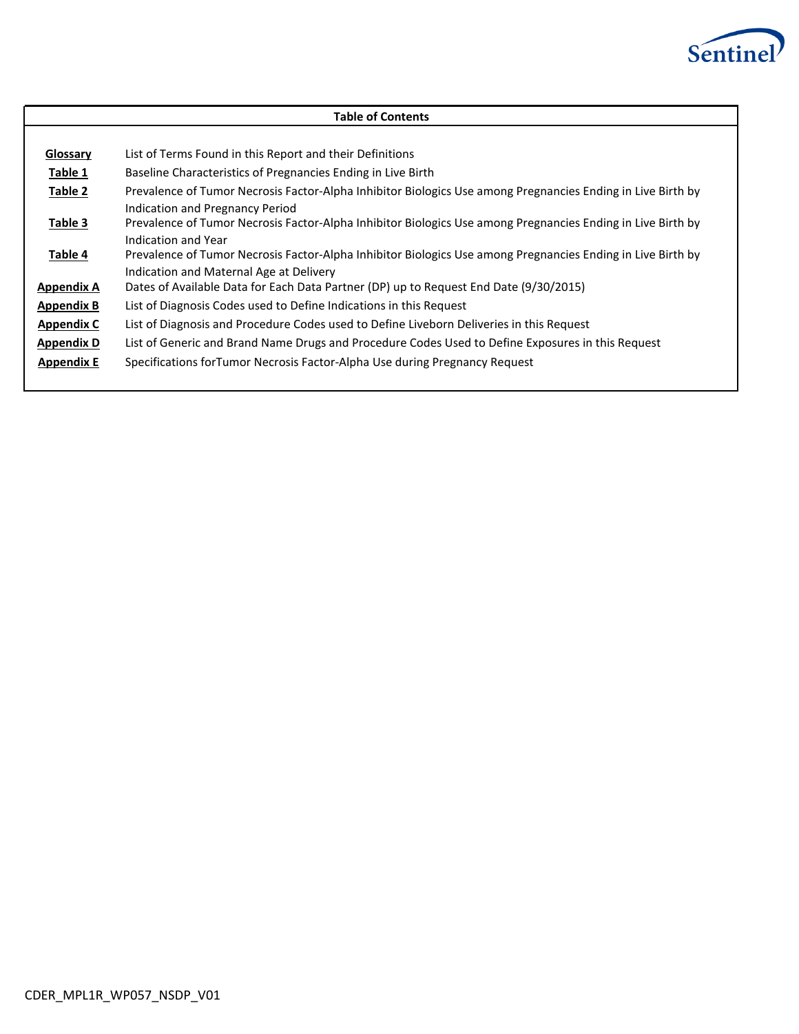

| <b>Table of Contents</b> |                                                                                                                                                                                                                                                                                                                                 |  |  |  |  |  |  |  |
|--------------------------|---------------------------------------------------------------------------------------------------------------------------------------------------------------------------------------------------------------------------------------------------------------------------------------------------------------------------------|--|--|--|--|--|--|--|
|                          |                                                                                                                                                                                                                                                                                                                                 |  |  |  |  |  |  |  |
| Glossary                 | List of Terms Found in this Report and their Definitions                                                                                                                                                                                                                                                                        |  |  |  |  |  |  |  |
| Table 1                  | Baseline Characteristics of Pregnancies Ending in Live Birth                                                                                                                                                                                                                                                                    |  |  |  |  |  |  |  |
| Table 2                  | Prevalence of Tumor Necrosis Factor-Alpha Inhibitor Biologics Use among Pregnancies Ending in Live Birth by                                                                                                                                                                                                                     |  |  |  |  |  |  |  |
| Table 3<br>Table 4       | Indication and Pregnancy Period<br>Prevalence of Tumor Necrosis Factor-Alpha Inhibitor Biologics Use among Pregnancies Ending in Live Birth by<br>Indication and Year<br>Prevalence of Tumor Necrosis Factor-Alpha Inhibitor Biologics Use among Pregnancies Ending in Live Birth by<br>Indication and Maternal Age at Delivery |  |  |  |  |  |  |  |
| Appendix A               | Dates of Available Data for Each Data Partner (DP) up to Request End Date (9/30/2015)                                                                                                                                                                                                                                           |  |  |  |  |  |  |  |
| <b>Appendix B</b>        | List of Diagnosis Codes used to Define Indications in this Request                                                                                                                                                                                                                                                              |  |  |  |  |  |  |  |
| <b>Appendix C</b>        | List of Diagnosis and Procedure Codes used to Define Liveborn Deliveries in this Request                                                                                                                                                                                                                                        |  |  |  |  |  |  |  |
| <b>Appendix D</b>        | List of Generic and Brand Name Drugs and Procedure Codes Used to Define Exposures in this Request                                                                                                                                                                                                                               |  |  |  |  |  |  |  |
| <b>Appendix E</b>        | Specifications forTumor Necrosis Factor-Alpha Use during Pregnancy Request                                                                                                                                                                                                                                                      |  |  |  |  |  |  |  |
|                          |                                                                                                                                                                                                                                                                                                                                 |  |  |  |  |  |  |  |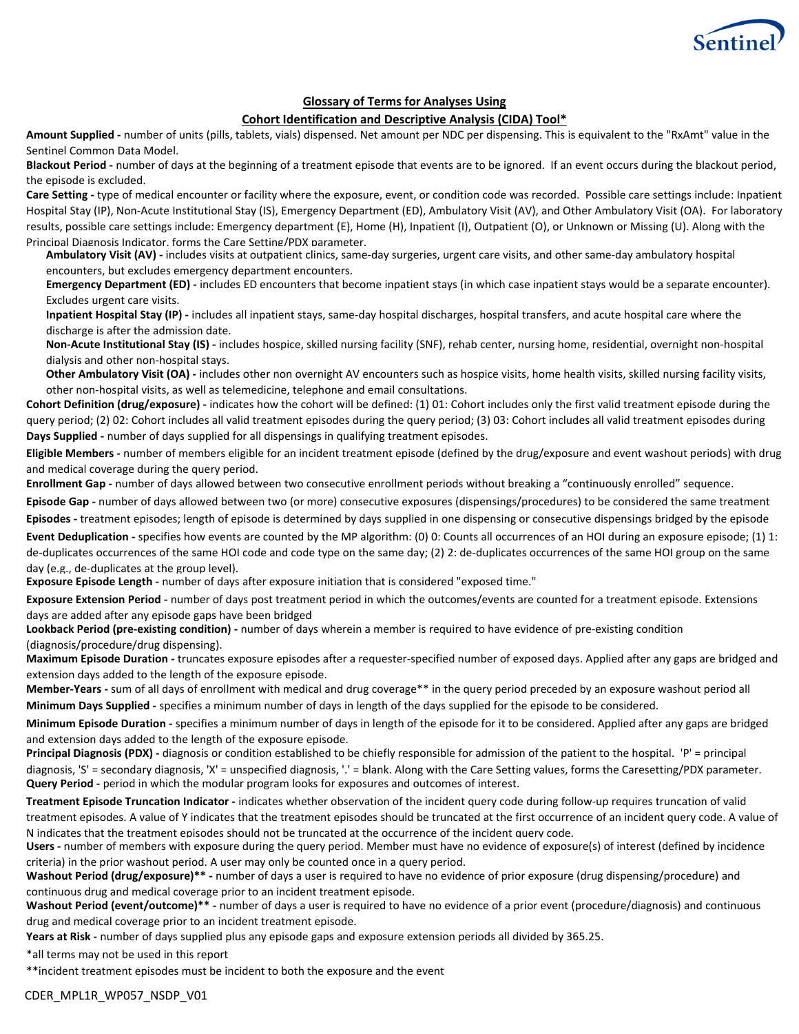

### **Glossary of Terms for Analyses Using**

### **Cohort Identification and Descriptive Analysis (CIDA) Tool\***

**Amount Supplied -** number of units (pills, tablets, vials) dispensed. Net amount per NDC per dispensing. This is equivalent to the "RxAmt" value in the Sentinel Common Data Model.

**Blackout Period -** number of days at the beginning of a treatment episode that events are to be ignored. If an event occurs during the blackout period, the episode is excluded.

**Care Setting -** type of medical encounter or facility where the exposure, event, or condition code was recorded. Possible care settings include: Inpatient Hospital Stay (IP), Non-Acute Institutional Stay (IS), Emergency Department (ED), Ambulatory Visit (AV), and Other Ambulatory Visit (OA). For laboratory results, possible care settings include: Emergency department (E), Home (H), Inpatient (I), Outpatient (O), or Unknown or Missing (U). Along with the Principal Diagnosis Indicator, forms the Care Setting/PDX parameter.

**Ambulatory Visit (AV) -** includes visits at outpatient clinics, same-day surgeries, urgent care visits, and other same-day ambulatory hospital encounters, but excludes emergency department encounters.

**Emergency Department (ED)** - includes ED encounters that become inpatient stays (in which case inpatient stays would be a separate encounter). Excludes urgent care visits.

**Inpatient Hospital Stay (IP) -** includes all inpatient stays, same-day hospital discharges, hospital transfers, and acute hospital care where the discharge is after the admission date.

**Non-Acute Institutional Stay (IS) -** includes hospice, skilled nursing facility (SNF), rehab center, nursing home, residential, overnight non-hospital dialysis and other non-hospital stays.

**Other Ambulatory Visit (OA) -** includes other non overnight AV encounters such as hospice visits, home health visits, skilled nursing facility visits, other non-hospital visits, as well as telemedicine, telephone and email consultations.

Cohort Definition (drug/exposure) - indicates how the cohort will be defined: (1) 01: Cohort includes only the first valid treatment episode during the query period; (2) 02: Cohort includes all valid treatment episodes during the query period; (3) 03: Cohort includes all valid treatment episodes during **Days Supplied -** number of days supplied for all dispensings in qualifying treatment episodes.

**Eligible Members -** number of members eligible for an incident treatment episode (defined by the drug/exposure and event washout periods) with drug and medical coverage during the query period.

**Enrollment Gap -** number of days allowed between two consecutive enrollment periods without breaking a "continuously enrolled" sequence.

**Episode Gap -** number of days allowed between two (or more) consecutive exposures (dispensings/procedures) to be considered the same treatment Episodes - treatment episodes; length of episode is determined by days supplied in one dispensing or consecutive dispensings bridged by the episode

Event Deduplication - specifies how events are counted by the MP algorithm: (0) 0: Counts all occurrences of an HOI during an exposure episode; (1) 1: de-duplicates occurrences of the same HOI code and code type on the same day; (2) 2: de-duplicates occurrences of the same HOI group on the same day (e.g., de-duplicates at the group level).

**Exposure Episode Length -** number of days after exposure initiation that is considered "exposed time."

**Exposure Extension Period -** number of days post treatment period in which the outcomes/events are counted for a treatment episode. Extensions days are added after any episode gaps have been bridged

**Lookback Period (pre-existing condition) -** number of days wherein a member is required to have evidence of pre-existing condition (diagnosis/procedure/drug dispensing).

**Maximum Episode Duration -** truncates exposure episodes after a requester-specified number of exposed days. Applied after any gaps are bridged and extension days added to the length of the exposure episode.

**Member-Years -** sum of all days of enrollment with medical and drug coverage\*\* in the query period preceded by an exposure washout period all Minimum Days Supplied - specifies a minimum number of days in length of the days supplied for the episode to be considered.

**Minimum Episode Duration -** specifies a minimum number of days in length of the episode for it to be considered. Applied after any gaps are bridged and extension days added to the length of the exposure episode.

**Principal Diagnosis (PDX)** - diagnosis or condition established to be chiefly responsible for admission of the patient to the hospital. 'P' = principal diagnosis, 'S' = secondary diagnosis, 'X' = unspecified diagnosis, '.' = blank. Along with the Care Setting values, forms the Caresetting/PDX parameter. **Query Period -** period in which the modular program looks for exposures and outcomes of interest.

**Treatment Episode Truncation Indicator -** indicates whether observation of the incident query code during follow-up requires truncation of valid treatment episodes. A value of Y indicates that the treatment episodes should be truncated at the first occurrence of an incident query code. A value of N indicates that the treatment episodes should not be truncated at the occurrence of the incident query code.

**Users -** number of members with exposure during the query period. Member must have no evidence of exposure(s) of interest (defined by incidence criteria) in the prior washout period. A user may only be counted once in a query period.

**Washout Period (drug/exposure)\*\* -** number of days a user is required to have no evidence of prior exposure (drug dispensing/procedure) and continuous drug and medical coverage prior to an incident treatment episode.

**Washout Period (event/outcome)\*\* -** number of days a user is required to have no evidence of a prior event (procedure/diagnosis) and continuous drug and medical coverage prior to an incident treatment episode.

**Years at Risk -** number of days supplied plus any episode gaps and exposure extension periods all divided by 365.25.

\*all terms may not be used in this report

\*\*incident treatment episodes must be incident to both the exposure and the event

CDER\_MPL1R\_WP057\_NSDP\_V01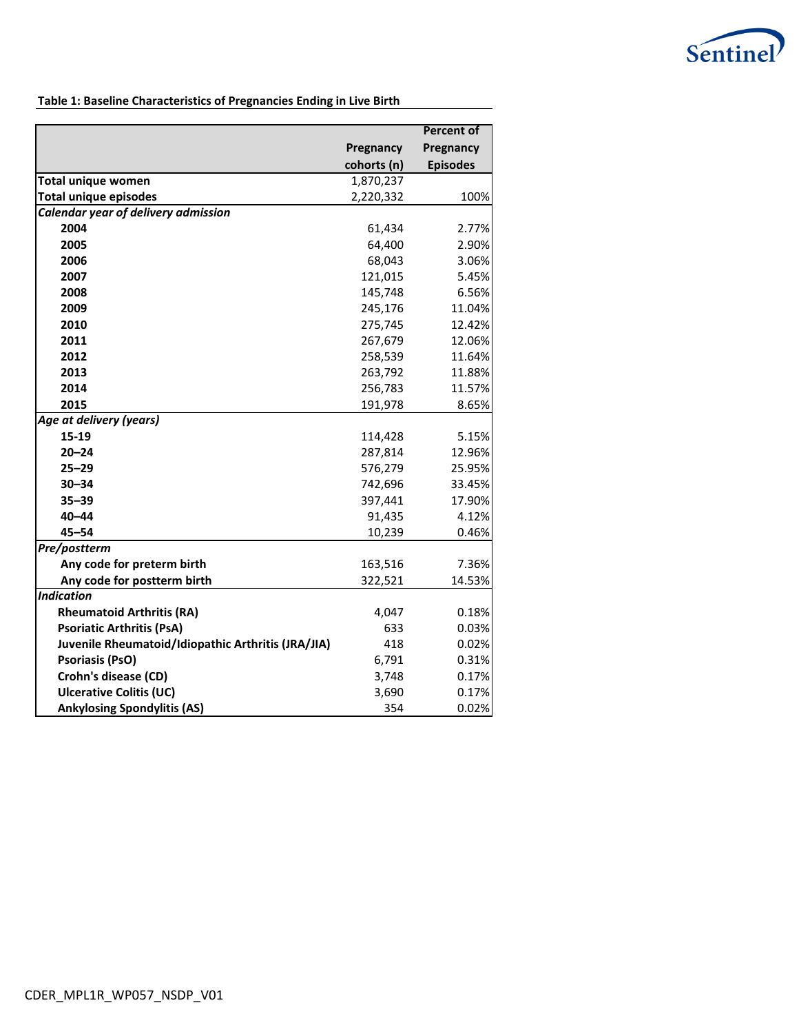

### **Table 1: Baseline Characteristics of Pregnancies Ending in Live Birth**

|                                                    |             | <b>Percent of</b> |
|----------------------------------------------------|-------------|-------------------|
|                                                    | Pregnancy   | Pregnancy         |
|                                                    | cohorts (n) | <b>Episodes</b>   |
| <b>Total unique women</b>                          | 1,870,237   |                   |
| <b>Total unique episodes</b>                       | 2,220,332   | 100%              |
| Calendar year of delivery admission                |             |                   |
| 2004                                               | 61,434      | 2.77%             |
| 2005                                               | 64,400      | 2.90%             |
| 2006                                               | 68,043      | 3.06%             |
| 2007                                               | 121,015     | 5.45%             |
| 2008                                               | 145,748     | 6.56%             |
| 2009                                               | 245,176     | 11.04%            |
| 2010                                               | 275,745     | 12.42%            |
| 2011                                               | 267,679     | 12.06%            |
| 2012                                               | 258,539     | 11.64%            |
| 2013                                               | 263,792     | 11.88%            |
| 2014                                               | 256,783     | 11.57%            |
| 2015                                               | 191,978     | 8.65%             |
| Age at delivery (years)                            |             |                   |
| 15-19                                              | 114,428     | 5.15%             |
| $20 - 24$                                          | 287,814     | 12.96%            |
| $25 - 29$                                          | 576,279     | 25.95%            |
| $30 - 34$                                          | 742,696     | 33.45%            |
| $35 - 39$                                          | 397,441     | 17.90%            |
| $40 - 44$                                          | 91,435      | 4.12%             |
| $45 - 54$                                          | 10,239      | 0.46%             |
| Pre/postterm                                       |             |                   |
| Any code for preterm birth                         | 163,516     | 7.36%             |
| Any code for postterm birth                        | 322,521     | 14.53%            |
| <b>Indication</b>                                  |             |                   |
| <b>Rheumatoid Arthritis (RA)</b>                   | 4,047       | 0.18%             |
| <b>Psoriatic Arthritis (PsA)</b>                   | 633         | 0.03%             |
| Juvenile Rheumatoid/Idiopathic Arthritis (JRA/JIA) | 418         | 0.02%             |
| <b>Psoriasis (PsO)</b>                             | 6,791       | 0.31%             |
| Crohn's disease (CD)                               | 3,748       | 0.17%             |
| <b>Ulcerative Colitis (UC)</b>                     | 3,690       | 0.17%             |
| <b>Ankylosing Spondylitis (AS)</b>                 | 354         | 0.02%             |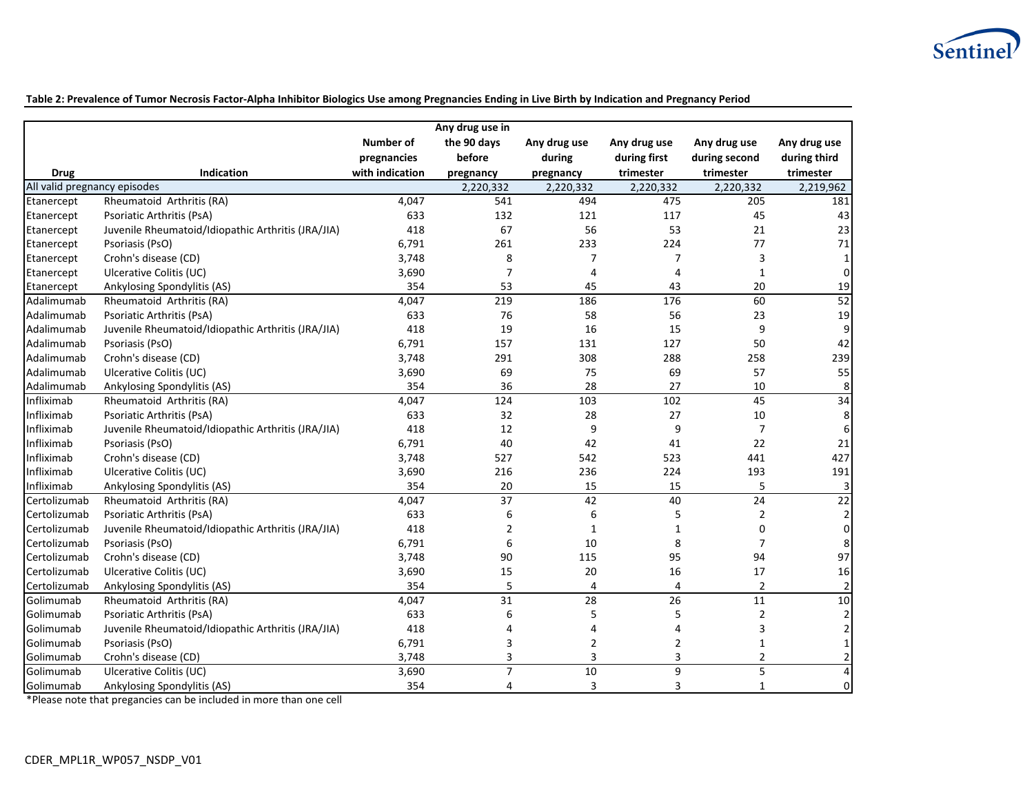

**Table 2: Prevalence of Tumor Necrosis Factor-Alpha Inhibitor Biologics Use among Pregnancies Ending in Live Birth by Indication and Pregnancy Period**

|                              |                                                    |                  | Any drug use in |                |                |                         |                         |
|------------------------------|----------------------------------------------------|------------------|-----------------|----------------|----------------|-------------------------|-------------------------|
|                              |                                                    | <b>Number of</b> | the 90 days     | Any drug use   | Any drug use   | Any drug use            | Any drug use            |
|                              |                                                    | pregnancies      | before          | during         | during first   | during second           | during third            |
| <b>Drug</b>                  | Indication                                         | with indication  | pregnancy       | pregnancy      | trimester      | trimester               | trimester               |
| All valid pregnancy episodes |                                                    |                  | 2,220,332       | 2,220,332      | 2,220,332      | 2,220,332               | 2,219,962               |
| Etanercept                   | Rheumatoid Arthritis (RA)                          | 4,047            | 541             | 494            | 475            | 205                     | 181                     |
| Etanercept                   | Psoriatic Arthritis (PsA)                          | 633              | 132             | 121            | 117            | 45                      | 43                      |
| Etanercept                   | Juvenile Rheumatoid/Idiopathic Arthritis (JRA/JIA) | 418              | 67              | 56             | 53             | 21                      | 23                      |
| Etanercept                   | Psoriasis (PsO)                                    | 6,791            | 261             | 233            | 224            | 77                      | 71                      |
| Etanercept                   | Crohn's disease (CD)                               | 3,748            | 8               | 7              | $\overline{7}$ | 3                       | $\mathbf{1}$            |
| Etanercept                   | Ulcerative Colitis (UC)                            | 3,690            | $\overline{7}$  | 4              | 4              | $\mathbf{1}$            | $\pmb{0}$               |
| Etanercept                   | Ankylosing Spondylitis (AS)                        | 354              | 53              | 45             | 43             | 20                      | 19                      |
| Adalimumab                   | Rheumatoid Arthritis (RA)                          | 4,047            | 219             | 186            | 176            | 60                      | 52                      |
| Adalimumab                   | Psoriatic Arthritis (PsA)                          | 633              | 76              | 58             | 56             | 23                      | 19                      |
| Adalimumab                   | Juvenile Rheumatoid/Idiopathic Arthritis (JRA/JIA) | 418              | 19              | 16             | 15             | 9                       | 9                       |
| Adalimumab                   | Psoriasis (PsO)                                    | 6,791            | 157             | 131            | 127            | 50                      | 42                      |
| Adalimumab                   | Crohn's disease (CD)                               | 3,748            | 291             | 308            | 288            | 258                     | 239                     |
| Adalimumab                   | Ulcerative Colitis (UC)                            | 3,690            | 69              | 75             | 69             | 57                      | 55                      |
| Adalimumab                   | Ankylosing Spondylitis (AS)                        | 354              | 36              | 28             | 27             | 10                      | 8                       |
| Infliximab                   | Rheumatoid Arthritis (RA)                          | 4,047            | $\frac{124}{x}$ | 103            | 102            | 45                      | 34                      |
| Infliximab                   | Psoriatic Arthritis (PsA)                          | 633              | 32              | 28             | 27             | 10                      | 8                       |
| Infliximab                   | Juvenile Rheumatoid/Idiopathic Arthritis (JRA/JIA) | 418              | 12              | 9              | 9              | $\overline{7}$          | 6                       |
| Infliximab                   | Psoriasis (PsO)                                    | 6,791            | 40              | 42             | 41             | 22                      | 21                      |
| Infliximab                   | Crohn's disease (CD)                               | 3,748            | 527             | 542            | 523            | 441                     | 427                     |
| Infliximab                   | Ulcerative Colitis (UC)                            | 3,690            | 216             | 236            | 224            | 193                     | 191                     |
| Infliximab                   | Ankylosing Spondylitis (AS)                        | 354              | 20              | 15             | 15             | 5                       | 3                       |
| Certolizumab                 | Rheumatoid Arthritis (RA)                          | 4,047            | 37              | 42             | 40             | 24                      | $\overline{22}$         |
| Certolizumab                 | Psoriatic Arthritis (PsA)                          | 633              | 6               | 6              | 5              | $\overline{2}$          | 2                       |
| Certolizumab                 | Juvenile Rheumatoid/Idiopathic Arthritis (JRA/JIA) | 418              | $\overline{2}$  | $\mathbf{1}$   | $\mathbf{1}$   | $\mathbf 0$             | $\boldsymbol{0}$        |
| Certolizumab                 | Psoriasis (PsO)                                    | 6,791            | 6               | 10             | 8              | $\overline{7}$          | 8                       |
| Certolizumab                 | Crohn's disease (CD)                               | 3,748            | 90              | 115            | 95             | 94                      | 97                      |
| Certolizumab                 | Ulcerative Colitis (UC)                            | 3,690            | 15              | 20             | 16             | 17                      | 16                      |
| Certolizumab                 | Ankylosing Spondylitis (AS)                        | 354              | 5               | $\overline{4}$ | 4              | $\overline{2}$          | $\overline{\mathbf{c}}$ |
| Golimumab                    | Rheumatoid Arthritis (RA)                          | 4,047            | 31              | 28             | 26             | 11                      | 10                      |
| Golimumab                    | Psoriatic Arthritis (PsA)                          | 633              | 6               | 5              | 5              | $\overline{2}$          | $\mathbf 2$             |
| Golimumab                    | Juvenile Rheumatoid/Idiopathic Arthritis (JRA/JIA) | 418              | $\overline{4}$  | $\overline{a}$ | 4              | 3                       | $\overline{\mathbf{c}}$ |
| Golimumab                    | Psoriasis (PsO)                                    | 6,791            | 3               | 2              | 2              | $\mathbf{1}$            | $\mathbf 1$             |
| Golimumab                    | Crohn's disease (CD)                               | 3,748            | 3               | 3              | 3              | $\overline{2}$          | $\mathbf 2$             |
| Golimumab                    | Ulcerative Colitis (UC)                            | 3,690            | $\overline{7}$  | 10             | 9              | $\overline{\mathbf{5}}$ | $\overline{4}$          |
| Golimumab                    | Ankylosing Spondylitis (AS)                        | 354              | 4               | 3              | 3              | 1                       | 0                       |

\*Please note that pregancies can be included in more than one cell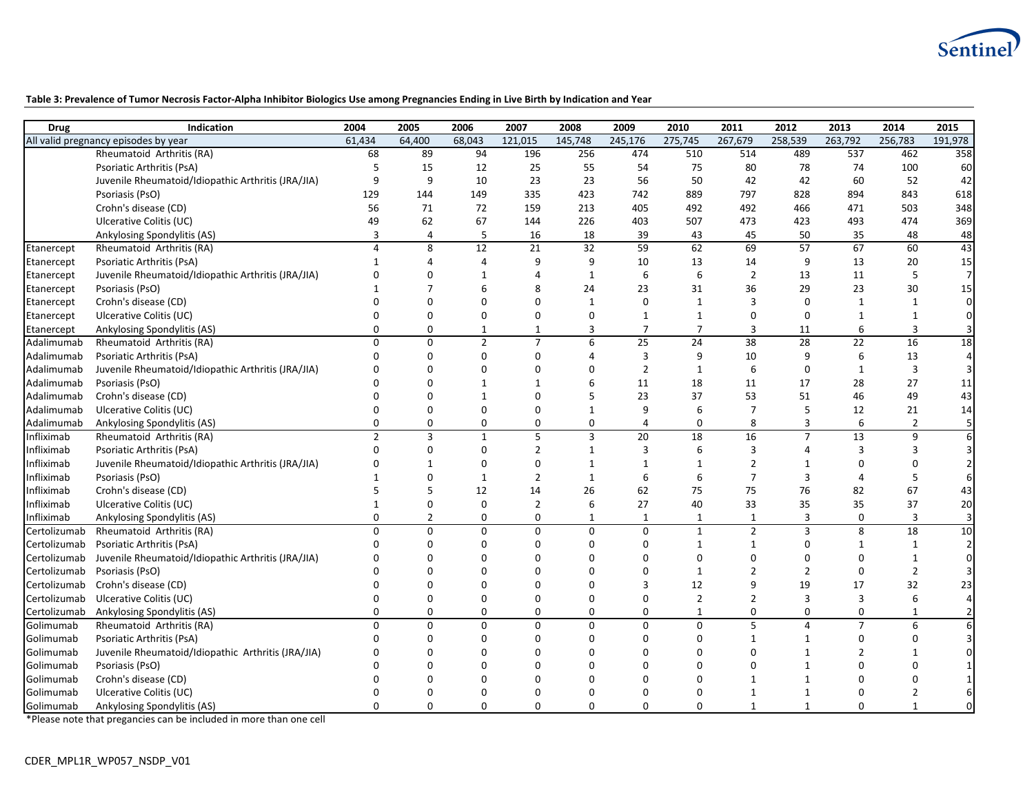

### **Table 3: Prevalence of Tumor Necrosis Factor-Alpha Inhibitor Biologics Use among Pregnancies Ending in Live Birth by Indication and Year**

| <b>Drug</b>  | Indication                                         | 2004           | 2005           | 2006           | 2007           | 2008         | 2009            | 2010           | 2011                     | 2012           | 2013            | 2014           | 2015           |
|--------------|----------------------------------------------------|----------------|----------------|----------------|----------------|--------------|-----------------|----------------|--------------------------|----------------|-----------------|----------------|----------------|
|              | All valid pregnancy episodes by year               | 61,434         | 64,400         | 68,043         | 121,015        | 145,748      | 245,176         | 275,745        | 267,679                  | 258,539        | 263,792         | 256,783        | 191,978        |
|              | Rheumatoid Arthritis (RA)                          | 68             | 89             | 94             | 196            | 256          | 474             | 510            | 514                      | 489            | 537             | 462            | 358            |
|              | Psoriatic Arthritis (PsA)                          | 5              | 15             | 12             | 25             | 55           | 54              | 75             | 80                       | 78             | 74              | 100            | 60             |
|              | Juvenile Rheumatoid/Idiopathic Arthritis (JRA/JIA) | 9              | $\mathsf{q}$   | 10             | 23             | 23           | 56              | 50             | 42                       | 42             | 60              | 52             | 42             |
|              | Psoriasis (PsO)                                    | 129            | 144            | 149            | 335            | 423          | 742             | 889            | 797                      | 828            | 894             | 843            | 618            |
|              | Crohn's disease (CD)                               | 56             | 71             | 72             | 159            | 213          | 405             | 492            | 492                      | 466            | 471             | 503            | 348            |
|              | Ulcerative Colitis (UC)                            | 49             | 62             | 67             | 144            | 226          | 403             | 507            | 473                      | 423            | 493             | 474            | 369            |
|              | Ankylosing Spondylitis (AS)                        | 3              | $\overline{4}$ | 5              | 16             | 18           | 39              | 43             | 45                       | 50             | 35              | 48             | 48             |
| Etanercept   | Rheumatoid Arthritis (RA)                          | $\overline{4}$ | 8              | 12             | 21             | 32           | 59              | 62             | 69                       | 57             | 67              | 60             | 43             |
| Etanercept   | Psoriatic Arthritis (PsA)                          | $\mathbf{1}$   | $\overline{4}$ | $\overline{4}$ | 9              | 9            | 10              | 13             | 14                       | 9              | 13              | 20             | 15             |
| Etanercept   | Juvenile Rheumatoid/Idiopathic Arthritis (JRA/JIA) | $\Omega$       | $\Omega$       | $\mathbf{1}$   | 4              | $\mathbf{1}$ | 6               | 6              | $\overline{2}$           | 13             | 11              | 5              | $\overline{7}$ |
| Etanercept   | Psoriasis (PsO)                                    |                | 7              | 6              | 8              | 24           | 23              | 31             | 36                       | 29             | 23              | 30             | 15             |
| Etanercept   | Crohn's disease (CD)                               | $\Omega$       | $\Omega$       | $\Omega$       | $\Omega$       | $\mathbf{1}$ | $\Omega$        | $\mathbf{1}$   | $\overline{3}$           | $\mathbf 0$    | $\mathbf{1}$    | $\mathbf{1}$   | $\Omega$       |
| Etanercept   | Ulcerative Colitis (UC)                            | $\Omega$       |                | $\Omega$       | $\Omega$       | $\Omega$     | $\mathbf 1$     | $\mathbf{1}$   | $\Omega$                 | $\mathbf 0$    | $\mathbf{1}$    |                | $\Omega$       |
| Etanercept   | Ankylosing Spondylitis (AS)                        | $\Omega$       | $\Omega$       | $\mathbf{1}$   | $\mathbf{1}$   | 3            | $\overline{7}$  | $\overline{7}$ | $\overline{3}$           | 11             | 6               | 3              |                |
| Adalimumab   | Rheumatoid Arthritis (RA)                          | $\Omega$       | $\Omega$       | $\overline{2}$ | $\overline{7}$ | 6            | 25              | 24             | 38                       | 28             | 22              | 16             | 18             |
| Adalimumab   | Psoriatic Arthritis (PsA)                          | $\Omega$       | $\Omega$       | $\Omega$       | $\mathbf 0$    | 4            | $\overline{3}$  | 9              | 10                       | 9              | 6               | 13             | 4              |
| Adalimumab   | Juvenile Rheumatoid/Idiopathic Arthritis (JRA/JIA) | $\Omega$       | $\Omega$       | $\Omega$       | $\Omega$       | $\Omega$     | $\overline{2}$  | $\mathbf{1}$   | 6                        | $\mathbf 0$    | $\mathbf{1}$    | $\overline{3}$ | 3              |
| Adalimumab   | Psoriasis (PsO)                                    |                |                | $\mathbf{1}$   | 1              | 6            | 11              | 18             | 11                       | 17             | 28              | 27             | 11             |
| Adalimumab   | Crohn's disease (CD)                               | n              |                | 1              | $\Omega$       | 5            | 23              | 37             | 53                       | 51             | 46              | 49             | 43             |
| Adalimumab   | Ulcerative Colitis (UC)                            | $\Omega$       | $\Omega$       | $\Omega$       | $\Omega$       | $\mathbf{1}$ | 9               | 6              | $\overline{7}$           | 5              | 12              | 21             | 14             |
| Adalimumab   | Ankylosing Spondylitis (AS)                        | $\Omega$       | $\Omega$       | 0              | $\mathbf 0$    | $\mathbf 0$  | 4               | $\Omega$       | 8                        | 3              | 6               |                | 5              |
| Infliximab   | Rheumatoid Arthritis (RA)                          | $\overline{2}$ | 3              | $\mathbf{1}$   | 5              | 3            | $\overline{20}$ | 18             | 16                       | $\overline{7}$ | $\overline{13}$ | 9              | 6              |
| Infliximab   | Psoriatic Arthritis (PsA)                          | $\Omega$       | $\Omega$       | $\Omega$       | $\overline{2}$ | $\mathbf{1}$ | 3               | 6              | $\overline{\mathbf{3}}$  | 4              | $\overline{3}$  | 3              | 3              |
| Infliximab   | Juvenile Rheumatoid/Idiopathic Arthritis (JRA/JIA) | $\Omega$       |                | $\Omega$       | $\mathbf 0$    | $\mathbf{1}$ | $\mathbf{1}$    | $\mathbf{1}$   | $\overline{2}$           | $\mathbf{1}$   | $\Omega$        | $\Omega$       |                |
| Infliximab   | Psoriasis (PsO)                                    | $\mathbf 1$    | $\Omega$       | $\mathbf{1}$   | $\overline{2}$ | $\mathbf{1}$ | 6               | 6              | $\overline{7}$           | 3              | $\Delta$        | 5              | 6              |
| Infliximab   | Crohn's disease (CD)                               | 5              |                | 12             | 14             | 26           | 62              | 75             | 75                       | 76             | 82              | 67             | 43             |
| Infliximab   | Ulcerative Colitis (UC)                            | $\mathbf{1}$   | $\Omega$       | $\overline{0}$ | $\overline{2}$ | 6            | 27              | 40             | 33                       | 35             | 35              | 37             | 20             |
| Infliximab   | Ankylosing Spondylitis (AS)                        | $\mathbf 0$    | $\overline{2}$ | $\Omega$       | $\mathbf 0$    | $\mathbf{1}$ | $\mathbf{1}$    | 1              | $\mathbf{1}$             | $\overline{3}$ | $\Omega$        | 3              | 3              |
| Certolizumab | Rheumatoid Arthritis (RA)                          | $\mathbf 0$    | $\Omega$       | $\Omega$       | $\mathbf 0$    | $\mathbf 0$  | $\mathbf{0}$    | $\mathbf{1}$   | $\overline{2}$           | 3              | 8               | 18             | 10             |
| Certolizumab | Psoriatic Arthritis (PsA)                          | $\Omega$       | $\Omega$       | $\Omega$       | $\Omega$       | $\Omega$     | $\Omega$        | $\mathbf{1}$   | $\mathbf{1}$             | $\Omega$       | $\mathbf{1}$    | $\mathbf{1}$   | $\overline{2}$ |
| Certolizumab | Juvenile Rheumatoid/Idiopathic Arthritis (JRA/JIA) | $\Omega$       | O              | $\Omega$       | $\Omega$       | $\Omega$     | $\Omega$        | $\Omega$       | $\Omega$                 | 0              | $\Omega$        | 1              | $\Omega$       |
| Certolizumab | Psoriasis (PsO)                                    | $\Omega$       |                | $\Omega$       | $\Omega$       | $\Omega$     | $\Omega$        | $\mathbf{1}$   | $\overline{\phantom{a}}$ | $\overline{2}$ | $\Omega$        | $\overline{2}$ |                |
| Certolizumab | Crohn's disease (CD)                               | $\Omega$       | $\Omega$       | $\Omega$       | $\Omega$       | $\Omega$     | $\mathbf{3}$    | 12             | 9                        | 19             | 17              | 32             | 23             |
| Certolizumab | Ulcerative Colitis (UC)                            | $\Omega$       | $\Omega$       | $\Omega$       | $\Omega$       | $\Omega$     | $\Omega$        | $\overline{2}$ | $\overline{2}$           | $\overline{3}$ | 3               | 6              | 4              |
| Certolizumab | Ankylosing Spondylitis (AS)                        | $\mathbf 0$    | $\Omega$       | 0              | $\mathbf 0$    | $\Omega$     | 0               | 1              | $\mathbf 0$              | $\mathbf 0$    | $\mathbf 0$     |                |                |
| Golimumab    | Rheumatoid Arthritis (RA)                          | $\Omega$       | $\Omega$       | $\Omega$       | $\mathbf 0$    | $\mathbf 0$  | $\Omega$        | $\mathbf 0$    | 5                        | $\overline{4}$ | $\overline{7}$  | 6              |                |
| Golimumab    | Psoriatic Arthritis (PsA)                          | $\Omega$       | $\Omega$       | $\Omega$       | $\Omega$       | $\Omega$     | $\Omega$        | $\Omega$       | $\mathbf{1}$             | $\mathbf{1}$   | $\Omega$        | $\Omega$       | 3              |
| Golimumab    | Juvenile Rheumatoid/Idiopathic Arthritis (JRA/JIA) | n              |                | $\Omega$       | $\Omega$       | $\Omega$     |                 | $\Omega$       | $\Omega$                 | $\mathbf{1}$   | $\overline{2}$  |                |                |
| Golimumab    | Psoriasis (PsO)                                    | $\Omega$       |                | $\Omega$       | $\Omega$       | $\Omega$     | ŋ               | $\Omega$       | $\Omega$                 | $\mathbf{1}$   | $\Omega$        |                |                |
| Golimumab    | Crohn's disease (CD)                               |                |                | $\Omega$       |                |              |                 | በ              | -1                       | 1              | $\Omega$        |                |                |
| Golimumab    | Ulcerative Colitis (UC)                            | $\Omega$       |                | $\Omega$       | O              | $\Omega$     |                 | $\Omega$       | $\mathbf{1}$             | $\mathbf{1}$   | $\Omega$        | 2              |                |
| Golimumab    | Ankylosing Spondylitis (AS)                        | $\Omega$       | $\Omega$       | $\Omega$       | $\Omega$       | $\Omega$     | $\Omega$        | $\Omega$       | $\mathbf{1}$             | $\mathbf{1}$   | $\Omega$        | $\mathbf{1}$   | $\Omega$       |

\*Please note that pregancies can be included in more than one cell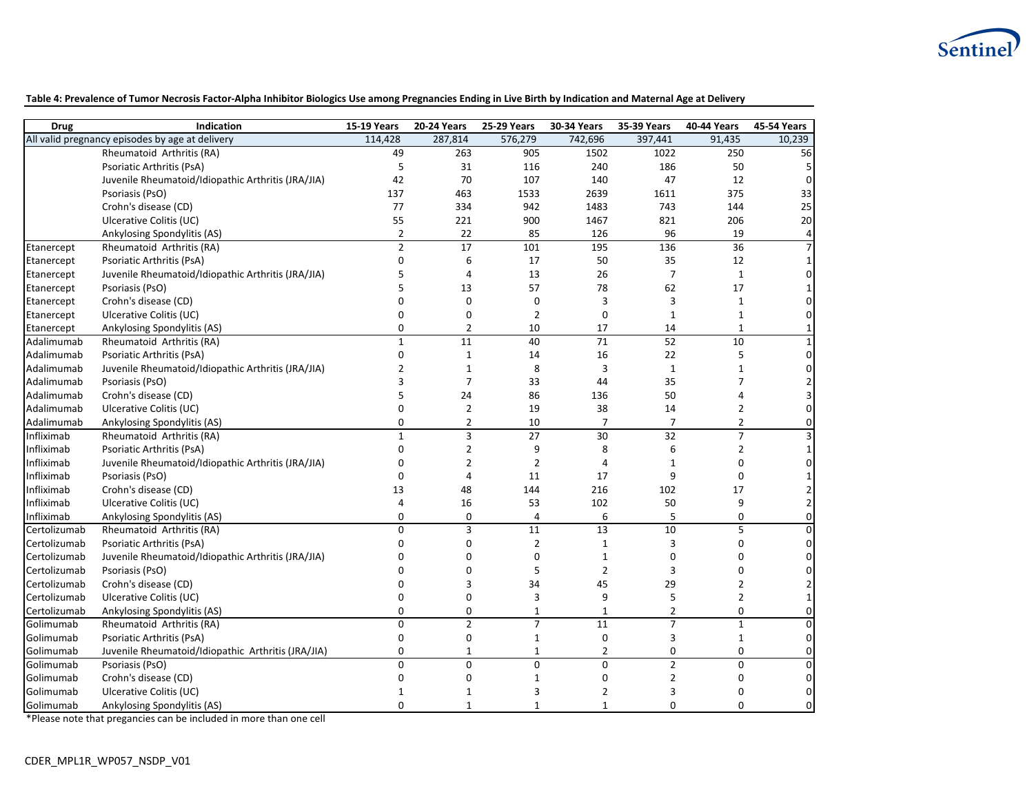

**Table 4: Prevalence of Tumor Necrosis Factor-Alpha Inhibitor Biologics Use among Pregnancies Ending in Live Birth by Indication and Maternal Age at Delivery**

| <b>Drug</b>  | Indication                                         | <b>15-19 Years</b> | <b>20-24 Years</b> | <b>25-29 Years</b> | <b>30-34 Years</b> | 35-39 Years     | 40-44 Years    | 45-54 Years    |
|--------------|----------------------------------------------------|--------------------|--------------------|--------------------|--------------------|-----------------|----------------|----------------|
|              | All valid pregnancy episodes by age at delivery    | 114,428            | 287,814            | 576,279            | 742,696            | 397,441         | 91,435         | 10,239         |
|              | Rheumatoid Arthritis (RA)                          | 49                 | 263                | 905                | 1502               | 1022            | 250            | 56             |
|              | Psoriatic Arthritis (PsA)                          | 5                  | 31                 | 116                | 240                | 186             | 50             | 5              |
|              | Juvenile Rheumatoid/Idiopathic Arthritis (JRA/JIA) | 42                 | 70                 | 107                | 140                | 47              | 12             | $\mathbf 0$    |
|              | Psoriasis (PsO)                                    | 137                | 463                | 1533               | 2639               | 1611            | 375            | 33             |
|              | Crohn's disease (CD)                               | 77                 | 334                | 942                | 1483               | 743             | 144            | 25             |
|              | Ulcerative Colitis (UC)                            | 55                 | 221                | 900                | 1467               | 821             | 206            | $20\,$         |
|              | Ankylosing Spondylitis (AS)                        | $\overline{2}$     | 22                 | 85                 | 126                | 96              | 19             | $\overline{a}$ |
| Etanercept   | Rheumatoid Arthritis (RA)                          | $\overline{2}$     | 17                 | 101                | 195                | $\frac{136}{2}$ | 36             | $\overline{7}$ |
| Etanercept   | Psoriatic Arthritis (PsA)                          | $\mathbf 0$        | 6                  | 17                 | 50                 | 35              | 12             | 1              |
| Etanercept   | Juvenile Rheumatoid/Idiopathic Arthritis (JRA/JIA) | 5                  | $\overline{4}$     | 13                 | 26                 | 7               | $\mathbf{1}$   | $\Omega$       |
| Etanercept   | Psoriasis (PsO)                                    | 5                  | 13                 | 57                 | 78                 | 62              | 17             |                |
| Etanercept   | Crohn's disease (CD)                               | $\Omega$           | $\mathbf 0$        | 0                  | 3                  | 3               | 1              | 0              |
| Etanercept   | Ulcerative Colitis (UC)                            | $\mathbf 0$        | $\mathbf 0$        | $\overline{2}$     | $\mathbf 0$        | $\mathbf{1}$    | $\mathbf{1}$   | $\mathbf{0}$   |
| Etanercept   | Ankylosing Spondylitis (AS)                        | $\Omega$           | $\overline{2}$     | 10                 | 17                 | 14              | $\mathbf{1}$   | $\mathbf{1}$   |
| Adalimumab   | Rheumatoid Arthritis (RA)                          | $\mathbf{1}$       | 11                 | 40                 | 71                 | 52              | 10             | $\mathbf{1}$   |
| Adalimumab   | Psoriatic Arthritis (PsA)                          | $\mathbf 0$        | $\mathbf{1}$       | 14                 | 16                 | 22              | 5              | $\mathbf{0}$   |
| Adalimumab   | Juvenile Rheumatoid/Idiopathic Arthritis (JRA/JIA) | $\overline{2}$     | $\mathbf 1$        | 8                  | 3                  | $\mathbf{1}$    | $\mathbf{1}$   |                |
| Adalimumab   | Psoriasis (PsO)                                    | 3                  | $\overline{7}$     | 33                 | 44                 | 35              | $\overline{7}$ |                |
| Adalimumab   | Crohn's disease (CD)                               | 5                  | 24                 | 86                 | 136                | 50              | $\overline{4}$ |                |
| Adalimumab   | Ulcerative Colitis (UC)                            | 0                  | $\overline{2}$     | 19                 | 38                 | 14              | $\overline{2}$ | $\mathbf{0}$   |
| Adalimumab   | Ankylosing Spondylitis (AS)                        | $\mathbf 0$        | $\overline{2}$     | 10                 | $\overline{7}$     | $\overline{7}$  | $\overline{2}$ | $\mathbf 0$    |
| Infliximab   | Rheumatoid Arthritis (RA)                          | $\mathbf{1}$       | $\overline{3}$     | 27                 | 30                 | $\overline{32}$ | $\overline{7}$ | 3              |
| Infliximab   | Psoriatic Arthritis (PsA)                          | $\mathbf 0$        | $\mathbf 2$        | 9                  | 8                  | 6               | $\overline{2}$ |                |
| Infliximab   | Juvenile Rheumatoid/Idiopathic Arthritis (JRA/JIA) | $\Omega$           | $\overline{2}$     | $\overline{2}$     | 4                  | $\mathbf{1}$    | $\Omega$       | $\Omega$       |
| Infliximab   | Psoriasis (PsO)                                    | $\Omega$           | $\overline{4}$     | 11                 | 17                 | 9               | $\Omega$       |                |
| Infliximab   | Crohn's disease (CD)                               | 13                 | 48                 | 144                | 216                | 102             | 17             |                |
| Infliximab   | Ulcerative Colitis (UC)                            | 4                  | 16                 | 53                 | 102                | 50              | 9              | $\overline{2}$ |
| Infliximab   | Ankylosing Spondylitis (AS)                        | $\Omega$           | $\pmb{0}$          | 4                  | 6                  | 5               | $\Omega$       | $\mathbf{0}$   |
| Certolizumab | Rheumatoid Arthritis (RA)                          | $\Omega$           | 3                  | 11                 | $\overline{13}$    | $\overline{10}$ | 5              | $\Omega$       |
| Certolizumab | Psoriatic Arthritis (PsA)                          | $\Omega$           | $\mathbf 0$        | $\overline{2}$     | $\mathbf{1}$       | 3               | $\mathbf 0$    | $\overline{0}$ |
| Certolizumab | Juvenile Rheumatoid/Idiopathic Arthritis (JRA/JIA) | $\Omega$           | $\mathbf 0$        | $\mathbf 0$        | $\mathbf{1}$       | 0               | $\Omega$       | $\Omega$       |
| Certolizumab | Psoriasis (PsO)                                    | $\Omega$           | $\mathbf 0$        | 5                  | $\overline{2}$     | 3               | $\Omega$       | $\Omega$       |
| Certolizumab | Crohn's disease (CD)                               | 0                  | $\overline{3}$     | 34                 | 45                 | 29              | $\overline{2}$ | $\overline{2}$ |
| Certolizumab | Ulcerative Colitis (UC)                            | $\Omega$           | $\mathbf 0$        | 3                  | 9                  | 5               | $\overline{2}$ | $\mathbf{1}$   |
| Certolizumab | Ankylosing Spondylitis (AS)                        | $\Omega$           | $\mathbf 0$        | $\mathbf{1}$       | $\mathbf{1}$       | $\overline{2}$  | $\Omega$       | $\mathbf 0$    |
| Golimumab    | Rheumatoid Arthritis (RA)                          | $\Omega$           | $\overline{2}$     | $\overline{7}$     | 11                 | $\overline{7}$  | $\mathbf{1}$   | $\mathbf{0}$   |
| Golimumab    | Psoriatic Arthritis (PsA)                          | $\Omega$           | $\boldsymbol{0}$   | $\mathbf{1}$       | 0                  | 3               | 1              | $\mathbf{0}$   |
| Golimumab    | Juvenile Rheumatoid/Idiopathic Arthritis (JRA/JIA) | $\Omega$           | $\mathbf{1}$       | 1                  | $\overline{2}$     | 0               | $\mathbf{0}$   | $\mathbf 0$    |
| Golimumab    | Psoriasis (PsO)                                    | $\Omega$           | $\Omega$           | $\Omega$           | $\Omega$           | $\mathbf 2$     | $\Omega$       | $\Omega$       |
| Golimumab    | Crohn's disease (CD)                               | $\mathbf 0$        | $\mathbf 0$        | $\mathbf{1}$       | 0                  | $\overline{2}$  | $\Omega$       | $\mathbf{0}$   |
| Golimumab    | Ulcerative Colitis (UC)                            | $\mathbf{1}$       | $\mathbf{1}$       | 3                  | $\overline{2}$     | 3               | $\Omega$       | $\mathbf 0$    |
| Golimumab    | Ankylosing Spondylitis (AS)                        | $\Omega$           | $\mathbf{1}$       | $\mathbf{1}$       | $\mathbf{1}$       | $\Omega$        | $\Omega$       | $\Omega$       |

\*Please note that pregancies can be included in more than one cell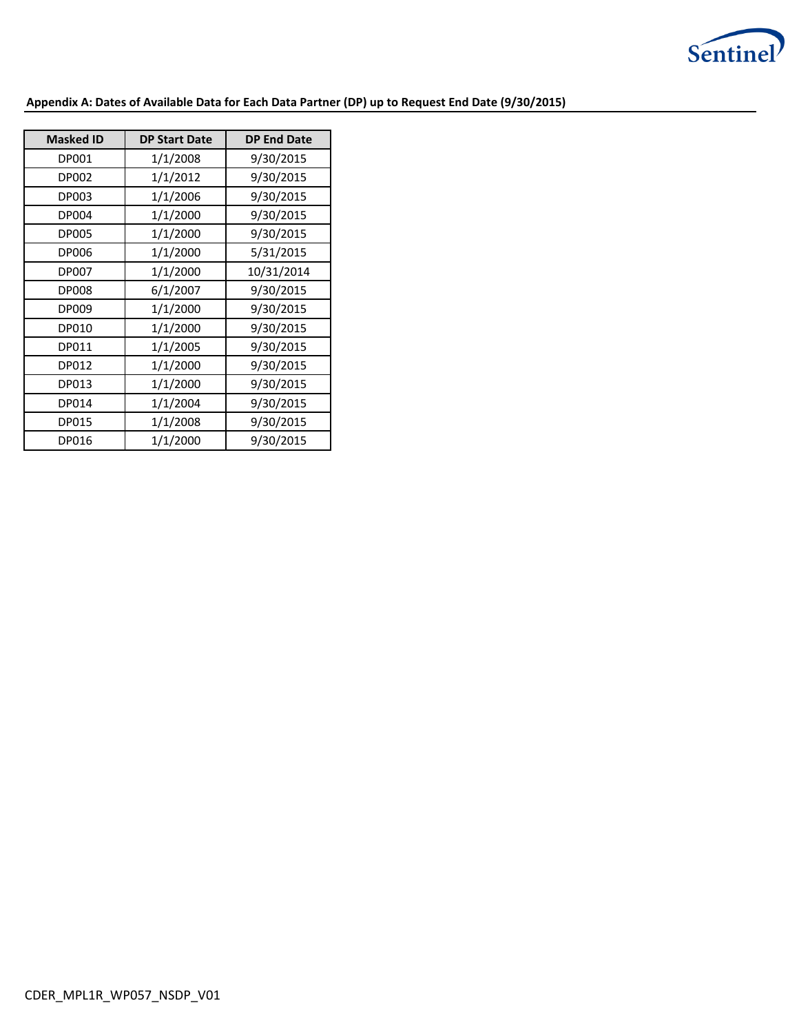

## **Appendix A: Dates of Available Data for Each Data Partner (DP) up to Request End Date (9/30/2015)**

| <b>Masked ID</b> | <b>DP Start Date</b> | <b>DP End Date</b> |
|------------------|----------------------|--------------------|
| DP001            | 1/1/2008             | 9/30/2015          |
| <b>DP002</b>     | 1/1/2012             | 9/30/2015          |
| DP003            | 1/1/2006             | 9/30/2015          |
| <b>DP004</b>     | 1/1/2000             | 9/30/2015          |
| <b>DP005</b>     | 1/1/2000             | 9/30/2015          |
| DP006            | 1/1/2000             | 5/31/2015          |
| <b>DP007</b>     | 1/1/2000             | 10/31/2014         |
| <b>DP008</b>     | 6/1/2007             | 9/30/2015          |
| DP009            | 1/1/2000             | 9/30/2015          |
| <b>DP010</b>     | 1/1/2000             | 9/30/2015          |
| DP011            | 1/1/2005             | 9/30/2015          |
| DP012            | 1/1/2000             | 9/30/2015          |
| DP013            | 1/1/2000             | 9/30/2015          |
| DP014            | 1/1/2004             | 9/30/2015          |
| DP015            | 1/1/2008             | 9/30/2015          |
| DP016            | 1/1/2000             | 9/30/2015          |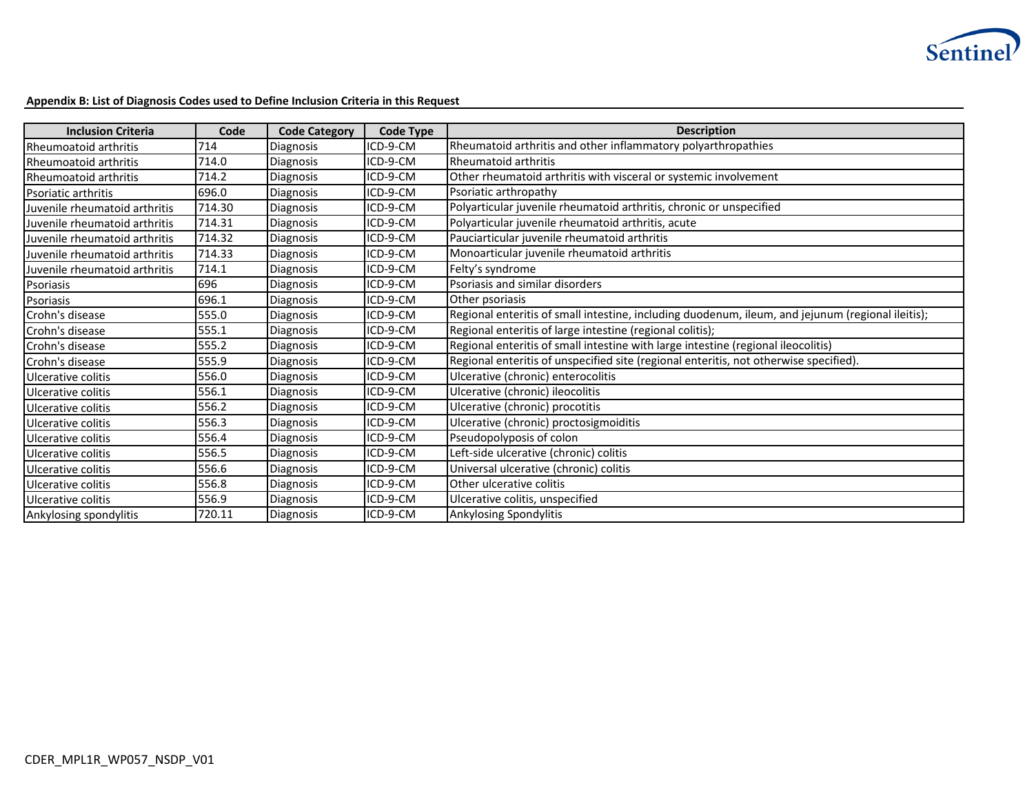

### **Appendix B: List of Diagnosis Codes used to Define Inclusion Criteria in this Request**

| <b>Inclusion Criteria</b>     | Code   | <b>Code Category</b> | <b>Code Type</b> | <b>Description</b>                                                                                |
|-------------------------------|--------|----------------------|------------------|---------------------------------------------------------------------------------------------------|
| <b>Rheumoatoid arthritis</b>  | 714    | <b>Diagnosis</b>     | ICD-9-CM         | Rheumatoid arthritis and other inflammatory polyarthropathies                                     |
| Rheumoatoid arthritis         | 714.0  | Diagnosis            | ICD-9-CM         | Rheumatoid arthritis                                                                              |
| Rheumoatoid arthritis         | 714.2  | <b>Diagnosis</b>     | ICD-9-CM         | Other rheumatoid arthritis with visceral or systemic involvement                                  |
| Psoriatic arthritis           | 696.0  | Diagnosis            | ICD-9-CM         | Psoriatic arthropathy                                                                             |
| Juvenile rheumatoid arthritis | 714.30 | Diagnosis            | ICD-9-CM         | Polyarticular juvenile rheumatoid arthritis, chronic or unspecified                               |
| Juvenile rheumatoid arthritis | 714.31 | Diagnosis            | ICD-9-CM         | Polyarticular juvenile rheumatoid arthritis, acute                                                |
| Juvenile rheumatoid arthritis | 714.32 | Diagnosis            | ICD-9-CM         | Pauciarticular juvenile rheumatoid arthritis                                                      |
| Juvenile rheumatoid arthritis | 714.33 | Diagnosis            | ICD-9-CM         | Monoarticular juvenile rheumatoid arthritis                                                       |
| Juvenile rheumatoid arthritis | 714.1  | Diagnosis            | ICD-9-CM         | Felty's syndrome                                                                                  |
| Psoriasis                     | 696    | <b>Diagnosis</b>     | ICD-9-CM         | Psoriasis and similar disorders                                                                   |
| Psoriasis                     | 696.1  | Diagnosis            | ICD-9-CM         | Other psoriasis                                                                                   |
| Crohn's disease               | 555.0  | <b>Diagnosis</b>     | ICD-9-CM         | Regional enteritis of small intestine, including duodenum, ileum, and jejunum (regional ileitis); |
| Crohn's disease               | 555.1  | Diagnosis            | ICD-9-CM         | Regional enteritis of large intestine (regional colitis);                                         |
| Crohn's disease               | 555.2  | Diagnosis            | ICD-9-CM         | Regional enteritis of small intestine with large intestine (regional ileocolitis)                 |
| Crohn's disease               | 555.9  | Diagnosis            | ICD-9-CM         | Regional enteritis of unspecified site (regional enteritis, not otherwise specified).             |
| Ulcerative colitis            | 556.0  | Diagnosis            | ICD-9-CM         | Ulcerative (chronic) enterocolitis                                                                |
| Ulcerative colitis            | 556.1  | Diagnosis            | ICD-9-CM         | Ulcerative (chronic) ileocolitis                                                                  |
| Ulcerative colitis            | 556.2  | Diagnosis            | ICD-9-CM         | Ulcerative (chronic) procotitis                                                                   |
| Ulcerative colitis            | 556.3  | Diagnosis            | ICD-9-CM         | Ulcerative (chronic) proctosigmoiditis                                                            |
| Ulcerative colitis            | 556.4  | Diagnosis            | ICD-9-CM         | Pseudopolyposis of colon                                                                          |
| Ulcerative colitis            | 556.5  | <b>Diagnosis</b>     | ICD-9-CM         | Left-side ulcerative (chronic) colitis                                                            |
| Ulcerative colitis            | 556.6  | <b>Diagnosis</b>     | ICD-9-CM         | Universal ulcerative (chronic) colitis                                                            |
| Ulcerative colitis            | 556.8  | Diagnosis            | ICD-9-CM         | Other ulcerative colitis                                                                          |
| Ulcerative colitis            | 556.9  | <b>Diagnosis</b>     | ICD-9-CM         | Ulcerative colitis, unspecified                                                                   |
| Ankylosing spondylitis        | 720.11 | Diagnosis            | ICD-9-CM         | Ankylosing Spondylitis                                                                            |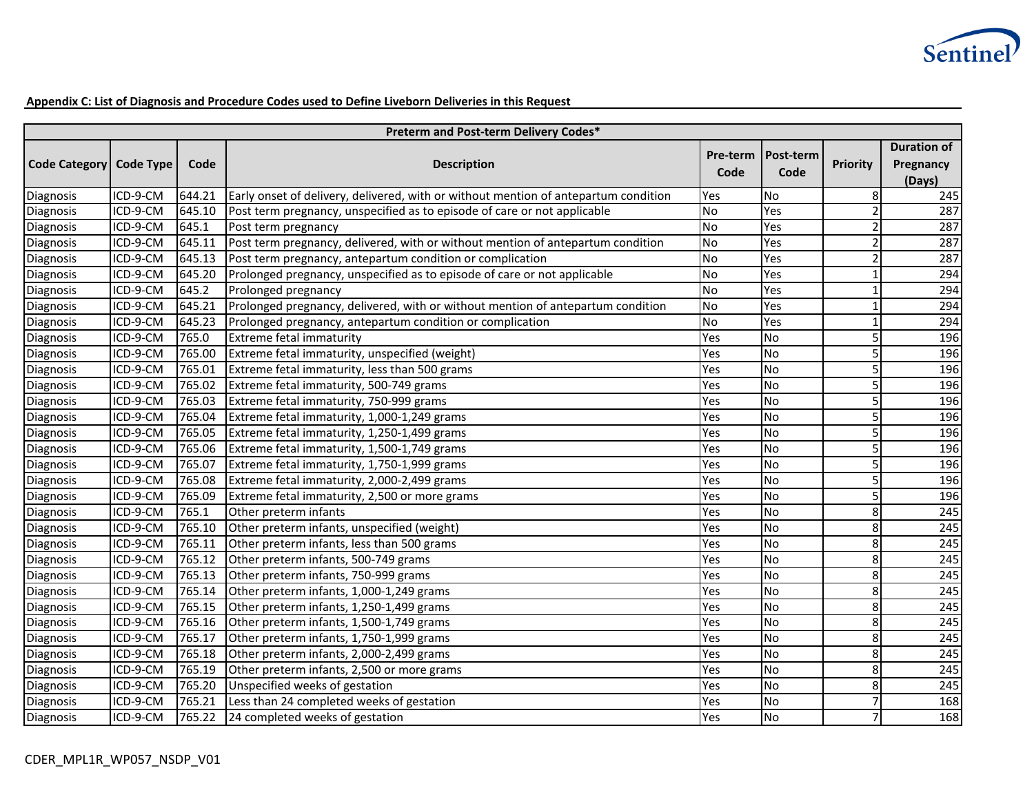

### **Appendix C: List of Diagnosis and Procedure Codes used to Define Liveborn Deliveries in this Request**

| Preterm and Post-term Delivery Codes* |                        |        |                                                                                     |           |                   |                 |                                           |  |  |
|---------------------------------------|------------------------|--------|-------------------------------------------------------------------------------------|-----------|-------------------|-----------------|-------------------------------------------|--|--|
| <b>Code Category</b>                  | <b>Code Type</b>       | Code   | <b>Description</b>                                                                  |           | Post-term<br>Code | <b>Priority</b> | <b>Duration of</b><br>Pregnancy<br>(Days) |  |  |
| Diagnosis                             | ICD-9-CM               | 644.21 | Early onset of delivery, delivered, with or without mention of antepartum condition | Yes       | <b>No</b>         | 8               | 245                                       |  |  |
| <b>Diagnosis</b>                      | $\overline{ICD-9}$ -CM | 645.10 | Post term pregnancy, unspecified as to episode of care or not applicable            | <b>No</b> | Yes               | 2               | 287                                       |  |  |
| Diagnosis                             | ICD-9-CM               | 645.1  | Post term pregnancy                                                                 | <b>No</b> | Yes               | $\overline{2}$  | 287                                       |  |  |
| Diagnosis                             | ICD-9-CM               | 645.11 | Post term pregnancy, delivered, with or without mention of antepartum condition     | <b>No</b> | Yes               | 2               | 287                                       |  |  |
| Diagnosis                             | ICD-9-CM               | 645.13 | Post term pregnancy, antepartum condition or complication                           | <b>No</b> | Yes               | 2               | 287                                       |  |  |
| Diagnosis                             | ICD-9-CM               | 645.20 | Prolonged pregnancy, unspecified as to episode of care or not applicable            | <b>No</b> | Yes               | $\mathbf{1}$    | 294                                       |  |  |
| Diagnosis                             | ICD-9-CM               | 645.2  | Prolonged pregnancy                                                                 | <b>No</b> | Yes               | $\mathbf{1}$    | 294                                       |  |  |
| Diagnosis                             | ICD-9-CM               | 645.21 | Prolonged pregnancy, delivered, with or without mention of antepartum condition     | <b>No</b> | Yes               | $\mathbf{1}$    | 294                                       |  |  |
| Diagnosis                             | ICD-9-CM               | 645.23 | Prolonged pregnancy, antepartum condition or complication                           | <b>No</b> | Yes               | $\mathbf{1}$    | 294                                       |  |  |
| Diagnosis                             | ICD-9-CM               | 765.0  | Extreme fetal immaturity                                                            | Yes       | No                | 5               | 196                                       |  |  |
| Diagnosis                             | ICD-9-CM               | 765.00 | Extreme fetal immaturity, unspecified (weight)                                      | Yes       | No                | 5               | 196                                       |  |  |
| Diagnosis                             | ICD-9-CM               | 765.01 | Extreme fetal immaturity, less than 500 grams                                       | Yes       | <b>No</b>         | 5               | 196                                       |  |  |
| Diagnosis                             | ICD-9-CM               | 765.02 | Extreme fetal immaturity, 500-749 grams                                             | Yes       | <b>No</b>         | 5               | 196                                       |  |  |
| Diagnosis                             | ICD-9-CM               | 765.03 | Extreme fetal immaturity, 750-999 grams                                             | Yes       | <b>No</b>         | 5               | 196                                       |  |  |
| Diagnosis                             | ICD-9-CM               | 765.04 | Extreme fetal immaturity, 1,000-1,249 grams                                         | Yes       | <b>No</b>         | 5               | 196                                       |  |  |
| Diagnosis                             | ICD-9-CM               | 765.05 | Extreme fetal immaturity, 1,250-1,499 grams                                         | Yes       | No                | 5               | 196                                       |  |  |
| Diagnosis                             | ICD-9-CM               | 765.06 | Extreme fetal immaturity, 1,500-1,749 grams                                         | Yes       | <b>No</b>         | 5               | 196                                       |  |  |
| Diagnosis                             | ICD-9-CM               | 765.07 | Extreme fetal immaturity, 1,750-1,999 grams                                         | Yes       | <b>No</b>         | 5               | 196                                       |  |  |
| Diagnosis                             | ICD-9-CM               | 765.08 | Extreme fetal immaturity, 2,000-2,499 grams                                         | Yes       | <b>No</b>         | 5               | 196                                       |  |  |
| Diagnosis                             | ICD-9-CM               | 765.09 | Extreme fetal immaturity, 2,500 or more grams                                       | Yes       | <b>No</b>         | 5               | 196                                       |  |  |
| Diagnosis                             | ICD-9-CM               | 765.1  | Other preterm infants                                                               | Yes       | <b>No</b>         | 8               | 245                                       |  |  |
| Diagnosis                             | ICD-9-CM               | 765.10 | Other preterm infants, unspecified (weight)                                         | Yes       | <b>No</b>         | 8               | 245                                       |  |  |
| Diagnosis                             | ICD-9-CM               | 765.11 | Other preterm infants, less than 500 grams                                          | Yes       | <b>No</b>         | 8               | 245                                       |  |  |
| Diagnosis                             | ICD-9-CM               | 765.12 | Other preterm infants, 500-749 grams                                                | Yes       | <b>No</b>         | 8               | 245                                       |  |  |
| Diagnosis                             | ICD-9-CM               | 765.13 | Other preterm infants, 750-999 grams                                                | Yes       | <b>No</b>         | 8               | 245                                       |  |  |
| <b>Diagnosis</b>                      | ICD-9-CM               | 765.14 | Other preterm infants, 1,000-1,249 grams                                            | Yes       | <b>No</b>         | 8               | 245                                       |  |  |
| Diagnosis                             | ICD-9-CM               | 765.15 | Other preterm infants, 1,250-1,499 grams                                            | Yes       | <b>No</b>         | 8               | 245                                       |  |  |
| Diagnosis                             | ICD-9-CM               | 765.16 | Other preterm infants, 1,500-1,749 grams                                            | Yes       | <b>No</b>         | $\bf 8$         | 245                                       |  |  |
| Diagnosis                             | ICD-9-CM               | 765.17 | Other preterm infants, 1,750-1,999 grams                                            | Yes       | <b>No</b>         | 8               | 245                                       |  |  |
| Diagnosis                             | ICD-9-CM               | 765.18 | Other preterm infants, 2,000-2,499 grams                                            | Yes       | <b>No</b>         | 8               | 245                                       |  |  |
| Diagnosis                             | ICD-9-CM               | 765.19 | Other preterm infants, 2,500 or more grams                                          | Yes       | <b>No</b>         | 8               | 245                                       |  |  |
| Diagnosis                             | ICD-9-CM               | 765.20 | Unspecified weeks of gestation                                                      | Yes       | <b>No</b>         | 8               | 245                                       |  |  |
| Diagnosis                             | ICD-9-CM               | 765.21 | Less than 24 completed weeks of gestation                                           | Yes       | No                | $\overline{7}$  | 168                                       |  |  |
| Diagnosis                             | ICD-9-CM               | 765.22 | 24 completed weeks of gestation                                                     | Yes       | <b>No</b>         | $\overline{7}$  | 168                                       |  |  |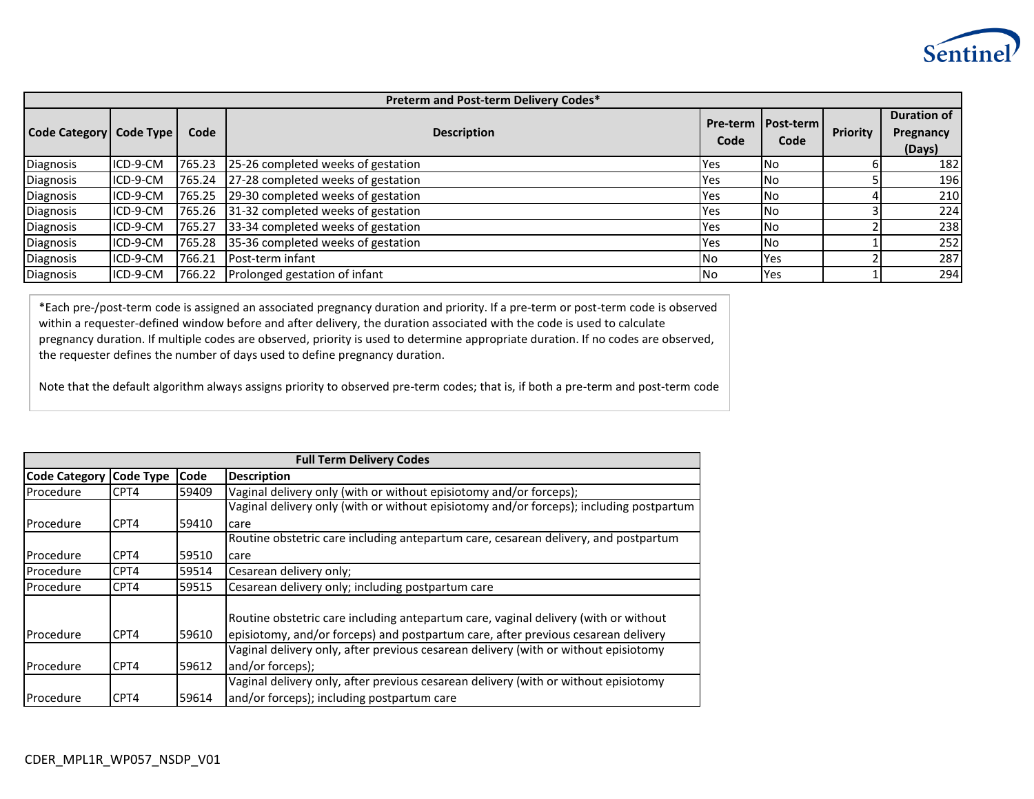

| Preterm and Post-term Delivery Codes* |           |        |                                           |                  |                            |                 |                                           |  |  |  |  |
|---------------------------------------|-----------|--------|-------------------------------------------|------------------|----------------------------|-----------------|-------------------------------------------|--|--|--|--|
| <b>Code Category</b>                  | Code Type | Code   | <b>Description</b>                        | Pre-term<br>Code | <b>I</b> Post-term<br>Code | <b>Priority</b> | <b>Duration of</b><br>Pregnancy<br>(Days) |  |  |  |  |
| Diagnosis                             | ICD-9-CM  | 765.23 | 25-26 completed weeks of gestation        | Yes              | l No                       |                 | 182                                       |  |  |  |  |
| <b>Diagnosis</b>                      | ICD-9-CM  | 765.24 | 27-28 completed weeks of gestation        | Yes              | l No                       |                 | 196                                       |  |  |  |  |
| Diagnosis                             | ICD-9-CM  | 765.25 | 29-30 completed weeks of gestation        | Yes              | No.                        |                 | 210                                       |  |  |  |  |
| Diagnosis                             | ICD-9-CM  |        | 765.26 31-32 completed weeks of gestation | <b>Yes</b>       | No.                        |                 | 224                                       |  |  |  |  |
| Diagnosis                             | ICD-9-CM  | 765.27 | 33-34 completed weeks of gestation        | Yes              | No.                        |                 | 238                                       |  |  |  |  |
| <b>Diagnosis</b>                      | ICD-9-CM  | 765.28 | 35-36 completed weeks of gestation        | Yes              | No.                        |                 | 252                                       |  |  |  |  |
| <b>Diagnosis</b>                      | ICD-9-CM  | 766.21 | Post-term infant                          | l No             | Yes                        |                 | 287                                       |  |  |  |  |
| Diagnosis                             | ICD-9-CM  | 766.22 | Prolonged gestation of infant             | l No             | Yes                        |                 | 294                                       |  |  |  |  |

\*Each pre-/post-term code is assigned an associated pregnancy duration and priority. If a pre-term or post-term code is observed within a requester-defined window before and after delivery, the duration associated with the code is used to calculate pregnancy duration. If multiple codes are observed, priority is used to determine appropriate duration. If no codes are observed, the requester defines the number of days used to define pregnancy duration.

Note that the default algorithm always assigns priority to observed pre-term codes; that is, if both a pre-term and post-term code

|                         | <b>Full Term Delivery Codes</b> |             |                                                                                                                                                                          |  |  |  |  |  |  |
|-------------------------|---------------------------------|-------------|--------------------------------------------------------------------------------------------------------------------------------------------------------------------------|--|--|--|--|--|--|
| Code Category Code Type |                                 | <b>Code</b> | <b>Description</b>                                                                                                                                                       |  |  |  |  |  |  |
| Procedure               | CPT4                            | 59409       | Vaginal delivery only (with or without episiotomy and/or forceps);                                                                                                       |  |  |  |  |  |  |
|                         |                                 |             | Vaginal delivery only (with or without episiotomy and/or forceps); including postpartum                                                                                  |  |  |  |  |  |  |
| Procedure               | CPT4                            | 59410       | care                                                                                                                                                                     |  |  |  |  |  |  |
|                         |                                 |             | Routine obstetric care including antepartum care, cesarean delivery, and postpartum                                                                                      |  |  |  |  |  |  |
| Procedure               | CPT4                            | 59510       | care                                                                                                                                                                     |  |  |  |  |  |  |
| Procedure               | CPT4                            | 59514       | Cesarean delivery only;                                                                                                                                                  |  |  |  |  |  |  |
| Procedure               | CPT4                            | 59515       | Cesarean delivery only; including postpartum care                                                                                                                        |  |  |  |  |  |  |
| Procedure               | CPT4                            | 59610       | Routine obstetric care including antepartum care, vaginal delivery (with or without<br>episiotomy, and/or forceps) and postpartum care, after previous cesarean delivery |  |  |  |  |  |  |
|                         |                                 |             | Vaginal delivery only, after previous cesarean delivery (with or without episiotomy                                                                                      |  |  |  |  |  |  |
| Procedure               | CPT4                            | 59612       | and/or forceps);                                                                                                                                                         |  |  |  |  |  |  |
|                         |                                 |             | Vaginal delivery only, after previous cesarean delivery (with or without episiotomy                                                                                      |  |  |  |  |  |  |
| Procedure               | CPT4                            | 59614       | and/or forceps); including postpartum care                                                                                                                               |  |  |  |  |  |  |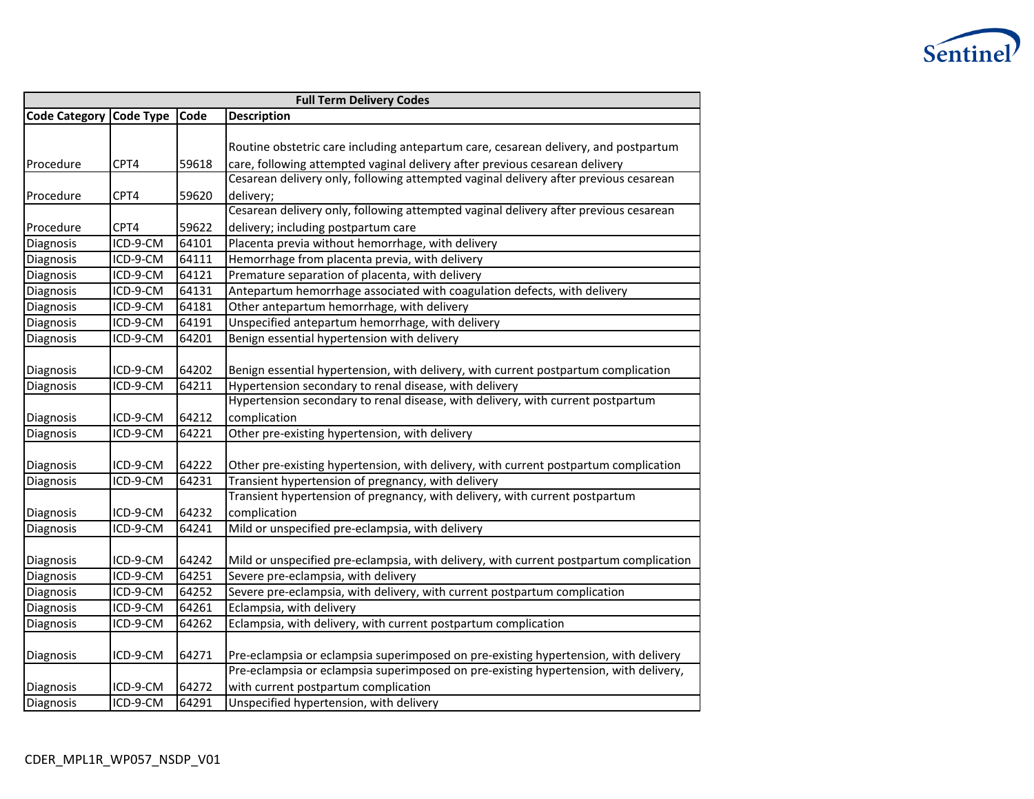

| <b>Full Term Delivery Codes</b> |                        |       |                                                                                        |  |  |  |  |
|---------------------------------|------------------------|-------|----------------------------------------------------------------------------------------|--|--|--|--|
| <b>Code Category</b>            | <b>Code Type</b>       | Code  | <b>Description</b>                                                                     |  |  |  |  |
|                                 |                        |       |                                                                                        |  |  |  |  |
|                                 |                        |       | Routine obstetric care including antepartum care, cesarean delivery, and postpartum    |  |  |  |  |
| Procedure                       | CPT4                   | 59618 | care, following attempted vaginal delivery after previous cesarean delivery            |  |  |  |  |
|                                 |                        |       | Cesarean delivery only, following attempted vaginal delivery after previous cesarean   |  |  |  |  |
| Procedure                       | CPT4                   | 59620 | delivery;                                                                              |  |  |  |  |
|                                 |                        |       | Cesarean delivery only, following attempted vaginal delivery after previous cesarean   |  |  |  |  |
| Procedure                       | CPT4                   | 59622 | delivery; including postpartum care                                                    |  |  |  |  |
| Diagnosis                       | ICD-9-CM               | 64101 | Placenta previa without hemorrhage, with delivery                                      |  |  |  |  |
| Diagnosis                       | ICD-9-CM               | 64111 | Hemorrhage from placenta previa, with delivery                                         |  |  |  |  |
| Diagnosis                       | ICD-9-CM               | 64121 | Premature separation of placenta, with delivery                                        |  |  |  |  |
| Diagnosis                       | ICD-9-CM               | 64131 | Antepartum hemorrhage associated with coagulation defects, with delivery               |  |  |  |  |
| Diagnosis                       | ICD-9-CM               | 64181 | Other antepartum hemorrhage, with delivery                                             |  |  |  |  |
| Diagnosis                       | ICD-9-CM               | 64191 | Unspecified antepartum hemorrhage, with delivery                                       |  |  |  |  |
| Diagnosis                       | ICD-9-CM               | 64201 | Benign essential hypertension with delivery                                            |  |  |  |  |
|                                 |                        |       |                                                                                        |  |  |  |  |
| Diagnosis                       | ICD-9-CM               | 64202 | Benign essential hypertension, with delivery, with current postpartum complication     |  |  |  |  |
| Diagnosis                       | ICD-9-CM               | 64211 | Hypertension secondary to renal disease, with delivery                                 |  |  |  |  |
|                                 |                        |       | Hypertension secondary to renal disease, with delivery, with current postpartum        |  |  |  |  |
| Diagnosis                       | ICD-9-CM               | 64212 | complication                                                                           |  |  |  |  |
| Diagnosis                       | ICD-9-CM               | 64221 | Other pre-existing hypertension, with delivery                                         |  |  |  |  |
|                                 |                        |       |                                                                                        |  |  |  |  |
| Diagnosis                       | ICD-9-CM               | 64222 | Other pre-existing hypertension, with delivery, with current postpartum complication   |  |  |  |  |
| Diagnosis                       | ICD-9-CM               | 64231 | Transient hypertension of pregnancy, with delivery                                     |  |  |  |  |
|                                 |                        |       | Transient hypertension of pregnancy, with delivery, with current postpartum            |  |  |  |  |
| Diagnosis                       | ICD-9-CM               | 64232 | complication                                                                           |  |  |  |  |
| Diagnosis                       | ICD-9-CM               | 64241 | Mild or unspecified pre-eclampsia, with delivery                                       |  |  |  |  |
|                                 |                        |       |                                                                                        |  |  |  |  |
| Diagnosis                       | ICD-9-CM               | 64242 | Mild or unspecified pre-eclampsia, with delivery, with current postpartum complication |  |  |  |  |
| Diagnosis                       | ICD-9-CM               | 64251 | Severe pre-eclampsia, with delivery                                                    |  |  |  |  |
| Diagnosis                       | ICD-9-CM               | 64252 | Severe pre-eclampsia, with delivery, with current postpartum complication              |  |  |  |  |
| Diagnosis                       | $\overline{ICD-9}$ -CM | 64261 | Eclampsia, with delivery                                                               |  |  |  |  |
| Diagnosis                       | ICD-9-CM               | 64262 | Eclampsia, with delivery, with current postpartum complication                         |  |  |  |  |
|                                 |                        |       |                                                                                        |  |  |  |  |
| Diagnosis                       | ICD-9-CM               | 64271 | Pre-eclampsia or eclampsia superimposed on pre-existing hypertension, with delivery    |  |  |  |  |
|                                 |                        |       | Pre-eclampsia or eclampsia superimposed on pre-existing hypertension, with delivery,   |  |  |  |  |
| Diagnosis                       | ICD-9-CM               | 64272 | with current postpartum complication                                                   |  |  |  |  |
| Diagnosis                       | $ICD-9-CM$             | 64291 | Unspecified hypertension, with delivery                                                |  |  |  |  |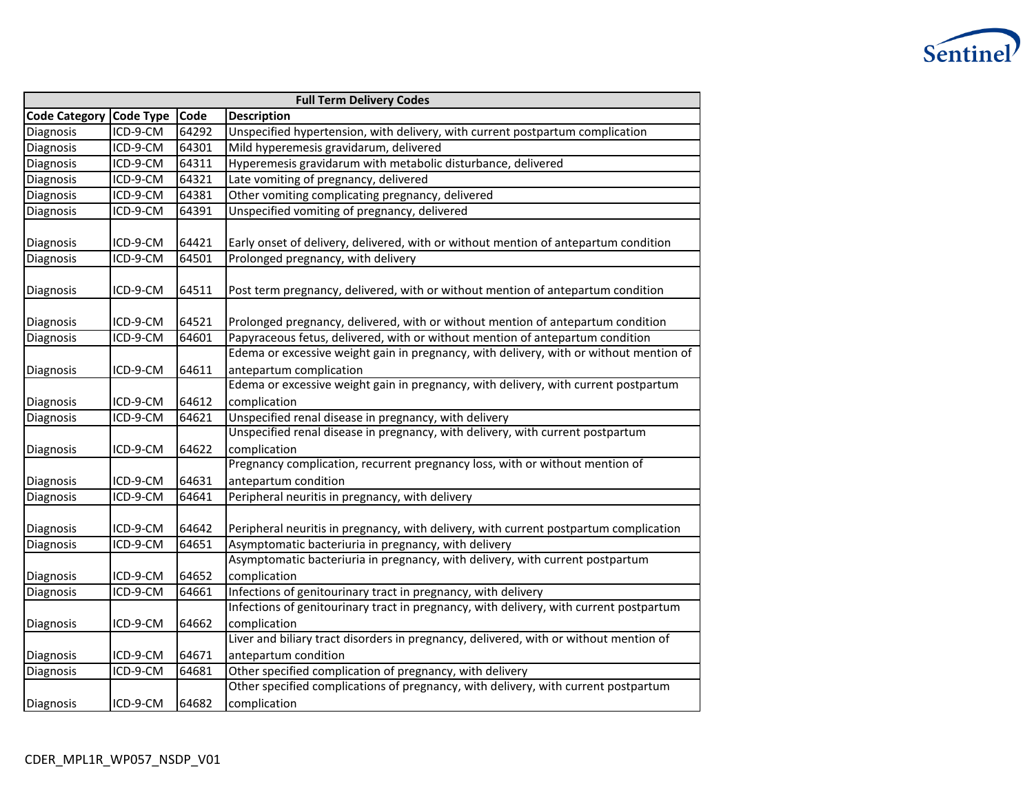

| <b>Full Term Delivery Codes</b> |                  |       |                                                                                                                   |  |  |  |  |
|---------------------------------|------------------|-------|-------------------------------------------------------------------------------------------------------------------|--|--|--|--|
| <b>Code Category</b>            | <b>Code Type</b> | Code  | <b>Description</b>                                                                                                |  |  |  |  |
| Diagnosis                       | ICD-9-CM         | 64292 | Unspecified hypertension, with delivery, with current postpartum complication                                     |  |  |  |  |
| Diagnosis                       | ICD-9-CM         | 64301 | Mild hyperemesis gravidarum, delivered                                                                            |  |  |  |  |
| Diagnosis                       | ICD-9-CM         | 64311 | Hyperemesis gravidarum with metabolic disturbance, delivered                                                      |  |  |  |  |
| Diagnosis                       | ICD-9-CM         | 64321 | Late vomiting of pregnancy, delivered                                                                             |  |  |  |  |
| Diagnosis                       | ICD-9-CM         | 64381 | Other vomiting complicating pregnancy, delivered                                                                  |  |  |  |  |
| <b>Diagnosis</b>                | ICD-9-CM         | 64391 | Unspecified vomiting of pregnancy, delivered                                                                      |  |  |  |  |
| Diagnosis                       | ICD-9-CM         | 64421 | Early onset of delivery, delivered, with or without mention of antepartum condition                               |  |  |  |  |
| Diagnosis                       | ICD-9-CM         | 64501 | Prolonged pregnancy, with delivery                                                                                |  |  |  |  |
| Diagnosis                       | ICD-9-CM         | 64511 | Post term pregnancy, delivered, with or without mention of antepartum condition                                   |  |  |  |  |
| Diagnosis                       | ICD-9-CM         | 64521 | Prolonged pregnancy, delivered, with or without mention of antepartum condition                                   |  |  |  |  |
| Diagnosis                       | ICD-9-CM         | 64601 | Papyraceous fetus, delivered, with or without mention of antepartum condition                                     |  |  |  |  |
| Diagnosis                       | ICD-9-CM         | 64611 | Edema or excessive weight gain in pregnancy, with delivery, with or without mention of<br>antepartum complication |  |  |  |  |
|                                 |                  |       | Edema or excessive weight gain in pregnancy, with delivery, with current postpartum                               |  |  |  |  |
| Diagnosis                       | ICD-9-CM         | 64612 | complication                                                                                                      |  |  |  |  |
| Diagnosis                       | ICD-9-CM         | 64621 | Unspecified renal disease in pregnancy, with delivery                                                             |  |  |  |  |
|                                 |                  |       | Unspecified renal disease in pregnancy, with delivery, with current postpartum                                    |  |  |  |  |
| Diagnosis                       | ICD-9-CM         | 64622 | complication                                                                                                      |  |  |  |  |
| Diagnosis                       | ICD-9-CM         | 64631 | Pregnancy complication, recurrent pregnancy loss, with or without mention of<br>antepartum condition              |  |  |  |  |
| Diagnosis                       | ICD-9-CM         | 64641 | Peripheral neuritis in pregnancy, with delivery                                                                   |  |  |  |  |
| Diagnosis                       | ICD-9-CM         | 64642 | Peripheral neuritis in pregnancy, with delivery, with current postpartum complication                             |  |  |  |  |
| Diagnosis                       | ICD-9-CM         | 64651 | Asymptomatic bacteriuria in pregnancy, with delivery                                                              |  |  |  |  |
|                                 |                  |       | Asymptomatic bacteriuria in pregnancy, with delivery, with current postpartum                                     |  |  |  |  |
| Diagnosis                       | ICD-9-CM         | 64652 | complication                                                                                                      |  |  |  |  |
| Diagnosis                       | ICD-9-CM         | 64661 | Infections of genitourinary tract in pregnancy, with delivery                                                     |  |  |  |  |
|                                 |                  |       | Infections of genitourinary tract in pregnancy, with delivery, with current postpartum                            |  |  |  |  |
| Diagnosis                       | ICD-9-CM         | 64662 | complication                                                                                                      |  |  |  |  |
|                                 |                  |       | Liver and biliary tract disorders in pregnancy, delivered, with or without mention of                             |  |  |  |  |
| Diagnosis                       | ICD-9-CM         | 64671 | antepartum condition                                                                                              |  |  |  |  |
| Diagnosis                       | ICD-9-CM         | 64681 | Other specified complication of pregnancy, with delivery                                                          |  |  |  |  |
|                                 |                  |       | Other specified complications of pregnancy, with delivery, with current postpartum                                |  |  |  |  |
| Diagnosis                       | ICD-9-CM         | 64682 | complication                                                                                                      |  |  |  |  |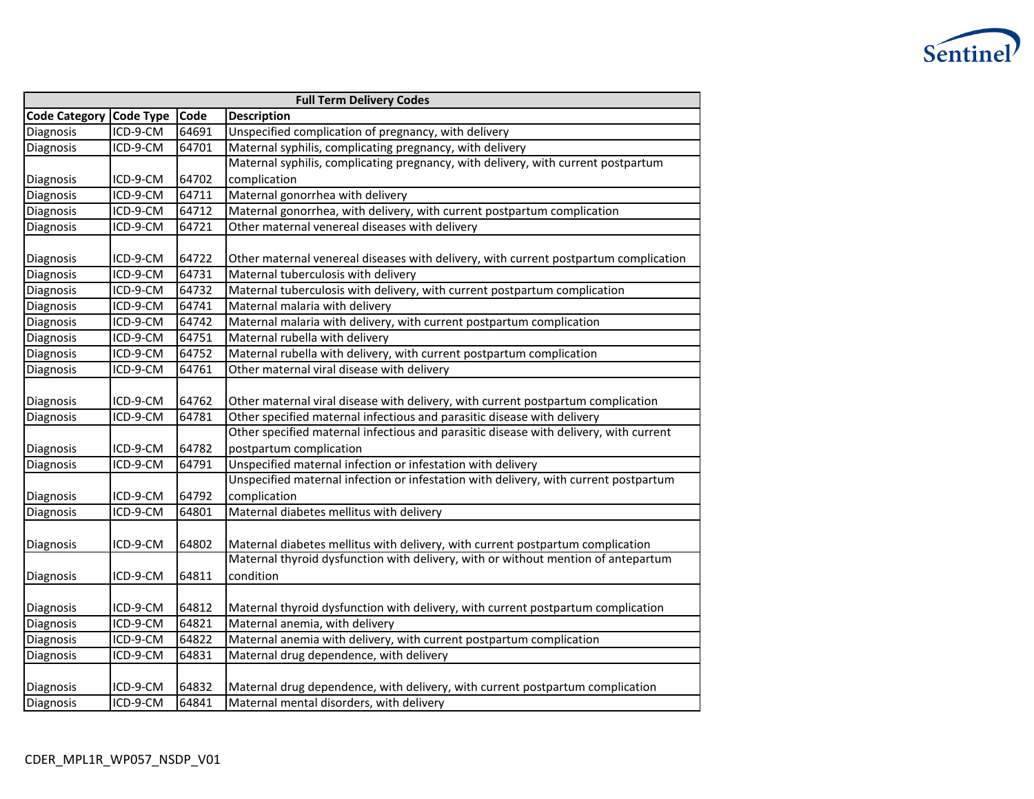

| <b>Full Term Delivery Codes</b> |                  |       |                                                                                       |  |
|---------------------------------|------------------|-------|---------------------------------------------------------------------------------------|--|
| <b>Code Category</b>            | <b>Code Type</b> | Code  | <b>Description</b>                                                                    |  |
| Diagnosis                       | ICD-9-CM         | 64691 | Unspecified complication of pregnancy, with delivery                                  |  |
| Diagnosis                       | ICD-9-CM         | 64701 | Maternal syphilis, complicating pregnancy, with delivery                              |  |
|                                 |                  |       | Maternal syphilis, complicating pregnancy, with delivery, with current postpartum     |  |
| Diagnosis                       | ICD-9-CM         | 64702 | complication                                                                          |  |
| Diagnosis                       | ICD-9-CM         | 64711 | Maternal gonorrhea with delivery                                                      |  |
| Diagnosis                       | ICD-9-CM         | 64712 | Maternal gonorrhea, with delivery, with current postpartum complication               |  |
| Diagnosis                       | ICD-9-CM         | 64721 | Other maternal venereal diseases with delivery                                        |  |
|                                 |                  |       |                                                                                       |  |
| Diagnosis                       | ICD-9-CM         | 64722 | Other maternal venereal diseases with delivery, with current postpartum complication  |  |
| Diagnosis                       | ICD-9-CM         | 64731 | Maternal tuberculosis with delivery                                                   |  |
| Diagnosis                       | ICD-9-CM         | 64732 | Maternal tuberculosis with delivery, with current postpartum complication             |  |
| Diagnosis                       | ICD-9-CM         | 64741 | Maternal malaria with delivery                                                        |  |
| Diagnosis                       | ICD-9-CM         | 64742 | Maternal malaria with delivery, with current postpartum complication                  |  |
| Diagnosis                       | ICD-9-CM         | 64751 | Maternal rubella with delivery                                                        |  |
| Diagnosis                       | ICD-9-CM         | 64752 | Maternal rubella with delivery, with current postpartum complication                  |  |
| Diagnosis                       | ICD-9-CM         | 64761 | Other maternal viral disease with delivery                                            |  |
|                                 |                  |       |                                                                                       |  |
| Diagnosis                       | ICD-9-CM         | 64762 | Other maternal viral disease with delivery, with current postpartum complication      |  |
| Diagnosis                       | ICD-9-CM         | 64781 | Other specified maternal infectious and parasitic disease with delivery               |  |
|                                 |                  |       | Other specified maternal infectious and parasitic disease with delivery, with current |  |
| Diagnosis                       | ICD-9-CM         | 64782 | postpartum complication                                                               |  |
| Diagnosis                       | ICD-9-CM         | 64791 | Unspecified maternal infection or infestation with delivery                           |  |
|                                 |                  |       | Unspecified maternal infection or infestation with delivery, with current postpartum  |  |
| Diagnosis                       | ICD-9-CM         | 64792 | complication                                                                          |  |
| Diagnosis                       | ICD-9-CM         | 64801 | Maternal diabetes mellitus with delivery                                              |  |
|                                 |                  |       |                                                                                       |  |
| Diagnosis                       | ICD-9-CM         | 64802 | Maternal diabetes mellitus with delivery, with current postpartum complication        |  |
|                                 |                  |       | Maternal thyroid dysfunction with delivery, with or without mention of antepartum     |  |
| Diagnosis                       | ICD-9-CM         | 64811 | condition                                                                             |  |
|                                 |                  |       |                                                                                       |  |
| Diagnosis                       | ICD-9-CM         | 64812 | Maternal thyroid dysfunction with delivery, with current postpartum complication      |  |
| Diagnosis                       | ICD-9-CM         | 64821 | Maternal anemia, with delivery                                                        |  |
| Diagnosis                       | ICD-9-CM         | 64822 | Maternal anemia with delivery, with current postpartum complication                   |  |
| Diagnosis                       | ICD-9-CM         | 64831 | Maternal drug dependence, with delivery                                               |  |
|                                 |                  |       |                                                                                       |  |
| Diagnosis                       | ICD-9-CM         | 64832 | Maternal drug dependence, with delivery, with current postpartum complication         |  |
| Diagnosis                       | ICD-9-CM         | 64841 | Maternal mental disorders, with delivery                                              |  |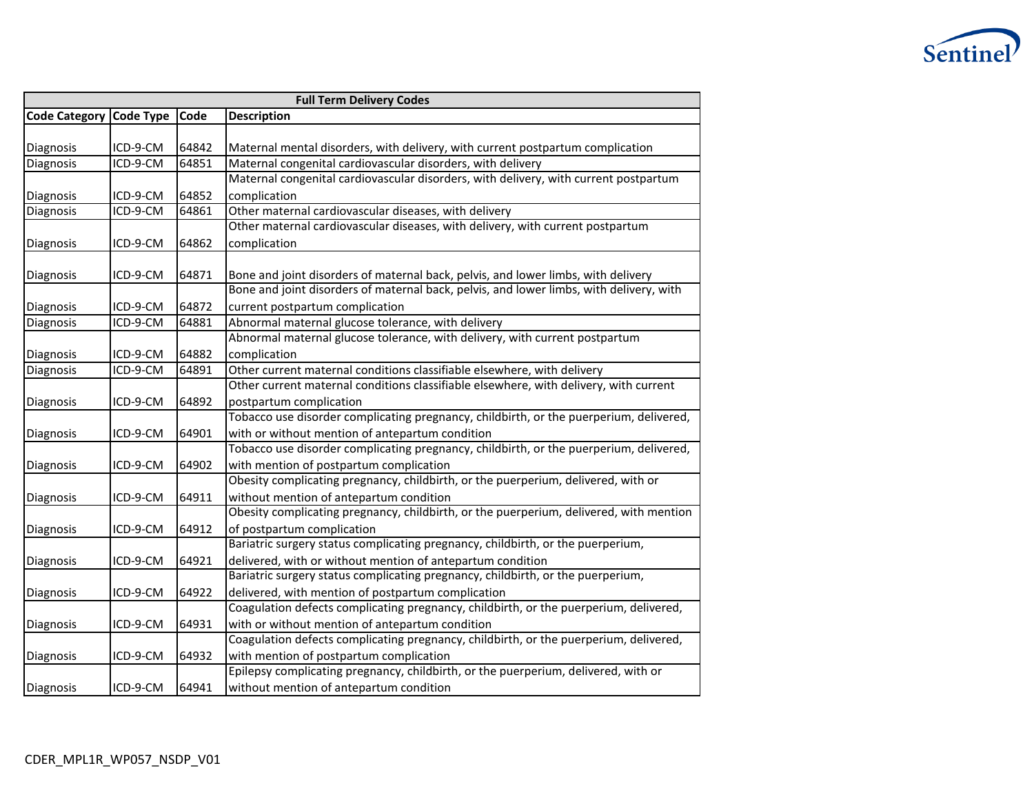

| <b>Full Term Delivery Codes</b> |          |       |                                                                                         |  |
|---------------------------------|----------|-------|-----------------------------------------------------------------------------------------|--|
| Code Category Code Type         |          | Code  | <b>Description</b>                                                                      |  |
|                                 |          |       |                                                                                         |  |
| Diagnosis                       | ICD-9-CM | 64842 | Maternal mental disorders, with delivery, with current postpartum complication          |  |
| Diagnosis                       | ICD-9-CM | 64851 | Maternal congenital cardiovascular disorders, with delivery                             |  |
|                                 |          |       | Maternal congenital cardiovascular disorders, with delivery, with current postpartum    |  |
| Diagnosis                       | ICD-9-CM | 64852 | complication                                                                            |  |
| Diagnosis                       | ICD-9-CM | 64861 | Other maternal cardiovascular diseases, with delivery                                   |  |
|                                 |          |       | Other maternal cardiovascular diseases, with delivery, with current postpartum          |  |
| Diagnosis                       | ICD-9-CM | 64862 | complication                                                                            |  |
|                                 |          |       |                                                                                         |  |
| Diagnosis                       | ICD-9-CM | 64871 | Bone and joint disorders of maternal back, pelvis, and lower limbs, with delivery       |  |
|                                 |          |       | Bone and joint disorders of maternal back, pelvis, and lower limbs, with delivery, with |  |
| Diagnosis                       | ICD-9-CM | 64872 | current postpartum complication                                                         |  |
| Diagnosis                       | ICD-9-CM | 64881 | Abnormal maternal glucose tolerance, with delivery                                      |  |
|                                 |          |       | Abnormal maternal glucose tolerance, with delivery, with current postpartum             |  |
| Diagnosis                       | ICD-9-CM | 64882 | complication                                                                            |  |
| Diagnosis                       | ICD-9-CM | 64891 | Other current maternal conditions classifiable elsewhere, with delivery                 |  |
|                                 |          |       | Other current maternal conditions classifiable elsewhere, with delivery, with current   |  |
| Diagnosis                       | ICD-9-CM | 64892 | postpartum complication                                                                 |  |
|                                 |          |       | Tobacco use disorder complicating pregnancy, childbirth, or the puerperium, delivered,  |  |
| Diagnosis                       | ICD-9-CM | 64901 | with or without mention of antepartum condition                                         |  |
|                                 |          |       | Tobacco use disorder complicating pregnancy, childbirth, or the puerperium, delivered,  |  |
| Diagnosis                       | ICD-9-CM | 64902 | with mention of postpartum complication                                                 |  |
|                                 |          |       | Obesity complicating pregnancy, childbirth, or the puerperium, delivered, with or       |  |
| Diagnosis                       | ICD-9-CM | 64911 | without mention of antepartum condition                                                 |  |
|                                 |          |       | Obesity complicating pregnancy, childbirth, or the puerperium, delivered, with mention  |  |
| Diagnosis                       | ICD-9-CM | 64912 | of postpartum complication                                                              |  |
|                                 |          |       | Bariatric surgery status complicating pregnancy, childbirth, or the puerperium,         |  |
| Diagnosis                       | ICD-9-CM | 64921 | delivered, with or without mention of antepartum condition                              |  |
|                                 |          |       | Bariatric surgery status complicating pregnancy, childbirth, or the puerperium,         |  |
| Diagnosis                       | ICD-9-CM | 64922 | delivered, with mention of postpartum complication                                      |  |
|                                 |          |       | Coagulation defects complicating pregnancy, childbirth, or the puerperium, delivered,   |  |
| Diagnosis                       | ICD-9-CM | 64931 | with or without mention of antepartum condition                                         |  |
|                                 |          |       | Coagulation defects complicating pregnancy, childbirth, or the puerperium, delivered,   |  |
| Diagnosis                       | ICD-9-CM | 64932 | with mention of postpartum complication                                                 |  |
|                                 |          |       | Epilepsy complicating pregnancy, childbirth, or the puerperium, delivered, with or      |  |
| Diagnosis                       | ICD-9-CM | 64941 | without mention of antepartum condition                                                 |  |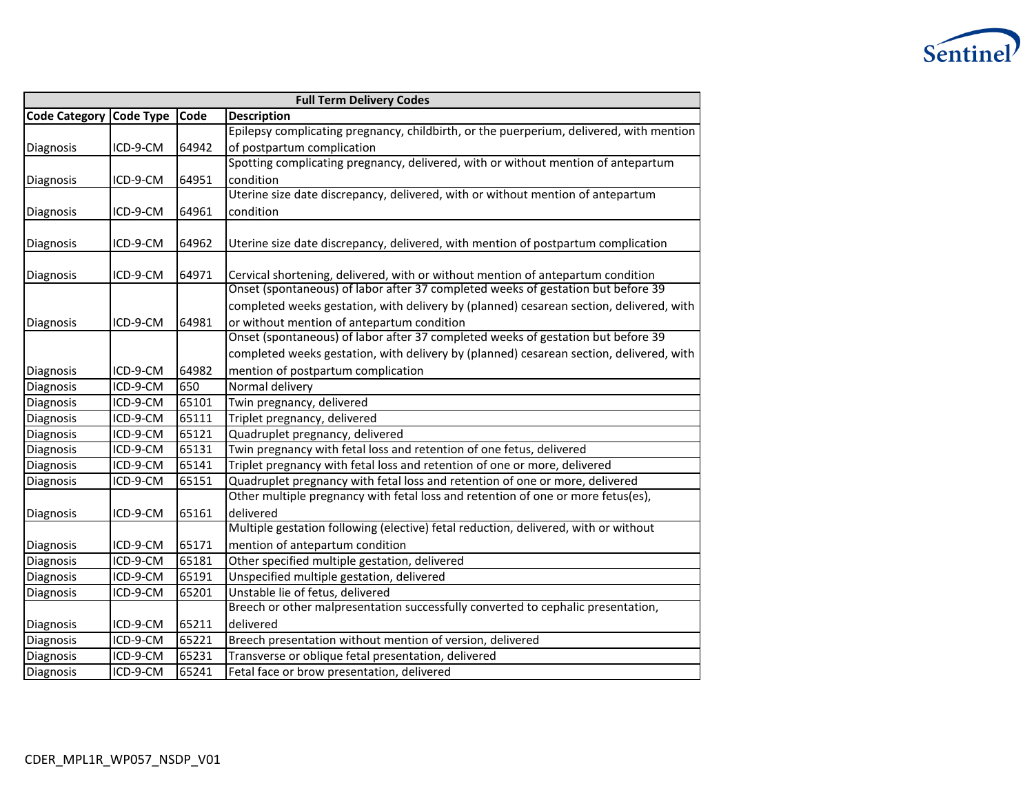

| <b>Full Term Delivery Codes</b> |                        |       |                                                                                                                                |  |
|---------------------------------|------------------------|-------|--------------------------------------------------------------------------------------------------------------------------------|--|
| <b>Code Category</b>            | <b>Code Type</b>       | Code  | <b>Description</b>                                                                                                             |  |
|                                 |                        |       | Epilepsy complicating pregnancy, childbirth, or the puerperium, delivered, with mention                                        |  |
| Diagnosis                       | ICD-9-CM               | 64942 | of postpartum complication                                                                                                     |  |
|                                 |                        |       | Spotting complicating pregnancy, delivered, with or without mention of antepartum                                              |  |
| Diagnosis                       | ICD-9-CM               | 64951 | condition                                                                                                                      |  |
|                                 |                        |       | Uterine size date discrepancy, delivered, with or without mention of antepartum                                                |  |
| Diagnosis                       | ICD-9-CM               | 64961 | condition                                                                                                                      |  |
|                                 |                        |       |                                                                                                                                |  |
| Diagnosis                       | ICD-9-CM               | 64962 | Uterine size date discrepancy, delivered, with mention of postpartum complication                                              |  |
| Diagnosis                       | ICD-9-CM               | 64971 | Cervical shortening, delivered, with or without mention of antepartum condition                                                |  |
|                                 |                        |       | Onset (spontaneous) of labor after 37 completed weeks of gestation but before 39                                               |  |
|                                 |                        |       | completed weeks gestation, with delivery by (planned) cesarean section, delivered, with                                        |  |
|                                 |                        |       |                                                                                                                                |  |
| Diagnosis                       | ICD-9-CM               | 64981 | or without mention of antepartum condition<br>Onset (spontaneous) of labor after 37 completed weeks of gestation but before 39 |  |
|                                 |                        |       | completed weeks gestation, with delivery by (planned) cesarean section, delivered, with                                        |  |
|                                 |                        |       |                                                                                                                                |  |
| Diagnosis                       | ICD-9-CM               | 64982 | mention of postpartum complication                                                                                             |  |
| Diagnosis                       | ICD-9-CM               | 650   | Normal delivery                                                                                                                |  |
| Diagnosis                       | ICD-9-CM               | 65101 | Twin pregnancy, delivered                                                                                                      |  |
| Diagnosis                       | ICD-9-CM               | 65111 | Triplet pregnancy, delivered                                                                                                   |  |
| Diagnosis                       | ICD-9-CM               | 65121 | Quadruplet pregnancy, delivered                                                                                                |  |
| Diagnosis                       | ICD-9-CM               | 65131 | Twin pregnancy with fetal loss and retention of one fetus, delivered                                                           |  |
| Diagnosis                       | ICD-9-CM               | 65141 | Triplet pregnancy with fetal loss and retention of one or more, delivered                                                      |  |
| Diagnosis                       | ICD-9-CM               | 65151 | Quadruplet pregnancy with fetal loss and retention of one or more, delivered                                                   |  |
|                                 |                        |       | Other multiple pregnancy with fetal loss and retention of one or more fetus(es),                                               |  |
| Diagnosis                       | ICD-9-CM               | 65161 | delivered                                                                                                                      |  |
|                                 |                        |       | Multiple gestation following (elective) fetal reduction, delivered, with or without                                            |  |
| Diagnosis                       | ICD-9-CM               | 65171 | mention of antepartum condition                                                                                                |  |
| Diagnosis                       | ICD-9-CM               | 65181 | Other specified multiple gestation, delivered                                                                                  |  |
| Diagnosis                       | ICD-9-CM               | 65191 | Unspecified multiple gestation, delivered                                                                                      |  |
| Diagnosis                       | ICD-9-CM               | 65201 | Unstable lie of fetus, delivered                                                                                               |  |
|                                 |                        |       | Breech or other malpresentation successfully converted to cephalic presentation,                                               |  |
| Diagnosis                       | ICD-9-CM               | 65211 | delivered                                                                                                                      |  |
| Diagnosis                       | $\overline{ICD-9}$ -CM | 65221 | Breech presentation without mention of version, delivered                                                                      |  |
| Diagnosis                       | ICD-9-CM               | 65231 | Transverse or oblique fetal presentation, delivered                                                                            |  |
| Diagnosis                       | ICD-9-CM               | 65241 | Fetal face or brow presentation, delivered                                                                                     |  |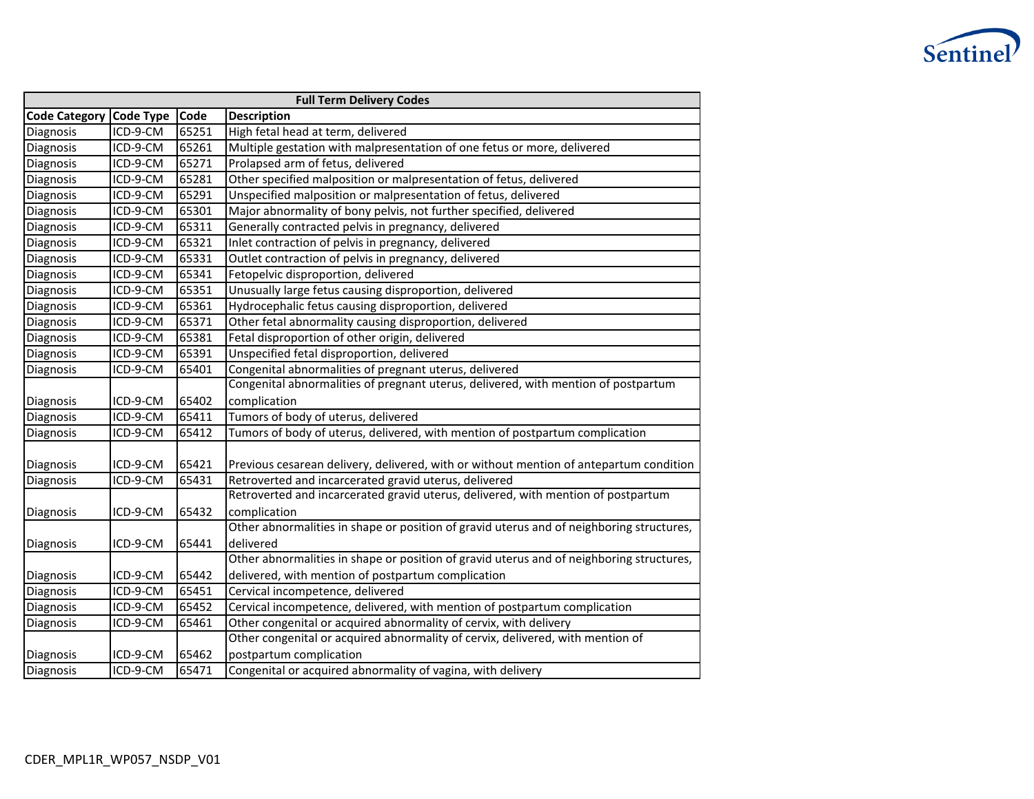

| <b>Full Term Delivery Codes</b> |                  |       |                                                                                          |  |
|---------------------------------|------------------|-------|------------------------------------------------------------------------------------------|--|
| <b>Code Category</b>            | <b>Code Type</b> | Code  | <b>Description</b>                                                                       |  |
| Diagnosis                       | ICD-9-CM         | 65251 | High fetal head at term, delivered                                                       |  |
| Diagnosis                       | ICD-9-CM         | 65261 | Multiple gestation with malpresentation of one fetus or more, delivered                  |  |
| Diagnosis                       | ICD-9-CM         | 65271 | Prolapsed arm of fetus, delivered                                                        |  |
| Diagnosis                       | ICD-9-CM         | 65281 | Other specified malposition or malpresentation of fetus, delivered                       |  |
| Diagnosis                       | ICD-9-CM         | 65291 | Unspecified malposition or malpresentation of fetus, delivered                           |  |
| Diagnosis                       | ICD-9-CM         | 65301 | Major abnormality of bony pelvis, not further specified, delivered                       |  |
| Diagnosis                       | ICD-9-CM         | 65311 | Generally contracted pelvis in pregnancy, delivered                                      |  |
| Diagnosis                       | ICD-9-CM         | 65321 | Inlet contraction of pelvis in pregnancy, delivered                                      |  |
| Diagnosis                       | ICD-9-CM         | 65331 | Outlet contraction of pelvis in pregnancy, delivered                                     |  |
| Diagnosis                       | ICD-9-CM         | 65341 | Fetopelvic disproportion, delivered                                                      |  |
| Diagnosis                       | ICD-9-CM         | 65351 | Unusually large fetus causing disproportion, delivered                                   |  |
| Diagnosis                       | ICD-9-CM         | 65361 | Hydrocephalic fetus causing disproportion, delivered                                     |  |
| Diagnosis                       | ICD-9-CM         | 65371 | Other fetal abnormality causing disproportion, delivered                                 |  |
| Diagnosis                       | ICD-9-CM         | 65381 | Fetal disproportion of other origin, delivered                                           |  |
| Diagnosis                       | ICD-9-CM         | 65391 | Unspecified fetal disproportion, delivered                                               |  |
| Diagnosis                       | ICD-9-CM         | 65401 | Congenital abnormalities of pregnant uterus, delivered                                   |  |
|                                 |                  |       | Congenital abnormalities of pregnant uterus, delivered, with mention of postpartum       |  |
| Diagnosis                       | ICD-9-CM         | 65402 | complication                                                                             |  |
| Diagnosis                       | ICD-9-CM         | 65411 | Tumors of body of uterus, delivered                                                      |  |
| Diagnosis                       | ICD-9-CM         | 65412 | Tumors of body of uterus, delivered, with mention of postpartum complication             |  |
|                                 |                  |       |                                                                                          |  |
| Diagnosis                       | ICD-9-CM         | 65421 | Previous cesarean delivery, delivered, with or without mention of antepartum condition   |  |
| Diagnosis                       | ICD-9-CM         | 65431 | Retroverted and incarcerated gravid uterus, delivered                                    |  |
|                                 |                  |       | Retroverted and incarcerated gravid uterus, delivered, with mention of postpartum        |  |
| Diagnosis                       | ICD-9-CM         | 65432 | complication                                                                             |  |
|                                 |                  |       | Other abnormalities in shape or position of gravid uterus and of neighboring structures, |  |
| Diagnosis                       | ICD-9-CM         | 65441 | delivered                                                                                |  |
|                                 |                  |       | Other abnormalities in shape or position of gravid uterus and of neighboring structures, |  |
| Diagnosis                       | ICD-9-CM         | 65442 | delivered, with mention of postpartum complication                                       |  |
| Diagnosis                       | ICD-9-CM         | 65451 | Cervical incompetence, delivered                                                         |  |
| Diagnosis                       | ICD-9-CM         | 65452 | Cervical incompetence, delivered, with mention of postpartum complication                |  |
| Diagnosis                       | ICD-9-CM         | 65461 | Other congenital or acquired abnormality of cervix, with delivery                        |  |
|                                 |                  |       | Other congenital or acquired abnormality of cervix, delivered, with mention of           |  |
| Diagnosis                       | ICD-9-CM         | 65462 | postpartum complication                                                                  |  |
| Diagnosis                       | ICD-9-CM         | 65471 | Congenital or acquired abnormality of vagina, with delivery                              |  |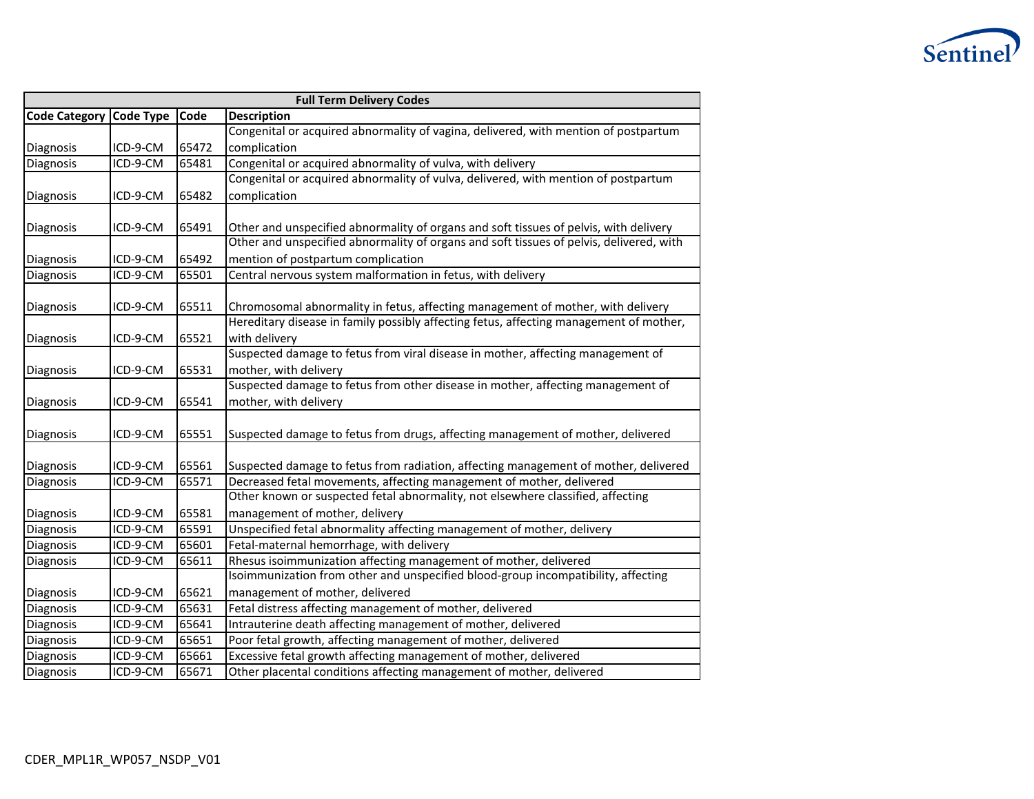

| <b>Full Term Delivery Codes</b> |                      |                |                                                                                                                                                         |  |
|---------------------------------|----------------------|----------------|---------------------------------------------------------------------------------------------------------------------------------------------------------|--|
| <b>Code Category</b>            | <b>Code Type</b>     | Code           | <b>Description</b>                                                                                                                                      |  |
|                                 |                      |                | Congenital or acquired abnormality of vagina, delivered, with mention of postpartum                                                                     |  |
| Diagnosis                       | ICD-9-CM             | 65472          | complication                                                                                                                                            |  |
| Diagnosis                       | ICD-9-CM             | 65481          | Congenital or acquired abnormality of vulva, with delivery                                                                                              |  |
|                                 |                      |                | Congenital or acquired abnormality of vulva, delivered, with mention of postpartum                                                                      |  |
| Diagnosis                       | ICD-9-CM             | 65482          | complication                                                                                                                                            |  |
|                                 |                      |                |                                                                                                                                                         |  |
| Diagnosis                       | ICD-9-CM             | 65491          | Other and unspecified abnormality of organs and soft tissues of pelvis, with delivery                                                                   |  |
|                                 |                      |                | Other and unspecified abnormality of organs and soft tissues of pelvis, delivered, with                                                                 |  |
| Diagnosis                       | ICD-9-CM             | 65492          | mention of postpartum complication                                                                                                                      |  |
| Diagnosis                       | ICD-9-CM             | 65501          | Central nervous system malformation in fetus, with delivery                                                                                             |  |
|                                 |                      |                |                                                                                                                                                         |  |
| Diagnosis                       | ICD-9-CM             | 65511          | Chromosomal abnormality in fetus, affecting management of mother, with delivery                                                                         |  |
|                                 |                      |                | Hereditary disease in family possibly affecting fetus, affecting management of mother,                                                                  |  |
| Diagnosis                       | ICD-9-CM             | 65521          | with delivery                                                                                                                                           |  |
|                                 |                      |                | Suspected damage to fetus from viral disease in mother, affecting management of                                                                         |  |
| Diagnosis                       | ICD-9-CM             | 65531          | mother, with delivery                                                                                                                                   |  |
|                                 |                      |                | Suspected damage to fetus from other disease in mother, affecting management of                                                                         |  |
| Diagnosis                       | ICD-9-CM             | 65541          | mother, with delivery                                                                                                                                   |  |
|                                 |                      |                |                                                                                                                                                         |  |
| Diagnosis                       | ICD-9-CM             | 65551          | Suspected damage to fetus from drugs, affecting management of mother, delivered                                                                         |  |
|                                 |                      | 65561          |                                                                                                                                                         |  |
| Diagnosis                       | ICD-9-CM<br>ICD-9-CM | 65571          | Suspected damage to fetus from radiation, affecting management of mother, delivered                                                                     |  |
| Diagnosis                       |                      |                | Decreased fetal movements, affecting management of mother, delivered<br>Other known or suspected fetal abnormality, not elsewhere classified, affecting |  |
|                                 |                      |                |                                                                                                                                                         |  |
| Diagnosis                       | ICD-9-CM<br>ICD-9-CM | 65581<br>65591 | management of mother, delivery<br>Unspecified fetal abnormality affecting management of mother, delivery                                                |  |
| Diagnosis<br>Diagnosis          | ICD-9-CM             | 65601          | Fetal-maternal hemorrhage, with delivery                                                                                                                |  |
|                                 |                      |                |                                                                                                                                                         |  |
| Diagnosis                       | ICD-9-CM             | 65611          | Rhesus isoimmunization affecting management of mother, delivered<br>Isoimmunization from other and unspecified blood-group incompatibility, affecting   |  |
|                                 |                      |                |                                                                                                                                                         |  |
| Diagnosis                       | ICD-9-CM<br>ICD-9-CM | 65621<br>65631 | management of mother, delivered<br>Fetal distress affecting management of mother, delivered                                                             |  |
| Diagnosis                       |                      |                | Intrauterine death affecting management of mother, delivered                                                                                            |  |
| Diagnosis                       | ICD-9-CM             | 65641          |                                                                                                                                                         |  |
| Diagnosis                       | ICD-9-CM             | 65651          | Poor fetal growth, affecting management of mother, delivered                                                                                            |  |
| Diagnosis                       | ICD-9-CM             | 65661          | Excessive fetal growth affecting management of mother, delivered                                                                                        |  |
| Diagnosis                       | ICD-9-CM             | 65671          | Other placental conditions affecting management of mother, delivered                                                                                    |  |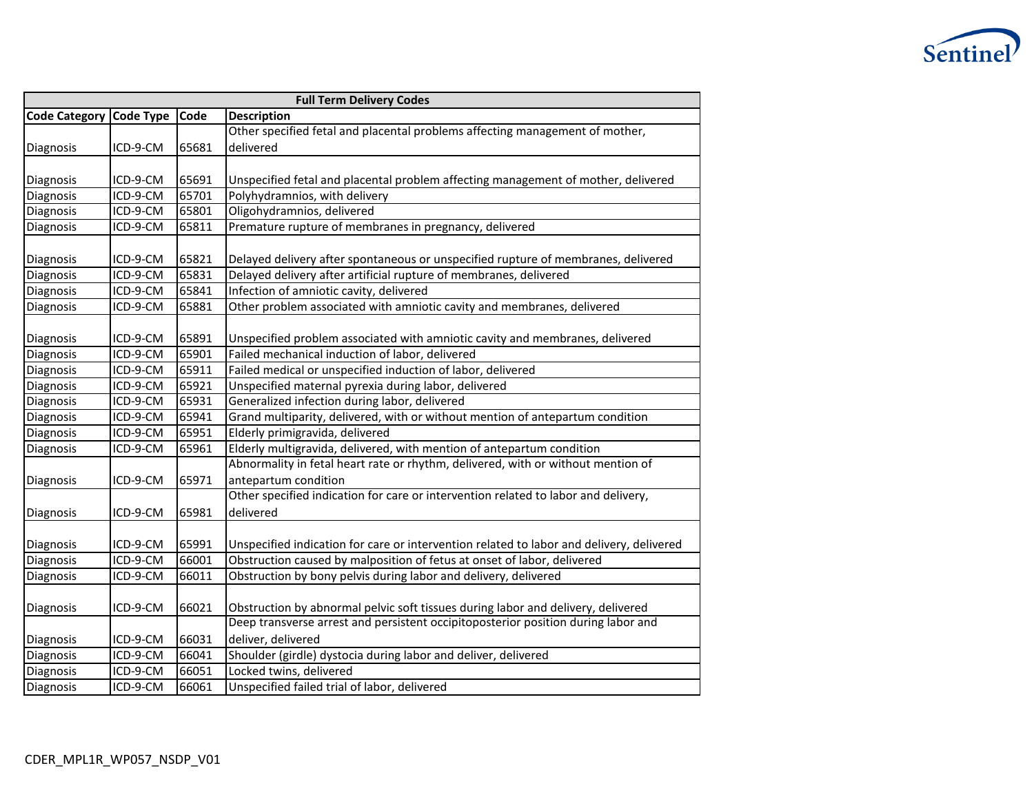

| <b>Full Term Delivery Codes</b> |                  |       |                                                                                          |  |
|---------------------------------|------------------|-------|------------------------------------------------------------------------------------------|--|
| <b>Code Category</b>            | <b>Code Type</b> | Code  | <b>Description</b>                                                                       |  |
|                                 |                  |       | Other specified fetal and placental problems affecting management of mother,             |  |
| Diagnosis                       | ICD-9-CM         | 65681 | delivered                                                                                |  |
|                                 |                  |       |                                                                                          |  |
| Diagnosis                       | ICD-9-CM         | 65691 | Unspecified fetal and placental problem affecting management of mother, delivered        |  |
| Diagnosis                       | ICD-9-CM         | 65701 | Polyhydramnios, with delivery                                                            |  |
| Diagnosis                       | ICD-9-CM         | 65801 | Oligohydramnios, delivered                                                               |  |
| Diagnosis                       | ICD-9-CM         | 65811 | Premature rupture of membranes in pregnancy, delivered                                   |  |
|                                 |                  |       |                                                                                          |  |
| Diagnosis                       | ICD-9-CM         | 65821 | Delayed delivery after spontaneous or unspecified rupture of membranes, delivered        |  |
| Diagnosis                       | ICD-9-CM         | 65831 | Delayed delivery after artificial rupture of membranes, delivered                        |  |
| Diagnosis                       | ICD-9-CM         | 65841 | Infection of amniotic cavity, delivered                                                  |  |
| Diagnosis                       | ICD-9-CM         | 65881 | Other problem associated with amniotic cavity and membranes, delivered                   |  |
|                                 |                  |       |                                                                                          |  |
| Diagnosis                       | ICD-9-CM         | 65891 | Unspecified problem associated with amniotic cavity and membranes, delivered             |  |
| <b>Diagnosis</b>                | ICD-9-CM         | 65901 | Failed mechanical induction of labor, delivered                                          |  |
| Diagnosis                       | ICD-9-CM         | 65911 | Failed medical or unspecified induction of labor, delivered                              |  |
| <b>Diagnosis</b>                | ICD-9-CM         | 65921 | Unspecified maternal pyrexia during labor, delivered                                     |  |
| Diagnosis                       | ICD-9-CM         | 65931 | Generalized infection during labor, delivered                                            |  |
| Diagnosis                       | ICD-9-CM         | 65941 | Grand multiparity, delivered, with or without mention of antepartum condition            |  |
| Diagnosis                       | ICD-9-CM         | 65951 | Elderly primigravida, delivered                                                          |  |
| Diagnosis                       | ICD-9-CM         | 65961 | Elderly multigravida, delivered, with mention of antepartum condition                    |  |
|                                 |                  |       | Abnormality in fetal heart rate or rhythm, delivered, with or without mention of         |  |
| Diagnosis                       | ICD-9-CM         | 65971 | antepartum condition                                                                     |  |
|                                 |                  |       | Other specified indication for care or intervention related to labor and delivery,       |  |
| Diagnosis                       | ICD-9-CM         | 65981 | delivered                                                                                |  |
|                                 |                  |       |                                                                                          |  |
| Diagnosis                       | ICD-9-CM         | 65991 | Unspecified indication for care or intervention related to labor and delivery, delivered |  |
| Diagnosis                       | ICD-9-CM         | 66001 | Obstruction caused by malposition of fetus at onset of labor, delivered                  |  |
| Diagnosis                       | ICD-9-CM         | 66011 | Obstruction by bony pelvis during labor and delivery, delivered                          |  |
|                                 |                  |       |                                                                                          |  |
| Diagnosis                       | ICD-9-CM         | 66021 | Obstruction by abnormal pelvic soft tissues during labor and delivery, delivered         |  |
|                                 |                  |       | Deep transverse arrest and persistent occipitoposterior position during labor and        |  |
| Diagnosis                       | ICD-9-CM         | 66031 | deliver, delivered                                                                       |  |
| Diagnosis                       | ICD-9-CM         | 66041 | Shoulder (girdle) dystocia during labor and deliver, delivered                           |  |
| Diagnosis                       | ICD-9-CM         | 66051 | Locked twins, delivered                                                                  |  |
| Diagnosis                       | ICD-9-CM         | 66061 | Unspecified failed trial of labor, delivered                                             |  |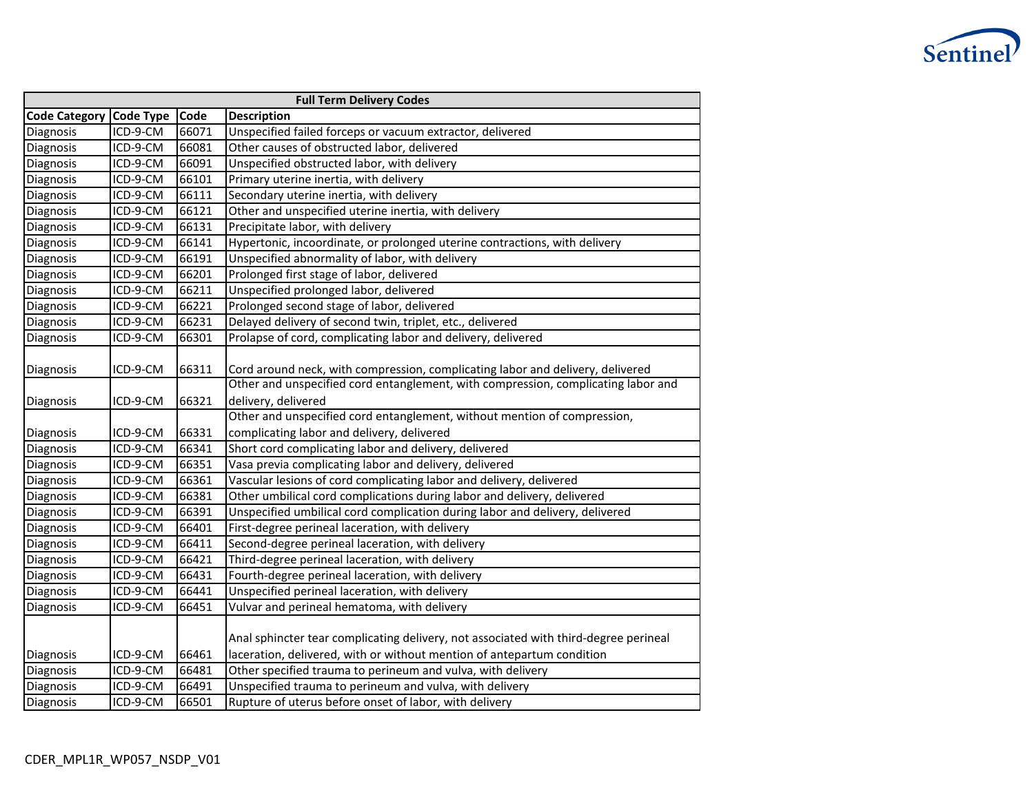

| <b>Full Term Delivery Codes</b> |                  |       |                                                                                                                                                                |
|---------------------------------|------------------|-------|----------------------------------------------------------------------------------------------------------------------------------------------------------------|
| <b>Code Category</b>            | <b>Code Type</b> | Code  | <b>Description</b>                                                                                                                                             |
| Diagnosis                       | ICD-9-CM         | 66071 | Unspecified failed forceps or vacuum extractor, delivered                                                                                                      |
| Diagnosis                       | ICD-9-CM         | 66081 | Other causes of obstructed labor, delivered                                                                                                                    |
| Diagnosis                       | ICD-9-CM         | 66091 | Unspecified obstructed labor, with delivery                                                                                                                    |
| Diagnosis                       | ICD-9-CM         | 66101 | Primary uterine inertia, with delivery                                                                                                                         |
| Diagnosis                       | ICD-9-CM         | 66111 | Secondary uterine inertia, with delivery                                                                                                                       |
| Diagnosis                       | ICD-9-CM         | 66121 | Other and unspecified uterine inertia, with delivery                                                                                                           |
| Diagnosis                       | ICD-9-CM         | 66131 | Precipitate labor, with delivery                                                                                                                               |
| Diagnosis                       | ICD-9-CM         | 66141 | Hypertonic, incoordinate, or prolonged uterine contractions, with delivery                                                                                     |
| Diagnosis                       | ICD-9-CM         | 66191 | Unspecified abnormality of labor, with delivery                                                                                                                |
| Diagnosis                       | ICD-9-CM         | 66201 | Prolonged first stage of labor, delivered                                                                                                                      |
| Diagnosis                       | ICD-9-CM         | 66211 | Unspecified prolonged labor, delivered                                                                                                                         |
| Diagnosis                       | ICD-9-CM         | 66221 | Prolonged second stage of labor, delivered                                                                                                                     |
| Diagnosis                       | ICD-9-CM         | 66231 | Delayed delivery of second twin, triplet, etc., delivered                                                                                                      |
| Diagnosis                       | ICD-9-CM         | 66301 | Prolapse of cord, complicating labor and delivery, delivered                                                                                                   |
| Diagnosis                       | ICD-9-CM         | 66311 | Cord around neck, with compression, complicating labor and delivery, delivered                                                                                 |
| Diagnosis                       | ICD-9-CM         | 66321 | Other and unspecified cord entanglement, with compression, complicating labor and<br>delivery, delivered                                                       |
|                                 |                  |       | Other and unspecified cord entanglement, without mention of compression,                                                                                       |
| Diagnosis                       | ICD-9-CM         | 66331 | complicating labor and delivery, delivered                                                                                                                     |
| Diagnosis                       | ICD-9-CM         | 66341 | Short cord complicating labor and delivery, delivered                                                                                                          |
| Diagnosis                       | ICD-9-CM         | 66351 | Vasa previa complicating labor and delivery, delivered                                                                                                         |
| Diagnosis                       | ICD-9-CM         | 66361 | Vascular lesions of cord complicating labor and delivery, delivered                                                                                            |
| Diagnosis                       | ICD-9-CM         | 66381 | Other umbilical cord complications during labor and delivery, delivered                                                                                        |
| Diagnosis                       | ICD-9-CM         | 66391 | Unspecified umbilical cord complication during labor and delivery, delivered                                                                                   |
| Diagnosis                       | ICD-9-CM         | 66401 | First-degree perineal laceration, with delivery                                                                                                                |
| Diagnosis                       | ICD-9-CM         | 66411 | Second-degree perineal laceration, with delivery                                                                                                               |
| Diagnosis                       | ICD-9-CM         | 66421 | Third-degree perineal laceration, with delivery                                                                                                                |
| Diagnosis                       | ICD-9-CM         | 66431 | Fourth-degree perineal laceration, with delivery                                                                                                               |
| Diagnosis                       | ICD-9-CM         | 66441 | Unspecified perineal laceration, with delivery                                                                                                                 |
| Diagnosis                       | ICD-9-CM         | 66451 | Vulvar and perineal hematoma, with delivery                                                                                                                    |
| Diagnosis                       | ICD-9-CM         | 66461 | Anal sphincter tear complicating delivery, not associated with third-degree perineal<br>laceration, delivered, with or without mention of antepartum condition |
| Diagnosis                       | ICD-9-CM         | 66481 | Other specified trauma to perineum and vulva, with delivery                                                                                                    |
| Diagnosis                       | ICD-9-CM         | 66491 | Unspecified trauma to perineum and vulva, with delivery                                                                                                        |
| Diagnosis                       | ICD-9-CM         | 66501 | Rupture of uterus before onset of labor, with delivery                                                                                                         |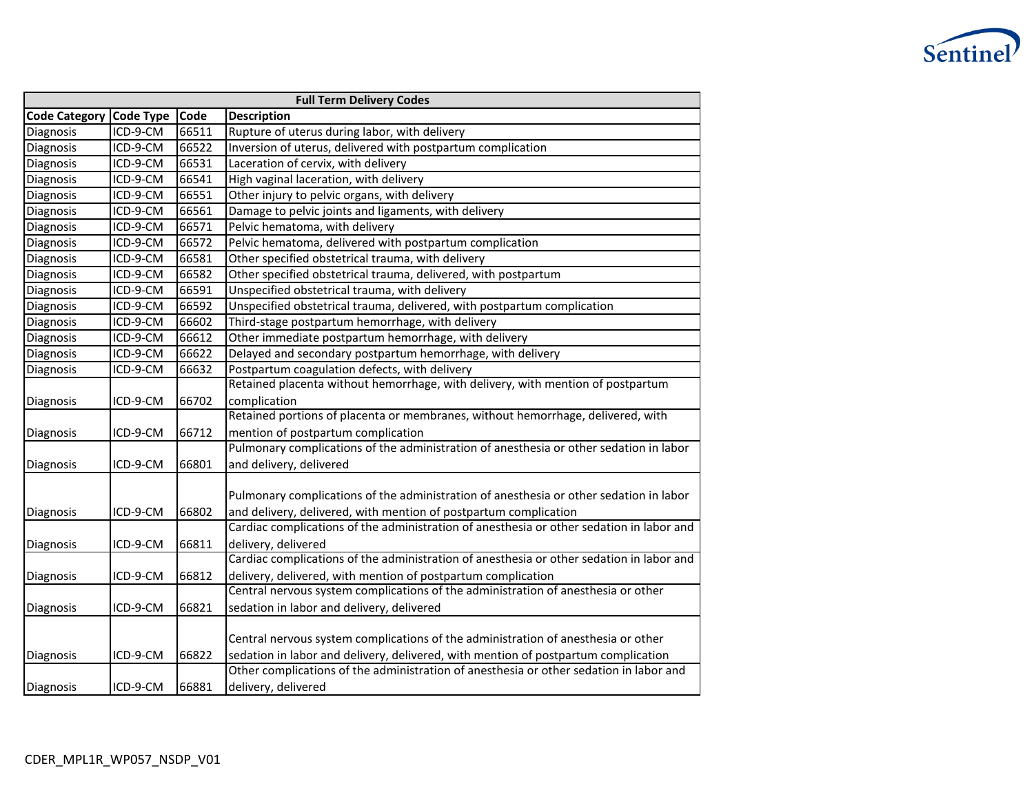

|                      | <b>Full Term Delivery Codes</b> |       |                                                                                          |  |  |
|----------------------|---------------------------------|-------|------------------------------------------------------------------------------------------|--|--|
| <b>Code Category</b> | <b>Code Type</b>                | Code  | <b>Description</b>                                                                       |  |  |
| Diagnosis            | ICD-9-CM                        | 66511 | Rupture of uterus during labor, with delivery                                            |  |  |
| Diagnosis            | ICD-9-CM                        | 66522 | Inversion of uterus, delivered with postpartum complication                              |  |  |
| Diagnosis            | ICD-9-CM                        | 66531 | Laceration of cervix, with delivery                                                      |  |  |
| Diagnosis            | ICD-9-CM                        | 66541 | High vaginal laceration, with delivery                                                   |  |  |
| Diagnosis            | ICD-9-CM                        | 66551 | Other injury to pelvic organs, with delivery                                             |  |  |
| Diagnosis            | ICD-9-CM                        | 66561 | Damage to pelvic joints and ligaments, with delivery                                     |  |  |
| Diagnosis            | ICD-9-CM                        | 66571 | Pelvic hematoma, with delivery                                                           |  |  |
| Diagnosis            | ICD-9-CM                        | 66572 | Pelvic hematoma, delivered with postpartum complication                                  |  |  |
| Diagnosis            | ICD-9-CM                        | 66581 | Other specified obstetrical trauma, with delivery                                        |  |  |
| Diagnosis            | ICD-9-CM                        | 66582 | Other specified obstetrical trauma, delivered, with postpartum                           |  |  |
| Diagnosis            | ICD-9-CM                        | 66591 | Unspecified obstetrical trauma, with delivery                                            |  |  |
| Diagnosis            | ICD-9-CM                        | 66592 | Unspecified obstetrical trauma, delivered, with postpartum complication                  |  |  |
| Diagnosis            | ICD-9-CM                        | 66602 | Third-stage postpartum hemorrhage, with delivery                                         |  |  |
| Diagnosis            | ICD-9-CM                        | 66612 | Other immediate postpartum hemorrhage, with delivery                                     |  |  |
| Diagnosis            | ICD-9-CM                        | 66622 | Delayed and secondary postpartum hemorrhage, with delivery                               |  |  |
| Diagnosis            | ICD-9-CM                        | 66632 | Postpartum coagulation defects, with delivery                                            |  |  |
|                      |                                 |       | Retained placenta without hemorrhage, with delivery, with mention of postpartum          |  |  |
| Diagnosis            | ICD-9-CM                        | 66702 | complication                                                                             |  |  |
|                      |                                 |       | Retained portions of placenta or membranes, without hemorrhage, delivered, with          |  |  |
| Diagnosis            | ICD-9-CM                        | 66712 | mention of postpartum complication                                                       |  |  |
|                      |                                 |       | Pulmonary complications of the administration of anesthesia or other sedation in labor   |  |  |
| Diagnosis            | ICD-9-CM                        | 66801 | and delivery, delivered                                                                  |  |  |
|                      |                                 |       |                                                                                          |  |  |
|                      |                                 |       | Pulmonary complications of the administration of anesthesia or other sedation in labor   |  |  |
| Diagnosis            | ICD-9-CM                        | 66802 | and delivery, delivered, with mention of postpartum complication                         |  |  |
|                      |                                 |       | Cardiac complications of the administration of anesthesia or other sedation in labor and |  |  |
| Diagnosis            | ICD-9-CM                        | 66811 | delivery, delivered                                                                      |  |  |
|                      |                                 |       | Cardiac complications of the administration of anesthesia or other sedation in labor and |  |  |
| Diagnosis            | ICD-9-CM                        | 66812 | delivery, delivered, with mention of postpartum complication                             |  |  |
|                      |                                 |       | Central nervous system complications of the administration of anesthesia or other        |  |  |
| Diagnosis            | ICD-9-CM                        | 66821 | sedation in labor and delivery, delivered                                                |  |  |
|                      |                                 |       |                                                                                          |  |  |
|                      |                                 |       | Central nervous system complications of the administration of anesthesia or other        |  |  |
| Diagnosis            | ICD-9-CM                        | 66822 | sedation in labor and delivery, delivered, with mention of postpartum complication       |  |  |
|                      |                                 |       | Other complications of the administration of anesthesia or other sedation in labor and   |  |  |
| Diagnosis            | ICD-9-CM                        | 66881 | delivery, delivered                                                                      |  |  |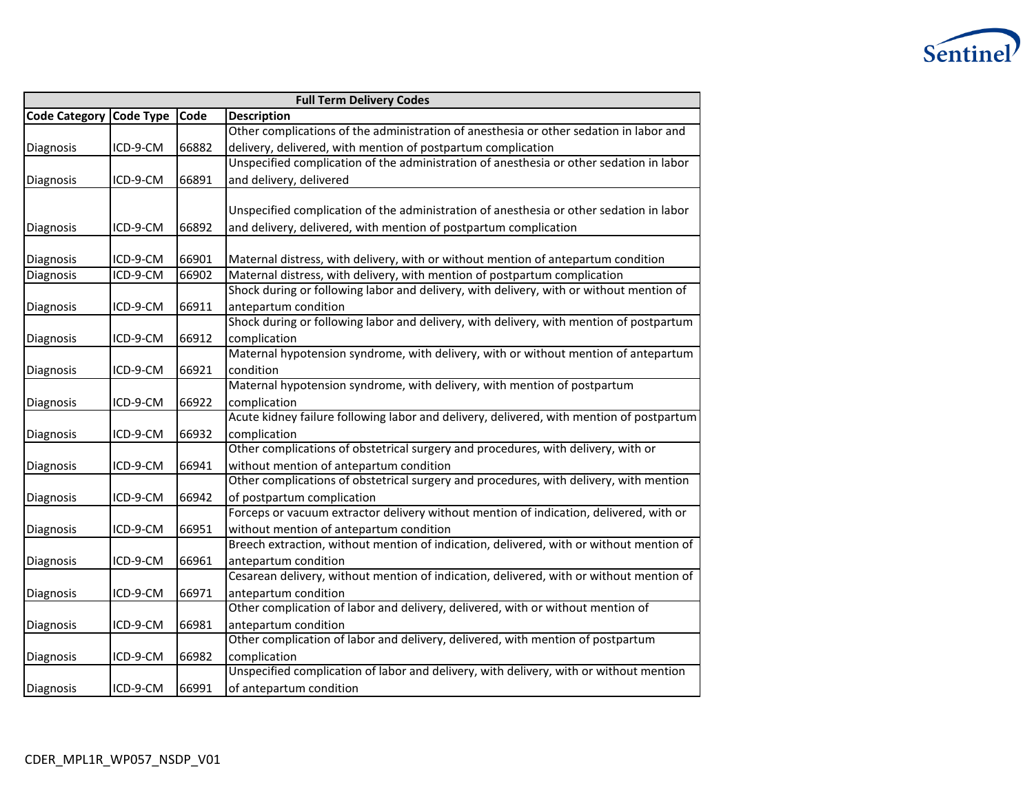

| <b>Full Term Delivery Codes</b> |          |       |                                                                                          |  |
|---------------------------------|----------|-------|------------------------------------------------------------------------------------------|--|
| Code Category Code Type         |          | Code  | <b>Description</b>                                                                       |  |
|                                 |          |       | Other complications of the administration of anesthesia or other sedation in labor and   |  |
| Diagnosis                       | ICD-9-CM | 66882 | delivery, delivered, with mention of postpartum complication                             |  |
|                                 |          |       | Unspecified complication of the administration of anesthesia or other sedation in labor  |  |
| Diagnosis                       | ICD-9-CM | 66891 | and delivery, delivered                                                                  |  |
|                                 |          |       |                                                                                          |  |
|                                 |          |       | Unspecified complication of the administration of anesthesia or other sedation in labor  |  |
| Diagnosis                       | ICD-9-CM | 66892 | and delivery, delivered, with mention of postpartum complication                         |  |
|                                 |          |       |                                                                                          |  |
| Diagnosis                       | ICD-9-CM | 66901 | Maternal distress, with delivery, with or without mention of antepartum condition        |  |
| Diagnosis                       | ICD-9-CM | 66902 | Maternal distress, with delivery, with mention of postpartum complication                |  |
|                                 |          |       | Shock during or following labor and delivery, with delivery, with or without mention of  |  |
| Diagnosis                       | ICD-9-CM | 66911 | antepartum condition                                                                     |  |
|                                 |          |       | Shock during or following labor and delivery, with delivery, with mention of postpartum  |  |
| Diagnosis                       | ICD-9-CM | 66912 | complication                                                                             |  |
|                                 |          |       | Maternal hypotension syndrome, with delivery, with or without mention of antepartum      |  |
| Diagnosis                       | ICD-9-CM | 66921 | condition                                                                                |  |
|                                 |          |       | Maternal hypotension syndrome, with delivery, with mention of postpartum                 |  |
| Diagnosis                       | ICD-9-CM | 66922 | complication                                                                             |  |
|                                 |          |       | Acute kidney failure following labor and delivery, delivered, with mention of postpartum |  |
| Diagnosis                       | ICD-9-CM | 66932 | complication                                                                             |  |
|                                 |          |       | Other complications of obstetrical surgery and procedures, with delivery, with or        |  |
| Diagnosis                       | ICD-9-CM | 66941 | without mention of antepartum condition                                                  |  |
|                                 |          |       | Other complications of obstetrical surgery and procedures, with delivery, with mention   |  |
| Diagnosis                       | ICD-9-CM | 66942 | of postpartum complication                                                               |  |
|                                 |          |       | Forceps or vacuum extractor delivery without mention of indication, delivered, with or   |  |
| Diagnosis                       | ICD-9-CM | 66951 | without mention of antepartum condition                                                  |  |
|                                 |          |       | Breech extraction, without mention of indication, delivered, with or without mention of  |  |
| Diagnosis                       | ICD-9-CM | 66961 | antepartum condition                                                                     |  |
|                                 |          |       | Cesarean delivery, without mention of indication, delivered, with or without mention of  |  |
| Diagnosis                       | ICD-9-CM | 66971 | antepartum condition                                                                     |  |
|                                 |          |       | Other complication of labor and delivery, delivered, with or without mention of          |  |
| Diagnosis                       | ICD-9-CM | 66981 | antepartum condition                                                                     |  |
|                                 |          |       | Other complication of labor and delivery, delivered, with mention of postpartum          |  |
| Diagnosis                       | ICD-9-CM | 66982 | complication                                                                             |  |
|                                 |          |       | Unspecified complication of labor and delivery, with delivery, with or without mention   |  |
| Diagnosis                       | ICD-9-CM | 66991 | of antepartum condition                                                                  |  |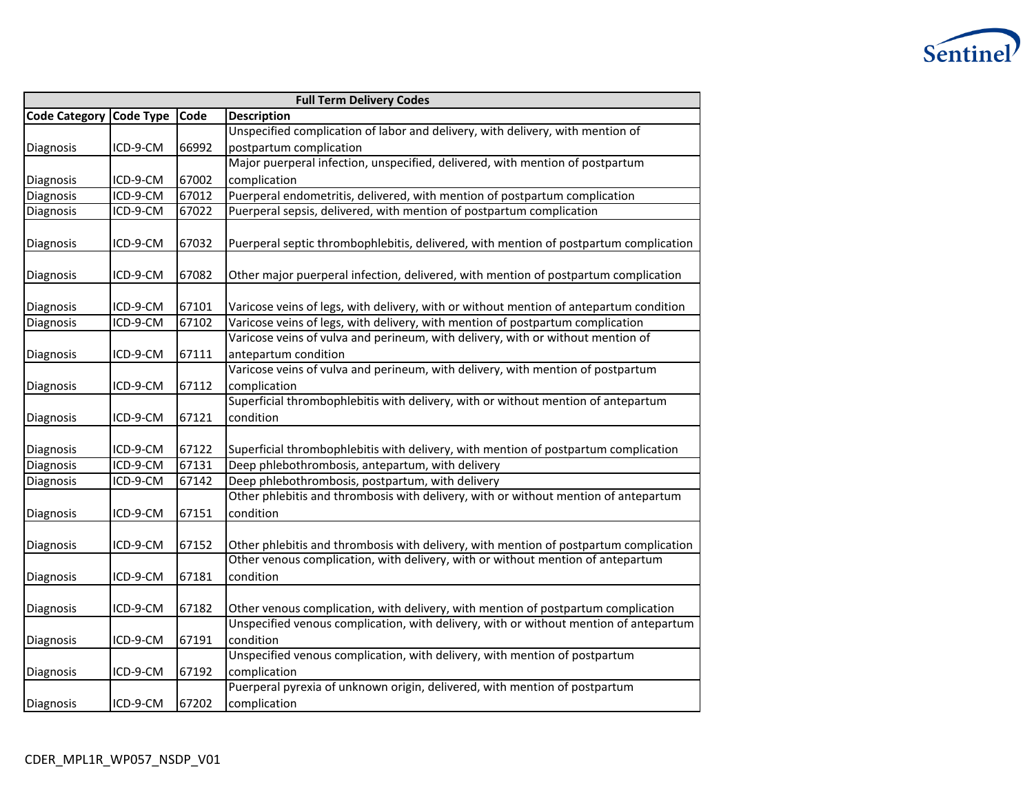

| <b>Full Term Delivery Codes</b> |                  |       |                                                                                        |  |
|---------------------------------|------------------|-------|----------------------------------------------------------------------------------------|--|
| <b>Code Category</b>            | <b>Code Type</b> | Code  | <b>Description</b>                                                                     |  |
|                                 |                  |       | Unspecified complication of labor and delivery, with delivery, with mention of         |  |
| Diagnosis                       | ICD-9-CM         | 66992 | postpartum complication                                                                |  |
|                                 |                  |       | Major puerperal infection, unspecified, delivered, with mention of postpartum          |  |
| Diagnosis                       | ICD-9-CM         | 67002 | complication                                                                           |  |
| Diagnosis                       | ICD-9-CM         | 67012 | Puerperal endometritis, delivered, with mention of postpartum complication             |  |
| Diagnosis                       | ICD-9-CM         | 67022 | Puerperal sepsis, delivered, with mention of postpartum complication                   |  |
| Diagnosis                       | ICD-9-CM         | 67032 | Puerperal septic thrombophlebitis, delivered, with mention of postpartum complication  |  |
|                                 |                  |       |                                                                                        |  |
| Diagnosis                       | ICD-9-CM         | 67082 | Other major puerperal infection, delivered, with mention of postpartum complication    |  |
|                                 |                  |       |                                                                                        |  |
| Diagnosis                       | ICD-9-CM         | 67101 | Varicose veins of legs, with delivery, with or without mention of antepartum condition |  |
| Diagnosis                       | ICD-9-CM         | 67102 | Varicose veins of legs, with delivery, with mention of postpartum complication         |  |
|                                 |                  |       | Varicose veins of vulva and perineum, with delivery, with or without mention of        |  |
| Diagnosis                       | ICD-9-CM         | 67111 | antepartum condition                                                                   |  |
|                                 |                  |       | Varicose veins of vulva and perineum, with delivery, with mention of postpartum        |  |
| Diagnosis                       | ICD-9-CM         | 67112 | complication                                                                           |  |
|                                 |                  |       | Superficial thrombophlebitis with delivery, with or without mention of antepartum      |  |
| Diagnosis                       | ICD-9-CM         | 67121 | condition                                                                              |  |
|                                 |                  |       |                                                                                        |  |
| Diagnosis                       | ICD-9-CM         | 67122 | Superficial thrombophlebitis with delivery, with mention of postpartum complication    |  |
| Diagnosis                       | ICD-9-CM         | 67131 | Deep phlebothrombosis, antepartum, with delivery                                       |  |
| Diagnosis                       | ICD-9-CM         | 67142 | Deep phlebothrombosis, postpartum, with delivery                                       |  |
|                                 |                  |       | Other phlebitis and thrombosis with delivery, with or without mention of antepartum    |  |
| Diagnosis                       | ICD-9-CM         | 67151 | condition                                                                              |  |
|                                 |                  |       |                                                                                        |  |
| Diagnosis                       | ICD-9-CM         | 67152 | Other phlebitis and thrombosis with delivery, with mention of postpartum complication  |  |
|                                 |                  |       | Other venous complication, with delivery, with or without mention of antepartum        |  |
| Diagnosis                       | ICD-9-CM         | 67181 | condition                                                                              |  |
|                                 |                  |       |                                                                                        |  |
| Diagnosis                       | ICD-9-CM         | 67182 | Other venous complication, with delivery, with mention of postpartum complication      |  |
|                                 |                  |       | Unspecified venous complication, with delivery, with or without mention of antepartum  |  |
| Diagnosis                       | ICD-9-CM         | 67191 | condition                                                                              |  |
|                                 |                  |       | Unspecified venous complication, with delivery, with mention of postpartum             |  |
| Diagnosis                       | ICD-9-CM         | 67192 | complication                                                                           |  |
|                                 |                  |       | Puerperal pyrexia of unknown origin, delivered, with mention of postpartum             |  |
| Diagnosis                       | ICD-9-CM         | 67202 | complication                                                                           |  |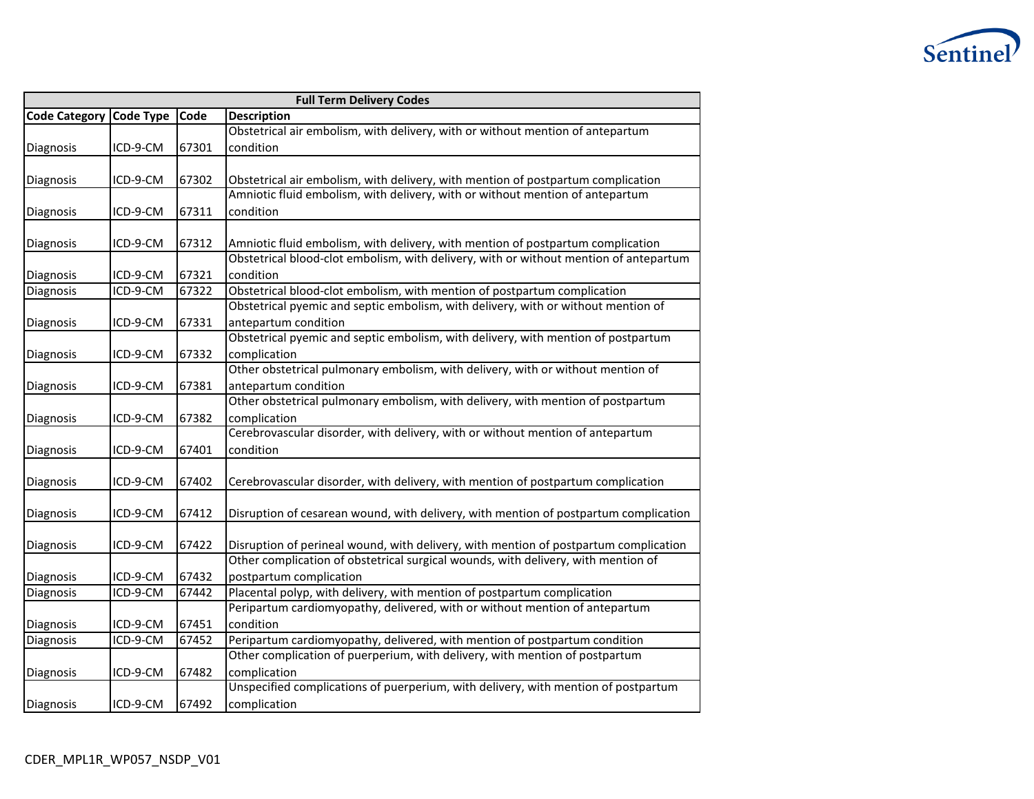

|                      | <b>Full Term Delivery Codes</b> |       |                                                                                       |  |  |
|----------------------|---------------------------------|-------|---------------------------------------------------------------------------------------|--|--|
| <b>Code Category</b> | <b>Code Type</b>                | Code  | <b>Description</b>                                                                    |  |  |
|                      |                                 |       | Obstetrical air embolism, with delivery, with or without mention of antepartum        |  |  |
| Diagnosis            | ICD-9-CM                        | 67301 | condition                                                                             |  |  |
|                      |                                 |       |                                                                                       |  |  |
| Diagnosis            | ICD-9-CM                        | 67302 | Obstetrical air embolism, with delivery, with mention of postpartum complication      |  |  |
|                      |                                 |       | Amniotic fluid embolism, with delivery, with or without mention of antepartum         |  |  |
| Diagnosis            | ICD-9-CM                        | 67311 | condition                                                                             |  |  |
|                      |                                 |       |                                                                                       |  |  |
| Diagnosis            | ICD-9-CM                        | 67312 | Amniotic fluid embolism, with delivery, with mention of postpartum complication       |  |  |
|                      |                                 |       | Obstetrical blood-clot embolism, with delivery, with or without mention of antepartum |  |  |
| Diagnosis            | ICD-9-CM                        | 67321 | condition                                                                             |  |  |
| Diagnosis            | ICD-9-CM                        | 67322 | Obstetrical blood-clot embolism, with mention of postpartum complication              |  |  |
|                      |                                 |       | Obstetrical pyemic and septic embolism, with delivery, with or without mention of     |  |  |
| Diagnosis            | ICD-9-CM                        | 67331 | antepartum condition                                                                  |  |  |
|                      |                                 |       | Obstetrical pyemic and septic embolism, with delivery, with mention of postpartum     |  |  |
| Diagnosis            | ICD-9-CM                        | 67332 | complication                                                                          |  |  |
|                      |                                 |       | Other obstetrical pulmonary embolism, with delivery, with or without mention of       |  |  |
| Diagnosis            | ICD-9-CM                        | 67381 | antepartum condition                                                                  |  |  |
|                      |                                 |       | Other obstetrical pulmonary embolism, with delivery, with mention of postpartum       |  |  |
| Diagnosis            | ICD-9-CM                        | 67382 | complication                                                                          |  |  |
|                      |                                 |       | Cerebrovascular disorder, with delivery, with or without mention of antepartum        |  |  |
| Diagnosis            | ICD-9-CM                        | 67401 | condition                                                                             |  |  |
|                      |                                 |       |                                                                                       |  |  |
| Diagnosis            | ICD-9-CM                        | 67402 | Cerebrovascular disorder, with delivery, with mention of postpartum complication      |  |  |
|                      |                                 |       |                                                                                       |  |  |
| Diagnosis            | ICD-9-CM                        | 67412 | Disruption of cesarean wound, with delivery, with mention of postpartum complication  |  |  |
|                      |                                 |       |                                                                                       |  |  |
| Diagnosis            | ICD-9-CM                        | 67422 | Disruption of perineal wound, with delivery, with mention of postpartum complication  |  |  |
|                      |                                 |       | Other complication of obstetrical surgical wounds, with delivery, with mention of     |  |  |
| Diagnosis            | ICD-9-CM                        | 67432 | postpartum complication                                                               |  |  |
| Diagnosis            | ICD-9-CM                        | 67442 | Placental polyp, with delivery, with mention of postpartum complication               |  |  |
|                      |                                 |       | Peripartum cardiomyopathy, delivered, with or without mention of antepartum           |  |  |
| Diagnosis            | ICD-9-CM                        | 67451 | condition                                                                             |  |  |
| Diagnosis            | ICD-9-CM                        | 67452 | Peripartum cardiomyopathy, delivered, with mention of postpartum condition            |  |  |
|                      |                                 |       | Other complication of puerperium, with delivery, with mention of postpartum           |  |  |
| Diagnosis            | ICD-9-CM                        | 67482 | complication                                                                          |  |  |
|                      |                                 |       | Unspecified complications of puerperium, with delivery, with mention of postpartum    |  |  |
| Diagnosis            | ICD-9-CM                        | 67492 | complication                                                                          |  |  |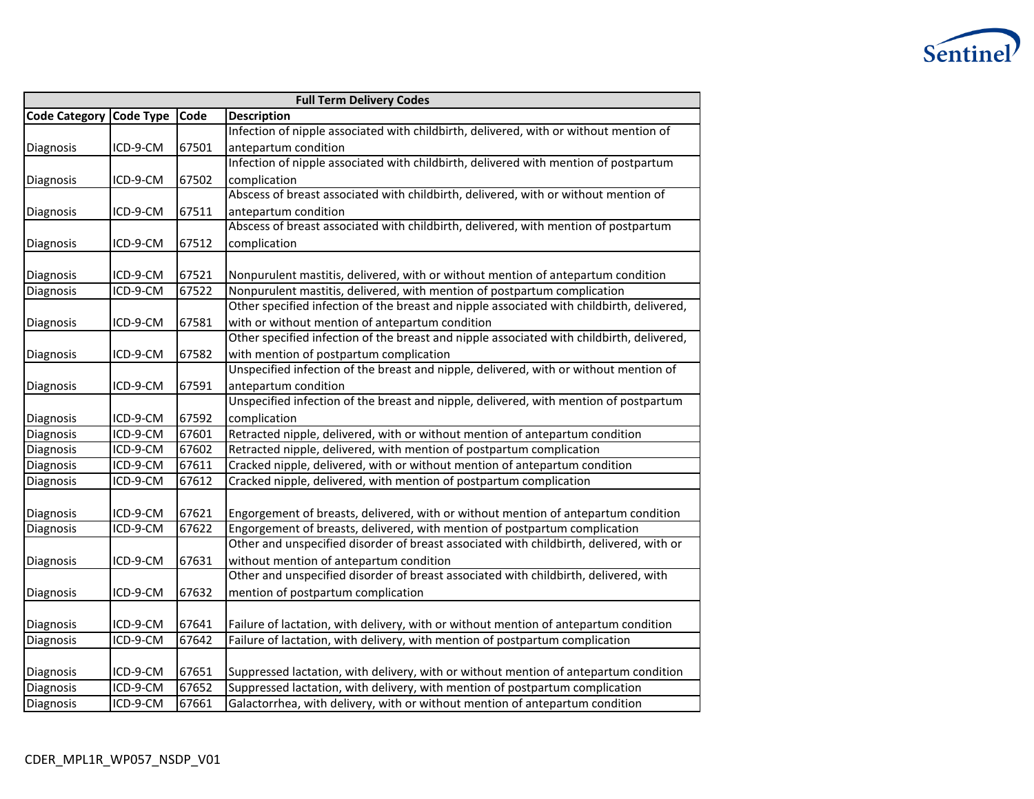

| <b>Full Term Delivery Codes</b> |          |       |                                                                                           |  |
|---------------------------------|----------|-------|-------------------------------------------------------------------------------------------|--|
| Code Category Code Type         |          | Code  | <b>Description</b>                                                                        |  |
|                                 |          |       | Infection of nipple associated with childbirth, delivered, with or without mention of     |  |
| Diagnosis                       | ICD-9-CM | 67501 | antepartum condition                                                                      |  |
|                                 |          |       | Infection of nipple associated with childbirth, delivered with mention of postpartum      |  |
| Diagnosis                       | ICD-9-CM | 67502 | complication                                                                              |  |
|                                 |          |       | Abscess of breast associated with childbirth, delivered, with or without mention of       |  |
| Diagnosis                       | ICD-9-CM | 67511 | antepartum condition                                                                      |  |
|                                 |          |       | Abscess of breast associated with childbirth, delivered, with mention of postpartum       |  |
| Diagnosis                       | ICD-9-CM | 67512 | complication                                                                              |  |
|                                 |          |       |                                                                                           |  |
| Diagnosis                       | ICD-9-CM | 67521 | Nonpurulent mastitis, delivered, with or without mention of antepartum condition          |  |
| Diagnosis                       | ICD-9-CM | 67522 | Nonpurulent mastitis, delivered, with mention of postpartum complication                  |  |
|                                 |          |       | Other specified infection of the breast and nipple associated with childbirth, delivered, |  |
| Diagnosis                       | ICD-9-CM | 67581 | with or without mention of antepartum condition                                           |  |
|                                 |          |       | Other specified infection of the breast and nipple associated with childbirth, delivered, |  |
| Diagnosis                       | ICD-9-CM | 67582 | with mention of postpartum complication                                                   |  |
|                                 |          |       | Unspecified infection of the breast and nipple, delivered, with or without mention of     |  |
| Diagnosis                       | ICD-9-CM | 67591 | antepartum condition                                                                      |  |
|                                 |          |       | Unspecified infection of the breast and nipple, delivered, with mention of postpartum     |  |
| Diagnosis                       | ICD-9-CM | 67592 | complication                                                                              |  |
| Diagnosis                       | ICD-9-CM | 67601 | Retracted nipple, delivered, with or without mention of antepartum condition              |  |
| Diagnosis                       | ICD-9-CM | 67602 | Retracted nipple, delivered, with mention of postpartum complication                      |  |
| Diagnosis                       | ICD-9-CM | 67611 | Cracked nipple, delivered, with or without mention of antepartum condition                |  |
| Diagnosis                       | ICD-9-CM | 67612 | Cracked nipple, delivered, with mention of postpartum complication                        |  |
|                                 |          |       |                                                                                           |  |
| Diagnosis                       | ICD-9-CM | 67621 | Engorgement of breasts, delivered, with or without mention of antepartum condition        |  |
| Diagnosis                       | ICD-9-CM | 67622 | Engorgement of breasts, delivered, with mention of postpartum complication                |  |
|                                 |          |       | Other and unspecified disorder of breast associated with childbirth, delivered, with or   |  |
| Diagnosis                       | ICD-9-CM | 67631 | without mention of antepartum condition                                                   |  |
|                                 |          |       | Other and unspecified disorder of breast associated with childbirth, delivered, with      |  |
| Diagnosis                       | ICD-9-CM | 67632 | mention of postpartum complication                                                        |  |
|                                 |          |       |                                                                                           |  |
| Diagnosis                       | ICD-9-CM | 67641 | Failure of lactation, with delivery, with or without mention of antepartum condition      |  |
| Diagnosis                       | ICD-9-CM | 67642 | Failure of lactation, with delivery, with mention of postpartum complication              |  |
| Diagnosis                       | ICD-9-CM | 67651 | Suppressed lactation, with delivery, with or without mention of antepartum condition      |  |
| Diagnosis                       | ICD-9-CM | 67652 | Suppressed lactation, with delivery, with mention of postpartum complication              |  |
|                                 |          |       |                                                                                           |  |
| Diagnosis                       | ICD-9-CM | 67661 | Galactorrhea, with delivery, with or without mention of antepartum condition              |  |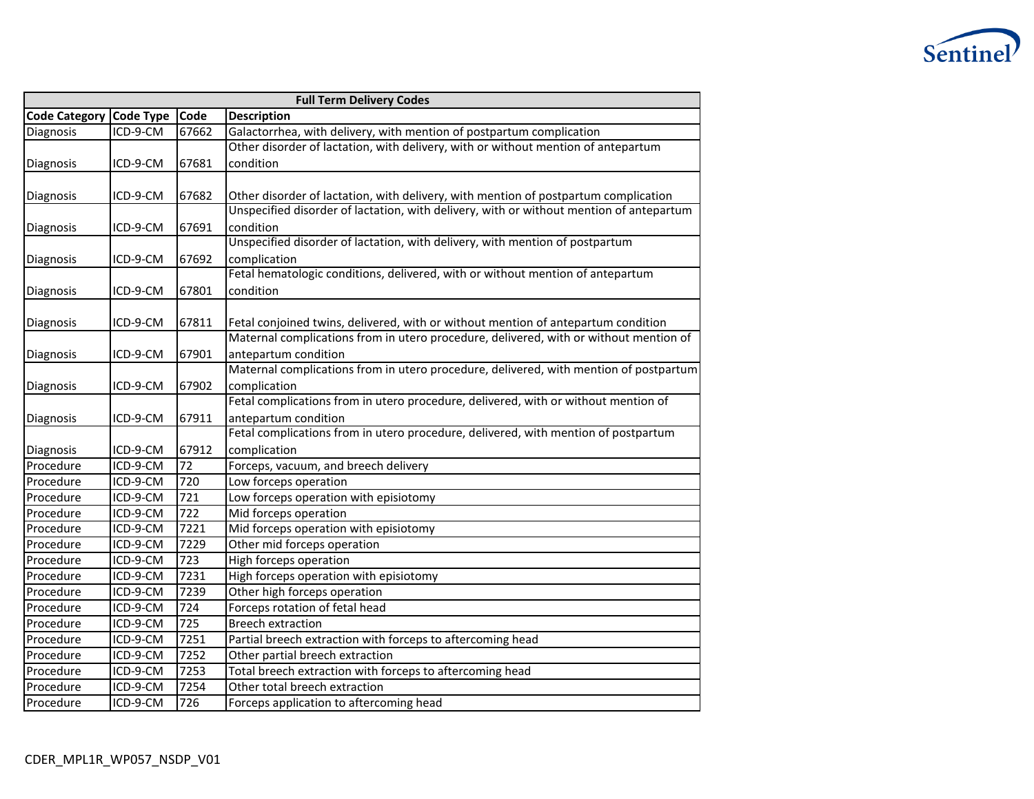

| <b>Full Term Delivery Codes</b> |                  |                  |                                                                                         |  |  |  |  |  |  |
|---------------------------------|------------------|------------------|-----------------------------------------------------------------------------------------|--|--|--|--|--|--|
| <b>Code Category</b>            | <b>Code Type</b> | Code             | <b>Description</b>                                                                      |  |  |  |  |  |  |
| Diagnosis                       | ICD-9-CM         | 67662            | Galactorrhea, with delivery, with mention of postpartum complication                    |  |  |  |  |  |  |
|                                 |                  |                  | Other disorder of lactation, with delivery, with or without mention of antepartum       |  |  |  |  |  |  |
| Diagnosis                       | ICD-9-CM         | 67681            | condition                                                                               |  |  |  |  |  |  |
|                                 |                  |                  |                                                                                         |  |  |  |  |  |  |
| Diagnosis                       | ICD-9-CM         | 67682            | Other disorder of lactation, with delivery, with mention of postpartum complication     |  |  |  |  |  |  |
|                                 |                  |                  | Unspecified disorder of lactation, with delivery, with or without mention of antepartum |  |  |  |  |  |  |
| Diagnosis                       | ICD-9-CM         | 67691            | condition                                                                               |  |  |  |  |  |  |
|                                 |                  |                  | Unspecified disorder of lactation, with delivery, with mention of postpartum            |  |  |  |  |  |  |
| Diagnosis                       | ICD-9-CM         | 67692            | complication                                                                            |  |  |  |  |  |  |
|                                 |                  |                  | Fetal hematologic conditions, delivered, with or without mention of antepartum          |  |  |  |  |  |  |
| Diagnosis                       | ICD-9-CM         | 67801            | condition                                                                               |  |  |  |  |  |  |
|                                 |                  |                  |                                                                                         |  |  |  |  |  |  |
| Diagnosis                       | ICD-9-CM         | 67811            | Fetal conjoined twins, delivered, with or without mention of antepartum condition       |  |  |  |  |  |  |
|                                 |                  |                  | Maternal complications from in utero procedure, delivered, with or without mention of   |  |  |  |  |  |  |
| Diagnosis                       | ICD-9-CM         | 67901            | antepartum condition                                                                    |  |  |  |  |  |  |
|                                 |                  |                  | Maternal complications from in utero procedure, delivered, with mention of postpartum   |  |  |  |  |  |  |
| Diagnosis                       | ICD-9-CM         | 67902            | complication                                                                            |  |  |  |  |  |  |
|                                 |                  |                  | Fetal complications from in utero procedure, delivered, with or without mention of      |  |  |  |  |  |  |
| Diagnosis                       | ICD-9-CM         | 67911            | antepartum condition                                                                    |  |  |  |  |  |  |
|                                 |                  |                  | Fetal complications from in utero procedure, delivered, with mention of postpartum      |  |  |  |  |  |  |
| Diagnosis                       | ICD-9-CM         | 67912            | complication                                                                            |  |  |  |  |  |  |
| Procedure                       | ICD-9-CM         | 72               | Forceps, vacuum, and breech delivery                                                    |  |  |  |  |  |  |
| Procedure                       | ICD-9-CM         | 720              | Low forceps operation                                                                   |  |  |  |  |  |  |
| Procedure                       | ICD-9-CM         | 721              | Low forceps operation with episiotomy                                                   |  |  |  |  |  |  |
| Procedure                       | ICD-9-CM         | 722              | Mid forceps operation                                                                   |  |  |  |  |  |  |
| Procedure                       | ICD-9-CM         | 7221             | Mid forceps operation with episiotomy                                                   |  |  |  |  |  |  |
| Procedure                       | ICD-9-CM         | 7229             | Other mid forceps operation                                                             |  |  |  |  |  |  |
| Procedure                       | ICD-9-CM         | $\overline{723}$ | High forceps operation                                                                  |  |  |  |  |  |  |
| Procedure                       | ICD-9-CM         | 7231             | High forceps operation with episiotomy                                                  |  |  |  |  |  |  |
| Procedure                       | ICD-9-CM         | 7239             | Other high forceps operation                                                            |  |  |  |  |  |  |
| Procedure                       | ICD-9-CM         | 724              | Forceps rotation of fetal head                                                          |  |  |  |  |  |  |
| Procedure                       | ICD-9-CM         | 725              | <b>Breech extraction</b>                                                                |  |  |  |  |  |  |
| Procedure                       | ICD-9-CM         | 7251             | Partial breech extraction with forceps to aftercoming head                              |  |  |  |  |  |  |
| Procedure                       | ICD-9-CM         | 7252             | Other partial breech extraction                                                         |  |  |  |  |  |  |
| Procedure                       | ICD-9-CM         | 7253             | Total breech extraction with forceps to aftercoming head                                |  |  |  |  |  |  |
| Procedure                       | ICD-9-CM         | 7254             | Other total breech extraction                                                           |  |  |  |  |  |  |
| Procedure                       | ICD-9-CM         | 726              | Forceps application to aftercoming head                                                 |  |  |  |  |  |  |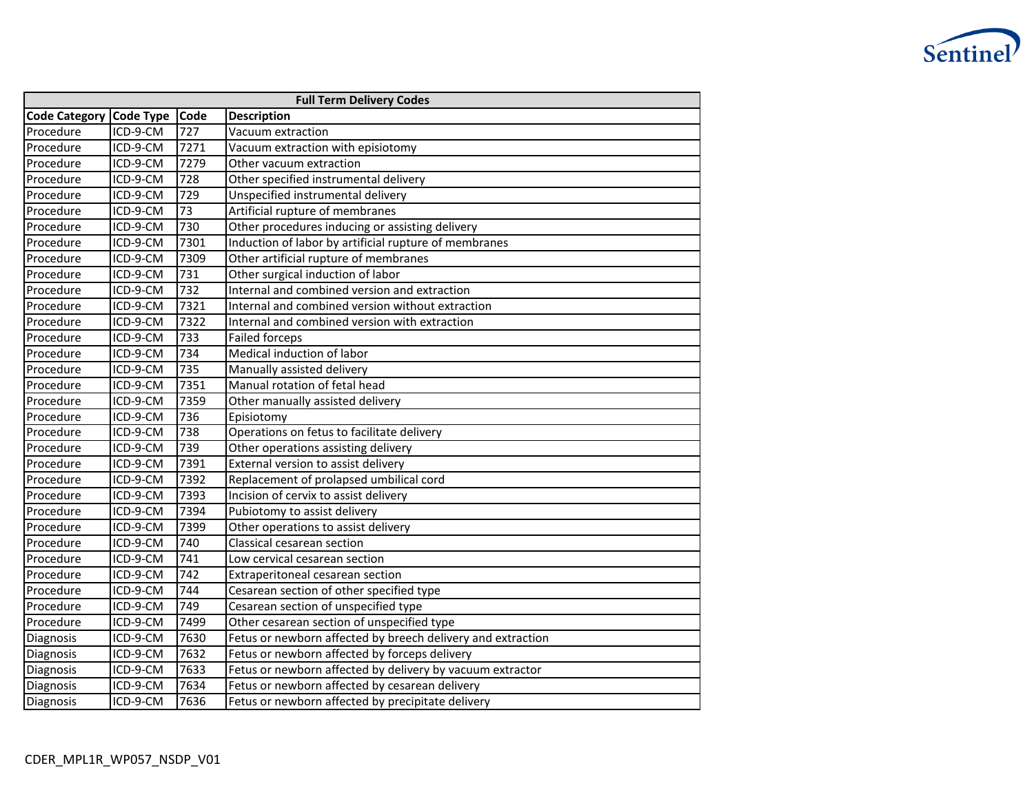

| <b>Full Term Delivery Codes</b> |                  |      |                                                             |  |  |  |  |  |
|---------------------------------|------------------|------|-------------------------------------------------------------|--|--|--|--|--|
| <b>Code Category</b>            | <b>Code Type</b> | Code | <b>Description</b>                                          |  |  |  |  |  |
| Procedure                       | ICD-9-CM         | 727  | Vacuum extraction                                           |  |  |  |  |  |
| Procedure                       | ICD-9-CM         | 7271 | Vacuum extraction with episiotomy                           |  |  |  |  |  |
| Procedure                       | ICD-9-CM         | 7279 | Other vacuum extraction                                     |  |  |  |  |  |
| Procedure                       | ICD-9-CM         | 728  | Other specified instrumental delivery                       |  |  |  |  |  |
| Procedure                       | ICD-9-CM         | 729  | Unspecified instrumental delivery                           |  |  |  |  |  |
| Procedure                       | ICD-9-CM         | 73   | Artificial rupture of membranes                             |  |  |  |  |  |
| Procedure                       | ICD-9-CM         | 730  | Other procedures inducing or assisting delivery             |  |  |  |  |  |
| Procedure                       | ICD-9-CM         | 7301 | Induction of labor by artificial rupture of membranes       |  |  |  |  |  |
| Procedure                       | ICD-9-CM         | 7309 | Other artificial rupture of membranes                       |  |  |  |  |  |
| Procedure                       | ICD-9-CM         | 731  | Other surgical induction of labor                           |  |  |  |  |  |
| Procedure                       | ICD-9-CM         | 732  | Internal and combined version and extraction                |  |  |  |  |  |
| Procedure                       | ICD-9-CM         | 7321 | Internal and combined version without extraction            |  |  |  |  |  |
| Procedure                       | ICD-9-CM         | 7322 | Internal and combined version with extraction               |  |  |  |  |  |
| Procedure                       | ICD-9-CM         | 733  | <b>Failed forceps</b>                                       |  |  |  |  |  |
| Procedure                       | ICD-9-CM         | 734  | Medical induction of labor                                  |  |  |  |  |  |
| Procedure                       | ICD-9-CM         | 735  | Manually assisted delivery                                  |  |  |  |  |  |
| Procedure                       | ICD-9-CM         | 7351 | Manual rotation of fetal head                               |  |  |  |  |  |
| Procedure                       | ICD-9-CM         | 7359 | Other manually assisted delivery                            |  |  |  |  |  |
| Procedure                       | ICD-9-CM         | 736  | Episiotomy                                                  |  |  |  |  |  |
| Procedure                       | ICD-9-CM         | 738  | Operations on fetus to facilitate delivery                  |  |  |  |  |  |
| Procedure                       | ICD-9-CM         | 739  | Other operations assisting delivery                         |  |  |  |  |  |
| Procedure                       | ICD-9-CM         | 7391 | External version to assist delivery                         |  |  |  |  |  |
| Procedure                       | ICD-9-CM         | 7392 | Replacement of prolapsed umbilical cord                     |  |  |  |  |  |
| Procedure                       | ICD-9-CM         | 7393 | Incision of cervix to assist delivery                       |  |  |  |  |  |
| Procedure                       | ICD-9-CM         | 7394 | Pubiotomy to assist delivery                                |  |  |  |  |  |
| Procedure                       | ICD-9-CM         | 7399 | Other operations to assist delivery                         |  |  |  |  |  |
| Procedure                       | ICD-9-CM         | 740  | Classical cesarean section                                  |  |  |  |  |  |
| Procedure                       | ICD-9-CM         | 741  | Low cervical cesarean section                               |  |  |  |  |  |
| Procedure                       | ICD-9-CM         | 742  | Extraperitoneal cesarean section                            |  |  |  |  |  |
| Procedure                       | ICD-9-CM         | 744  | Cesarean section of other specified type                    |  |  |  |  |  |
| Procedure                       | ICD-9-CM         | 749  | Cesarean section of unspecified type                        |  |  |  |  |  |
| Procedure                       | ICD-9-CM         | 7499 | Other cesarean section of unspecified type                  |  |  |  |  |  |
| Diagnosis                       | ICD-9-CM         | 7630 | Fetus or newborn affected by breech delivery and extraction |  |  |  |  |  |
| Diagnosis                       | ICD-9-CM         | 7632 | Fetus or newborn affected by forceps delivery               |  |  |  |  |  |
| Diagnosis                       | ICD-9-CM         | 7633 | Fetus or newborn affected by delivery by vacuum extractor   |  |  |  |  |  |
| Diagnosis                       | ICD-9-CM         | 7634 | Fetus or newborn affected by cesarean delivery              |  |  |  |  |  |
| Diagnosis                       | ICD-9-CM         | 7636 | Fetus or newborn affected by precipitate delivery           |  |  |  |  |  |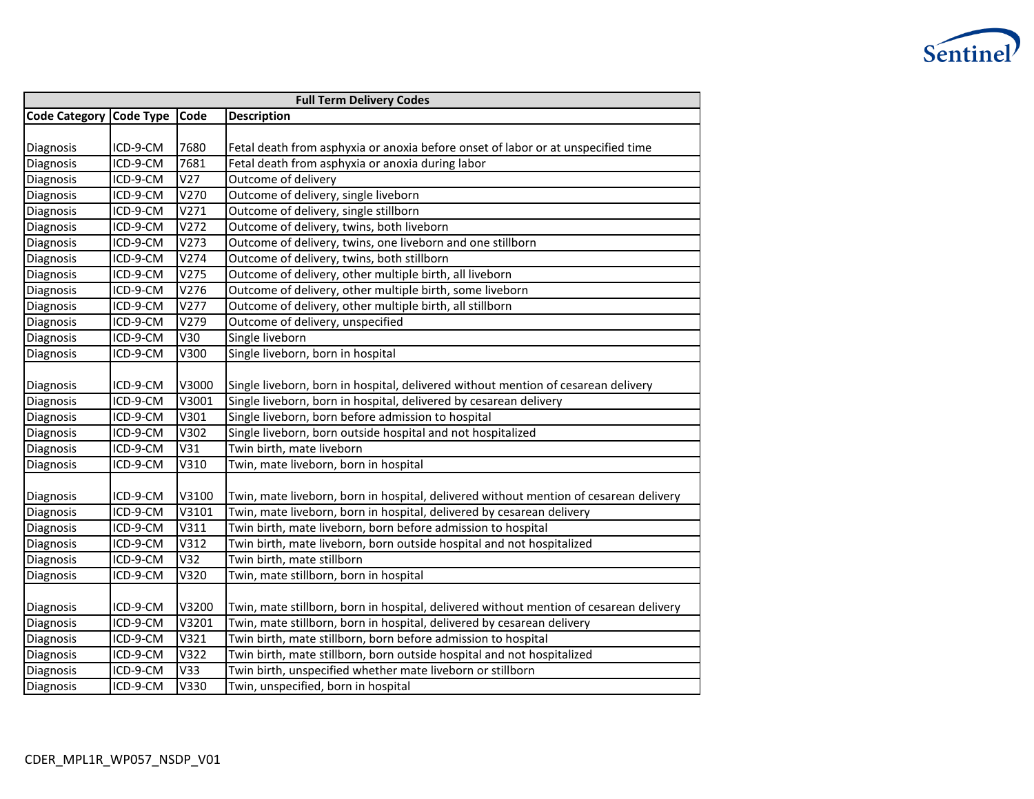

| <b>Full Term Delivery Codes</b> |                  |       |                                                                                        |  |  |  |  |  |  |
|---------------------------------|------------------|-------|----------------------------------------------------------------------------------------|--|--|--|--|--|--|
| <b>Code Category</b>            | <b>Code Type</b> | Code  | <b>Description</b>                                                                     |  |  |  |  |  |  |
|                                 |                  |       |                                                                                        |  |  |  |  |  |  |
| <b>Diagnosis</b>                | ICD-9-CM         | 7680  | Fetal death from asphyxia or anoxia before onset of labor or at unspecified time       |  |  |  |  |  |  |
| Diagnosis                       | ICD-9-CM         | 7681  | Fetal death from asphyxia or anoxia during labor                                       |  |  |  |  |  |  |
| Diagnosis                       | ICD-9-CM         | V27   | Outcome of delivery                                                                    |  |  |  |  |  |  |
| Diagnosis                       | ICD-9-CM         | V270  | Outcome of delivery, single liveborn                                                   |  |  |  |  |  |  |
| Diagnosis                       | ICD-9-CM         | V271  | Outcome of delivery, single stillborn                                                  |  |  |  |  |  |  |
| Diagnosis                       | ICD-9-CM         | V272  | Outcome of delivery, twins, both liveborn                                              |  |  |  |  |  |  |
| Diagnosis                       | ICD-9-CM         | V273  | Outcome of delivery, twins, one liveborn and one stillborn                             |  |  |  |  |  |  |
| Diagnosis                       | ICD-9-CM         | V274  | Outcome of delivery, twins, both stillborn                                             |  |  |  |  |  |  |
| Diagnosis                       | ICD-9-CM         | V275  | Outcome of delivery, other multiple birth, all liveborn                                |  |  |  |  |  |  |
| Diagnosis                       | ICD-9-CM         | V276  | Outcome of delivery, other multiple birth, some liveborn                               |  |  |  |  |  |  |
| Diagnosis                       | ICD-9-CM         | V277  | Outcome of delivery, other multiple birth, all stillborn                               |  |  |  |  |  |  |
| Diagnosis                       | ICD-9-CM         | V279  | Outcome of delivery, unspecified                                                       |  |  |  |  |  |  |
| Diagnosis                       | ICD-9-CM         | V30   | Single liveborn                                                                        |  |  |  |  |  |  |
| Diagnosis                       | ICD-9-CM         | V300  | Single liveborn, born in hospital                                                      |  |  |  |  |  |  |
|                                 |                  |       |                                                                                        |  |  |  |  |  |  |
| Diagnosis                       | ICD-9-CM         | V3000 | Single liveborn, born in hospital, delivered without mention of cesarean delivery      |  |  |  |  |  |  |
| Diagnosis                       | ICD-9-CM         | V3001 | Single liveborn, born in hospital, delivered by cesarean delivery                      |  |  |  |  |  |  |
| Diagnosis                       | ICD-9-CM         | V301  | Single liveborn, born before admission to hospital                                     |  |  |  |  |  |  |
| Diagnosis                       | ICD-9-CM         | V302  | Single liveborn, born outside hospital and not hospitalized                            |  |  |  |  |  |  |
| Diagnosis                       | ICD-9-CM         | V31   | Twin birth, mate liveborn                                                              |  |  |  |  |  |  |
| Diagnosis                       | ICD-9-CM         | V310  | Twin, mate liveborn, born in hospital                                                  |  |  |  |  |  |  |
|                                 |                  |       |                                                                                        |  |  |  |  |  |  |
| Diagnosis                       | ICD-9-CM         | V3100 | Twin, mate liveborn, born in hospital, delivered without mention of cesarean delivery  |  |  |  |  |  |  |
| Diagnosis                       | ICD-9-CM         | V3101 | Twin, mate liveborn, born in hospital, delivered by cesarean delivery                  |  |  |  |  |  |  |
| Diagnosis                       | ICD-9-CM         | V311  | Twin birth, mate liveborn, born before admission to hospital                           |  |  |  |  |  |  |
| Diagnosis                       | ICD-9-CM         | V312  | Twin birth, mate liveborn, born outside hospital and not hospitalized                  |  |  |  |  |  |  |
| Diagnosis                       | ICD-9-CM         | V32   | Twin birth, mate stillborn                                                             |  |  |  |  |  |  |
| Diagnosis                       | ICD-9-CM         | V320  | Twin, mate stillborn, born in hospital                                                 |  |  |  |  |  |  |
|                                 |                  |       |                                                                                        |  |  |  |  |  |  |
| Diagnosis                       | ICD-9-CM         | V3200 | Twin, mate stillborn, born in hospital, delivered without mention of cesarean delivery |  |  |  |  |  |  |
| Diagnosis                       | ICD-9-CM         | V3201 | Twin, mate stillborn, born in hospital, delivered by cesarean delivery                 |  |  |  |  |  |  |
| Diagnosis                       | ICD-9-CM         | V321  | Twin birth, mate stillborn, born before admission to hospital                          |  |  |  |  |  |  |
| Diagnosis                       | ICD-9-CM         | V322  | Twin birth, mate stillborn, born outside hospital and not hospitalized                 |  |  |  |  |  |  |
| Diagnosis                       | ICD-9-CM         | V33   | Twin birth, unspecified whether mate liveborn or stillborn                             |  |  |  |  |  |  |
| Diagnosis                       | ICD-9-CM         | V330  | Twin, unspecified, born in hospital                                                    |  |  |  |  |  |  |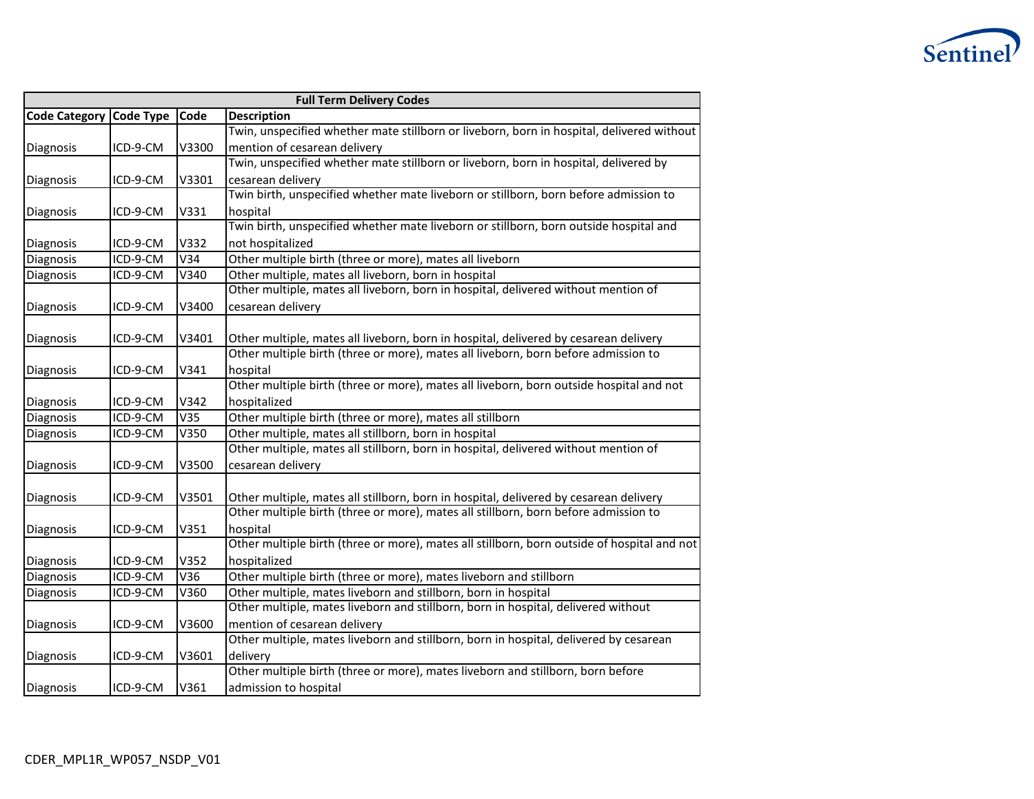

| <b>Full Term Delivery Codes</b> |          |       |                                                                                             |  |  |  |  |
|---------------------------------|----------|-------|---------------------------------------------------------------------------------------------|--|--|--|--|
| Code Category Code Type         |          | Code  | <b>Description</b>                                                                          |  |  |  |  |
|                                 |          |       | Twin, unspecified whether mate stillborn or liveborn, born in hospital, delivered without   |  |  |  |  |
| Diagnosis                       | ICD-9-CM | V3300 | mention of cesarean delivery                                                                |  |  |  |  |
|                                 |          |       | Twin, unspecified whether mate stillborn or liveborn, born in hospital, delivered by        |  |  |  |  |
| Diagnosis                       | ICD-9-CM | V3301 | cesarean delivery                                                                           |  |  |  |  |
|                                 |          |       | Twin birth, unspecified whether mate liveborn or stillborn, born before admission to        |  |  |  |  |
| Diagnosis                       | ICD-9-CM | V331  | hospital                                                                                    |  |  |  |  |
|                                 |          |       | Twin birth, unspecified whether mate liveborn or stillborn, born outside hospital and       |  |  |  |  |
| Diagnosis                       | ICD-9-CM | V332  | not hospitalized                                                                            |  |  |  |  |
| Diagnosis                       | ICD-9-CM | V34   | Other multiple birth (three or more), mates all liveborn                                    |  |  |  |  |
| Diagnosis                       | ICD-9-CM | V340  | Other multiple, mates all liveborn, born in hospital                                        |  |  |  |  |
|                                 |          |       | Other multiple, mates all liveborn, born in hospital, delivered without mention of          |  |  |  |  |
| Diagnosis                       | ICD-9-CM | V3400 | cesarean delivery                                                                           |  |  |  |  |
|                                 |          |       |                                                                                             |  |  |  |  |
| Diagnosis                       | ICD-9-CM | V3401 | Other multiple, mates all liveborn, born in hospital, delivered by cesarean delivery        |  |  |  |  |
|                                 |          |       | Other multiple birth (three or more), mates all liveborn, born before admission to          |  |  |  |  |
| Diagnosis                       | ICD-9-CM | V341  | hospital                                                                                    |  |  |  |  |
|                                 |          |       | Other multiple birth (three or more), mates all liveborn, born outside hospital and not     |  |  |  |  |
| Diagnosis                       | ICD-9-CM | V342  | hospitalized                                                                                |  |  |  |  |
| Diagnosis                       | ICD-9-CM | V35   | Other multiple birth (three or more), mates all stillborn                                   |  |  |  |  |
| Diagnosis                       | ICD-9-CM | V350  | Other multiple, mates all stillborn, born in hospital                                       |  |  |  |  |
|                                 |          |       | Other multiple, mates all stillborn, born in hospital, delivered without mention of         |  |  |  |  |
| Diagnosis                       | ICD-9-CM | V3500 | cesarean delivery                                                                           |  |  |  |  |
|                                 |          |       |                                                                                             |  |  |  |  |
| Diagnosis                       | ICD-9-CM | V3501 | Other multiple, mates all stillborn, born in hospital, delivered by cesarean delivery       |  |  |  |  |
|                                 |          |       | Other multiple birth (three or more), mates all stillborn, born before admission to         |  |  |  |  |
| Diagnosis                       | ICD-9-CM | V351  | hospital                                                                                    |  |  |  |  |
|                                 |          |       | Other multiple birth (three or more), mates all stillborn, born outside of hospital and not |  |  |  |  |
| Diagnosis                       | ICD-9-CM | V352  | hospitalized                                                                                |  |  |  |  |
| Diagnosis                       | ICD-9-CM | V36   | Other multiple birth (three or more), mates liveborn and stillborn                          |  |  |  |  |
| Diagnosis                       | ICD-9-CM | V360  | Other multiple, mates liveborn and stillborn, born in hospital                              |  |  |  |  |
|                                 |          |       | Other multiple, mates liveborn and stillborn, born in hospital, delivered without           |  |  |  |  |
| Diagnosis                       | ICD-9-CM | V3600 | mention of cesarean delivery                                                                |  |  |  |  |
|                                 |          |       | Other multiple, mates liveborn and stillborn, born in hospital, delivered by cesarean       |  |  |  |  |
| Diagnosis                       | ICD-9-CM | V3601 | delivery                                                                                    |  |  |  |  |
|                                 |          |       | Other multiple birth (three or more), mates liveborn and stillborn, born before             |  |  |  |  |
| Diagnosis                       | ICD-9-CM | V361  | admission to hospital                                                                       |  |  |  |  |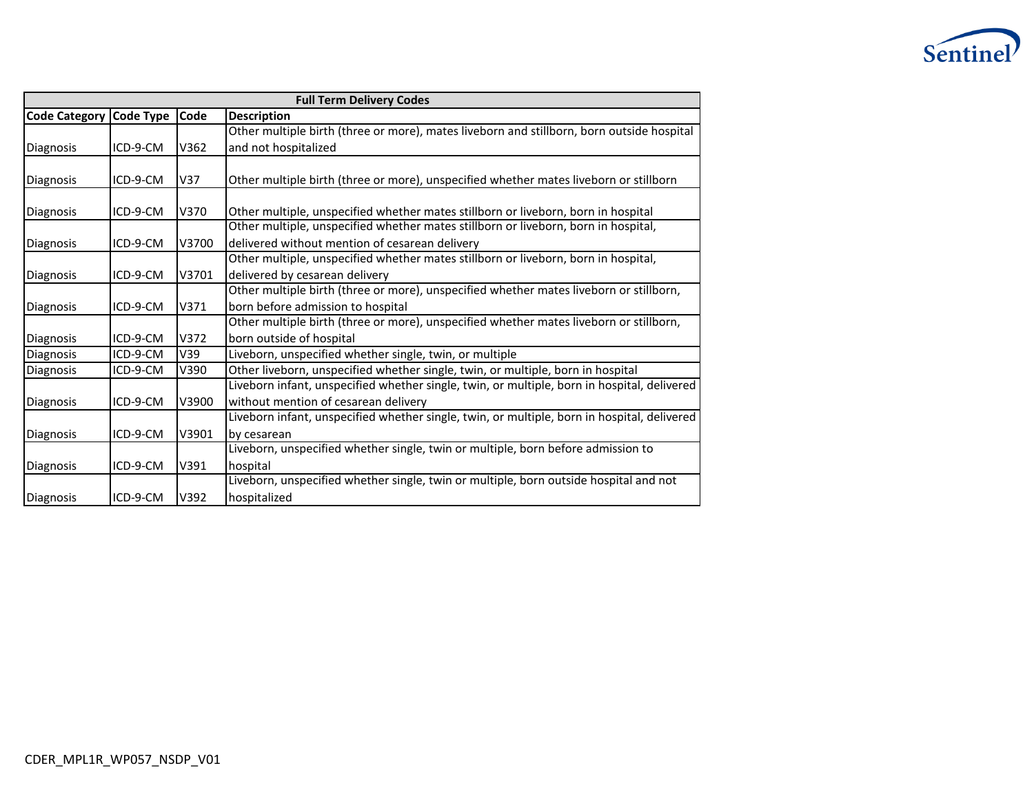

|                      | <b>Full Term Delivery Codes</b> |       |                                                                                             |  |  |  |  |  |
|----------------------|---------------------------------|-------|---------------------------------------------------------------------------------------------|--|--|--|--|--|
| <b>Code Category</b> | <b>Code Type</b>                | Code  | <b>Description</b>                                                                          |  |  |  |  |  |
|                      |                                 |       | Other multiple birth (three or more), mates liveborn and stillborn, born outside hospital   |  |  |  |  |  |
| Diagnosis            | ICD-9-CM                        | V362  | and not hospitalized                                                                        |  |  |  |  |  |
|                      |                                 |       |                                                                                             |  |  |  |  |  |
| Diagnosis            | ICD-9-CM                        | V37   | Other multiple birth (three or more), unspecified whether mates liveborn or stillborn       |  |  |  |  |  |
|                      |                                 |       |                                                                                             |  |  |  |  |  |
| Diagnosis            | ICD-9-CM                        | V370  | Other multiple, unspecified whether mates stillborn or liveborn, born in hospital           |  |  |  |  |  |
|                      |                                 |       | Other multiple, unspecified whether mates stillborn or liveborn, born in hospital,          |  |  |  |  |  |
| Diagnosis            | ICD-9-CM                        | V3700 | delivered without mention of cesarean delivery                                              |  |  |  |  |  |
|                      |                                 |       | Other multiple, unspecified whether mates stillborn or liveborn, born in hospital,          |  |  |  |  |  |
| Diagnosis            | ICD-9-CM                        | V3701 | delivered by cesarean delivery                                                              |  |  |  |  |  |
|                      |                                 |       | Other multiple birth (three or more), unspecified whether mates liveborn or stillborn,      |  |  |  |  |  |
| Diagnosis            | ICD-9-CM                        | V371  | born before admission to hospital                                                           |  |  |  |  |  |
|                      |                                 |       | Other multiple birth (three or more), unspecified whether mates liveborn or stillborn,      |  |  |  |  |  |
| Diagnosis            | ICD-9-CM                        | V372  | born outside of hospital                                                                    |  |  |  |  |  |
| Diagnosis            | ICD-9-CM                        | V39   | Liveborn, unspecified whether single, twin, or multiple                                     |  |  |  |  |  |
| Diagnosis            | ICD-9-CM                        | V390  | Other liveborn, unspecified whether single, twin, or multiple, born in hospital             |  |  |  |  |  |
|                      |                                 |       | Liveborn infant, unspecified whether single, twin, or multiple, born in hospital, delivered |  |  |  |  |  |
| Diagnosis            | ICD-9-CM                        | V3900 | without mention of cesarean delivery                                                        |  |  |  |  |  |
|                      |                                 |       | Liveborn infant, unspecified whether single, twin, or multiple, born in hospital, delivered |  |  |  |  |  |
| Diagnosis            | ICD-9-CM                        | V3901 | by cesarean                                                                                 |  |  |  |  |  |
|                      |                                 |       | Liveborn, unspecified whether single, twin or multiple, born before admission to            |  |  |  |  |  |
| Diagnosis            | ICD-9-CM                        | V391  | hospital                                                                                    |  |  |  |  |  |
|                      |                                 |       | Liveborn, unspecified whether single, twin or multiple, born outside hospital and not       |  |  |  |  |  |
| Diagnosis            | ICD-9-CM                        | V392  | hospitalized                                                                                |  |  |  |  |  |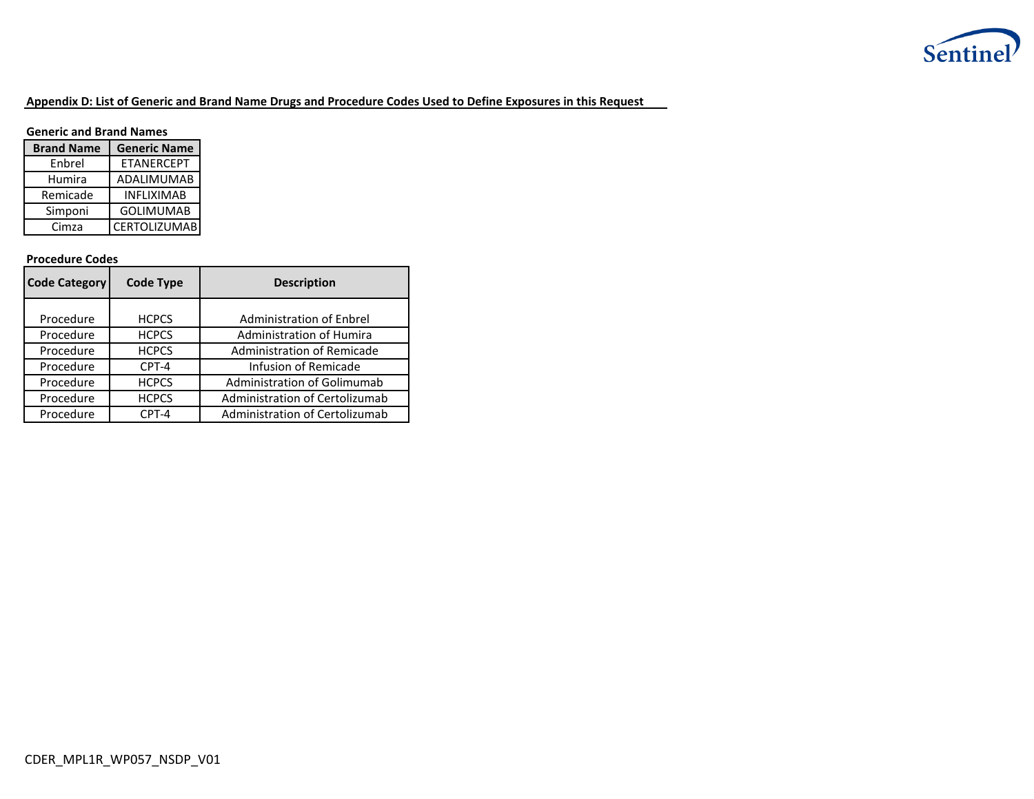

## **Appendix D: List of Generic and Brand Name Drugs and Procedure Codes Used to Define Exposures in this Request**

### **Generic and Brand Names**

| <b>Brand Name</b> | <b>Generic Name</b> |  |  |  |  |
|-------------------|---------------------|--|--|--|--|
| Enbrel            | <b>ETANERCEPT</b>   |  |  |  |  |
| Humira            | <b>ADALIMUMAB</b>   |  |  |  |  |
| Remicade          | <b>INFLIXIMAB</b>   |  |  |  |  |
| Simponi           | <b>GOLIMUMAB</b>    |  |  |  |  |
| Cimza             | <b>CERTOLIZUMAB</b> |  |  |  |  |

### **Procedure Codes**

| <b>Code Category</b> | <b>Code Type</b> | <b>Description</b>              |  |  |  |  |  |
|----------------------|------------------|---------------------------------|--|--|--|--|--|
|                      |                  |                                 |  |  |  |  |  |
| Procedure            | <b>HCPCS</b>     | <b>Administration of Enbrel</b> |  |  |  |  |  |
| Procedure            | <b>HCPCS</b>     | Administration of Humira        |  |  |  |  |  |
| Procedure            | <b>HCPCS</b>     | Administration of Remicade      |  |  |  |  |  |
| Procedure            | CPT-4            | Infusion of Remicade            |  |  |  |  |  |
| Procedure            | <b>HCPCS</b>     | Administration of Golimumab     |  |  |  |  |  |
| Procedure            | <b>HCPCS</b>     | Administration of Certolizumab  |  |  |  |  |  |
| Procedure            | CPT-4            | Administration of Certolizumab  |  |  |  |  |  |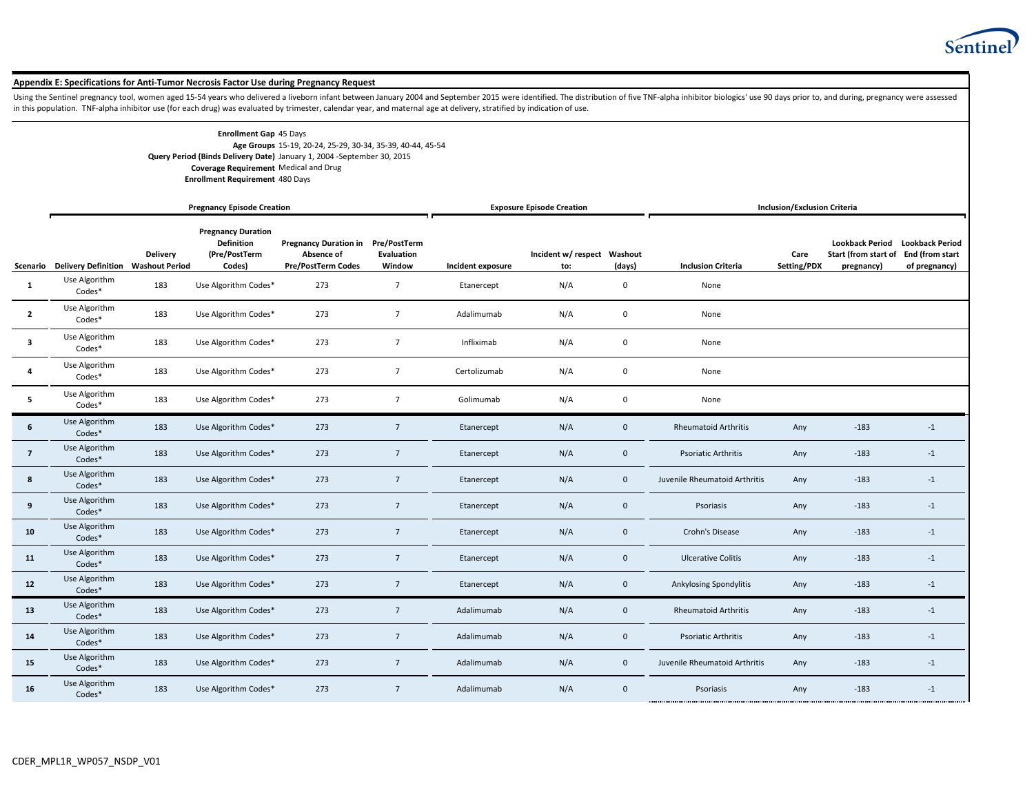

#### **Appendix E: Specifications for Anti-Tumor Necrosis Factor Use during Pregnancy Request**

Using the Sentinel pregnancy tool, women aged 15-54 years who delivered a liveborn infant between January 2004 and September 2015 were identified. The distribution of five TNF-alpha inhibitor biologics' use 90 days prior t in this population. TNF-alpha inhibitor use (for each drug) was evaluated by trimester, calendar year, and maternal age at delivery, stratified by indication of use.

| <b>Enrollment Gap 45 Days</b>          |                                                                         |
|----------------------------------------|-------------------------------------------------------------------------|
|                                        | Age Groups 15-19, 20-24, 25-29, 30-34, 35-39, 40-44, 45-54              |
|                                        | Query Period (Binds Delivery Date) January 1, 2004 - September 30, 2015 |
| Coverage Requirement Medical and Drug  |                                                                         |
| <b>Enrollment Requirement 480 Days</b> |                                                                         |

|                         |                                             |                 | <b>Pregnancy Episode Creation</b>                                         |                                                                               |                      | <b>Exposure Episode Creation</b> |                                    |              | <b>Inclusion/Exclusion Criteria</b> |                     |                                                              |                                                            |
|-------------------------|---------------------------------------------|-----------------|---------------------------------------------------------------------------|-------------------------------------------------------------------------------|----------------------|----------------------------------|------------------------------------|--------------|-------------------------------------|---------------------|--------------------------------------------------------------|------------------------------------------------------------|
|                         | Scenario Delivery Definition Washout Period | <b>Delivery</b> | <b>Pregnancy Duration</b><br><b>Definition</b><br>(Pre/PostTerm<br>Codes) | Pregnancy Duration in Pre/PostTerm<br>Absence of<br><b>Pre/PostTerm Codes</b> | Evaluation<br>Window | Incident exposure                | Incident w/ respect Washout<br>to: | (days)       | <b>Inclusion Criteria</b>           | Care<br>Setting/PDX | <b>Lookback Period</b><br>Start (from start of<br>pregnancy) | <b>Lookback Period</b><br>End (from start<br>of pregnancy) |
| 1                       | Use Algorithm<br>Codes*                     | 183             | Use Algorithm Codes*                                                      | 273                                                                           | $\overline{7}$       | Etanercept                       | N/A                                | $\mathbf 0$  | None                                |                     |                                                              |                                                            |
| $\overline{2}$          | Use Algorithm<br>Codes*                     | 183             | Use Algorithm Codes*                                                      | 273                                                                           | $\overline{7}$       | Adalimumab                       | N/A                                | $\mathbf 0$  | None                                |                     |                                                              |                                                            |
| $\overline{\mathbf{3}}$ | Use Algorithm<br>Codes*                     | 183             | Use Algorithm Codes*                                                      | 273                                                                           | $\overline{7}$       | Infliximab                       | N/A                                | $\mathbf 0$  | None                                |                     |                                                              |                                                            |
| 4                       | Use Algorithm<br>Codes*                     | 183             | Use Algorithm Codes*                                                      | 273                                                                           | $\overline{7}$       | Certolizumab                     | N/A                                | $\mathbf 0$  | None                                |                     |                                                              |                                                            |
| 5                       | Use Algorithm<br>Codes*                     | 183             | Use Algorithm Codes*                                                      | 273                                                                           | $7\overline{ }$      | Golimumab                        | N/A                                | 0            | None                                |                     |                                                              |                                                            |
| $\bf 6$                 | Use Algorithm<br>Codes*                     | 183             | Use Algorithm Codes*                                                      | 273                                                                           | $7\overline{ }$      | Etanercept                       | N/A                                | $\mathbf 0$  | <b>Rheumatoid Arthritis</b>         | Any                 | $-183$                                                       | $-1$                                                       |
| $\overline{7}$          | Use Algorithm<br>Codes*                     | 183             | Use Algorithm Codes*                                                      | 273                                                                           | $7\overline{ }$      | Etanercept                       | N/A                                | $\mathbf 0$  | <b>Psoriatic Arthritis</b>          | Any                 | $-183$                                                       | $-1$                                                       |
| 8                       | Use Algorithm<br>Codes*                     | 183             | Use Algorithm Codes*                                                      | 273                                                                           | $\overline{7}$       | Etanercept                       | N/A                                | $\mathbf{0}$ | Juvenile Rheumatoid Arthritis       | Any                 | $-183$                                                       | $-1$                                                       |
| 9                       | Use Algorithm<br>Codes*                     | 183             | Use Algorithm Codes*                                                      | 273                                                                           | $\overline{7}$       | Etanercept                       | N/A                                | $\mathbf{0}$ | Psoriasis                           | Any                 | $-183$                                                       | $-1$                                                       |
| 10                      | Use Algorithm<br>Codes*                     | 183             | Use Algorithm Codes*                                                      | 273                                                                           | $7\overline{ }$      | Etanercept                       | N/A                                | $\mathbf{0}$ | Crohn's Disease                     | Any                 | $-183$                                                       | $-1$                                                       |
| 11                      | Use Algorithm<br>Codes*                     | 183             | Use Algorithm Codes*                                                      | 273                                                                           | $\overline{7}$       | Etanercept                       | N/A                                | $\mathbf 0$  | <b>Ulcerative Colitis</b>           | Any                 | $-183$                                                       | $-1$                                                       |
| 12                      | Use Algorithm<br>Codes*                     | 183             | Use Algorithm Codes*                                                      | 273                                                                           | $7\overline{ }$      | Etanercept                       | N/A                                | $\mathbf 0$  | Ankylosing Spondylitis              | Any                 | $-183$                                                       | $-1$                                                       |
| 13                      | Use Algorithm<br>Codes*                     | 183             | Use Algorithm Codes*                                                      | 273                                                                           | $7\overline{ }$      | Adalimumab                       | N/A                                | $\mathbf 0$  | <b>Rheumatoid Arthritis</b>         | Any                 | $-183$                                                       | $-1$                                                       |
| 14                      | Use Algorithm<br>Codes*                     | 183             | Use Algorithm Codes*                                                      | 273                                                                           | $7\overline{ }$      | Adalimumab                       | N/A                                | $\mathbf 0$  | Psoriatic Arthritis                 | Any                 | $-183$                                                       | $-1$                                                       |
| 15                      | Use Algorithm<br>Codes*                     | 183             | Use Algorithm Codes*                                                      | 273                                                                           | $7\overline{ }$      | Adalimumab                       | N/A                                | $\mathbf 0$  | Juvenile Rheumatoid Arthritis       | Any                 | $-183$                                                       | $-1$                                                       |
| 16                      | Use Algorithm<br>Codes*                     | 183             | Use Algorithm Codes*                                                      | 273                                                                           | $\overline{7}$       | Adalimumab                       | N/A                                | $\mathbf{0}$ | Psoriasis                           | Any                 | $-183$                                                       | $-1$                                                       |